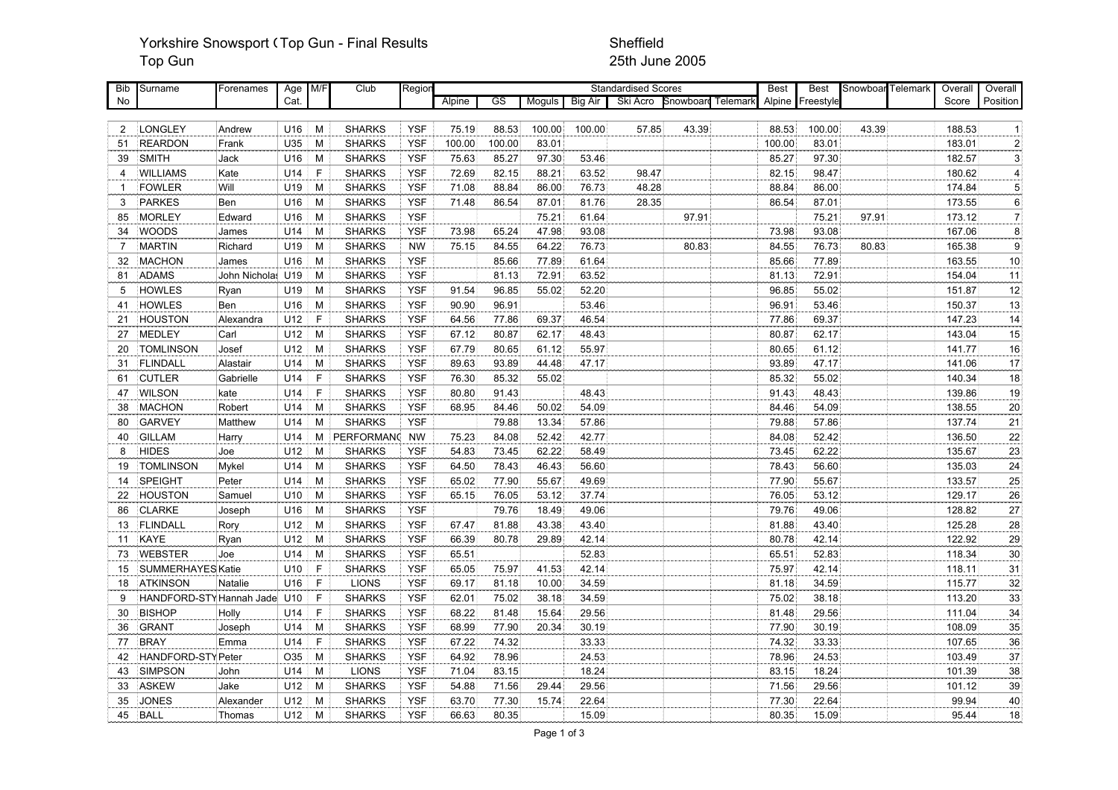# Yorkshire Snowsport (Top Gun - Final Results Sheffield Sheffield Sheffield Sheffield Sheffield Sheffield Sheffield Sheffield Sheffield Sheffield Sheffield Sheffield Sheffield Sheffield Sheffield Sheffield Sheffield Sheffie

## 25th June 2005

| Bib            | Surname                  | Forenames      | Age  | M/F          | Club          | Region     |        | <b>Standardised Scores</b> |        |         | <b>Best</b> | <b>Best</b> | Snowboar Telemark  | Overall   | Overall |        |                         |
|----------------|--------------------------|----------------|------|--------------|---------------|------------|--------|----------------------------|--------|---------|-------------|-------------|--------------------|-----------|---------|--------|-------------------------|
| No             |                          |                | Cat. |              |               |            | Alpine | GS                         | Moguls | Big Air | Ski Acro    | Snowboard   | Telemark<br>Alpine | Freestyle |         | Score  | Position                |
|                |                          |                |      |              |               |            |        |                            |        |         |             |             |                    |           |         |        |                         |
| 2              | <b>LONGLEY</b>           | Andrew         | U16  | M            | <b>SHARKS</b> | <b>YSF</b> | 75.19  | 88.53                      | 100.00 | 100.00  | 57.85       | 43.39       | 88.53              | 100.00    | 43.39   | 188.53 | -1                      |
| 51             | <b>REARDON</b>           | Frank          | U35  | M            | <b>SHARKS</b> | <b>YSF</b> | 100.00 | 100.00                     | 83.01  |         |             |             | 100.00             | 83.01     |         | 183.01 | $\overline{\mathbf{c}}$ |
| 39             | <b>SMITH</b>             | Jack           | U16  | м            | <b>SHARKS</b> | <b>YSF</b> | 75.63  | 85.27                      | 97.30  | 53.46   |             |             | 85.27              | 97.30     |         | 182.57 | $\overline{3}$          |
| 4              | <b>WILLIAMS</b>          | Kate           | U14  | $\mathsf{F}$ | <b>SHARKS</b> | <b>YSF</b> | 72.69  | 82.15                      | 88.21  | 63.52   | 98.47       |             | 82.15              | 98.47     |         | 180.62 | $\overline{\mathbf{4}}$ |
| $\overline{1}$ | <b>FOWLER</b>            | Will           | U19  | M            | <b>SHARKS</b> | <b>YSF</b> | 71.08  | 88.84                      | 86.00  | 76.73   | 48.28       |             | 88.84              | 86.00     |         | 174.84 | $\overline{5}$          |
| 3              | <b>PARKES</b>            | Ben            | U16  | M            | <b>SHARKS</b> | <b>YSF</b> | 71.48  | 86.54                      | 87.01  | 81.76   | 28.35       |             | 86.54              | 87.01     |         | 173.55 | $6 \overline{}$         |
| 85             | <b>MORLEY</b>            | Edward         | U16  | M            | <b>SHARKS</b> | <b>YSF</b> |        |                            | 75.21  | 61.64   |             | 97.91       |                    | 75.21     | 97.91   | 173.12 | $\overline{7}$          |
| 34             | <b>WOODS</b>             | James          | U14  | M            | <b>SHARKS</b> | <b>YSF</b> | 73.98  | 65.24                      | 47.98  | 93.08   |             |             | 73.98              | 93.08     |         | 167.06 | 8                       |
| $\overline{7}$ | <b>MARTIN</b>            | Richard        | U19  | M            | <b>SHARKS</b> | <b>NW</b>  | 75.15  | 84.55                      | 64.22  | 76.73   |             | 80.83       | 84.55              | 76.73     | 80.83   | 165.38 | 9                       |
| 32             | <b>MACHON</b>            | James          | U16  | M            | <b>SHARKS</b> | <b>YSF</b> |        | 85.66                      | 77.89  | 61.64   |             |             | 85.66              | 77.89     |         | 163.55 | 10                      |
| 81             | <b>ADAMS</b>             | John Nicholas  | U19  | M            | <b>SHARKS</b> | <b>YSF</b> |        | 81.13                      | 72.91  | 63.52   |             |             | 81.13              | 72.91     |         | 154.04 | 11                      |
| 5              | <b>HOWLES</b>            | Ryan           | U19  | M            | <b>SHARKS</b> | <b>YSF</b> | 91.54  | 96.85                      | 55.02  | 52.20   |             |             | 96.85              | 55.02     |         | 151.87 | 12                      |
| 41             | <b>HOWLES</b>            | <b>Ben</b>     | U16  | M            | <b>SHARKS</b> | <b>YSF</b> | 90.90  | 96.91                      |        | 53.46   |             |             | 96.91              | 53.46     |         | 150.37 | 13                      |
| 21             | <b>HOUSTON</b>           | Alexandra      | U12  | F            | <b>SHARKS</b> | <b>YSF</b> | 64.56  | 77.86                      | 69.37  | 46.54   |             |             | 77.86              | 69.37     |         | 147.23 | 14                      |
| 27             | <b>MEDLEY</b>            | Carl           | U12  | M            | <b>SHARKS</b> | <b>YSF</b> | 67.12  | 80.87                      | 62.17  | 48.43   |             |             | 80.87              | 62.17     |         | 143.04 | 15                      |
| 20             | TOMLINSON                | Josef          | U12  | M            | <b>SHARKS</b> | <b>YSF</b> | 67.79  | 80.65                      | 61.12  | 55.97   |             |             | 80.65              | 61.12     |         | 141.77 | 16                      |
| 31             | FLINDALL                 | Alastair       | U14  | M            | <b>SHARKS</b> | <b>YSF</b> | 89.63  | 93.89                      | 44.48  | 47.17   |             |             | 93.89              | 47.17     |         | 141.06 | 17                      |
| 61             | <b>CUTLER</b>            | Gabrielle      | U14  | F            | <b>SHARKS</b> | <b>YSF</b> | 76.30  | 85.32                      | 55.02  |         |             |             | 85.32              | 55.02     |         | 140.34 | 18                      |
| 47             | <b>WILSON</b>            | kate           | U14  | $\mathsf{F}$ | <b>SHARKS</b> | <b>YSF</b> | 80.80  | 91.43                      |        | 48.43   |             |             | 91.43              | 48.43     |         | 139.86 | 19                      |
| 38             | <b>MACHON</b>            | Robert         | U14  | M            | <b>SHARKS</b> | <b>YSF</b> | 68.95  | 84.46                      | 50.02  | 54.09   |             |             | 84.46              | 54.09     |         | 138.55 | 20                      |
| 80             | <b>GARVEY</b>            | Matthew        | U14  | M            | <b>SHARKS</b> | <b>YSF</b> |        | 79.88                      | 13.34  | 57.86   |             |             | 79.88              | 57.86     |         | 137.74 | 21                      |
| 40             | <b>GILLAM</b>            | Harry          | U14  | M            | PERFORMANO    | <b>NW</b>  | 75.23  | 84.08                      | 52.42  | 42.77   |             |             | 84.08              | 52.42     |         | 136.50 | 22                      |
| 8              | <b>HIDES</b>             | Joe            | U12  | M            | <b>SHARKS</b> | <b>YSF</b> | 54.83  | 73.45                      | 62.22  | 58.49   |             |             | 73.45              | 62.22     |         | 135.67 | 23                      |
| 19             | <b>TOMLINSON</b>         | Mykel          | U14  | M            | <b>SHARKS</b> | <b>YSF</b> | 64.50  | 78.43                      | 46.43  | 56.60   |             |             | 78.43              | 56.60     |         | 135.03 | 24                      |
| 14             | <b>SPEIGHT</b>           | Peter          | U14  | M            | <b>SHARKS</b> | <b>YSF</b> | 65.02  | 77.90                      | 55.67  | 49.69   |             |             | 77.90              | 55.67     |         | 133.57 | 25                      |
| 22             | <b>HOUSTON</b>           | Samuel         | U10  | M            | <b>SHARKS</b> | <b>YSF</b> | 65.15  | 76.05                      | 53.12  | 37.74   |             |             | 76.05              | 53.12     |         | 129.17 | 26                      |
| 86             | <b>CLARKE</b>            | Joseph         | U16  | M            | <b>SHARKS</b> | <b>YSF</b> |        | 79.76                      | 18.49  | 49.06   |             |             | 79.76              | 49.06     |         | 128.82 | 27                      |
| 13             | <b>FLINDALL</b>          | Rory           | U12  | M            | <b>SHARKS</b> | <b>YSF</b> | 67.47  | 81.88                      | 43.38  | 43.40   |             |             | 81.88              | 43.40     |         | 125.28 | 28                      |
| 11             | KAYE                     | Ryan           | U12  | M            | <b>SHARKS</b> | <b>YSF</b> | 66.39  | 80.78                      | 29.89  | 42.14   |             |             | 80.78              | 42.14     |         | 122.92 | 29                      |
| 73             | WEBSTER                  | Joe            | U14  | M            | <b>SHARKS</b> | <b>YSF</b> | 65.51  |                            |        | 52.83   |             |             | 65.51              | 52.83     |         | 118.34 | $30\,$                  |
| 15             | SUMMERHAYES Katie        |                | U10  | F            | <b>SHARKS</b> | <b>YSF</b> | 65.05  | 75.97                      | 41.53  | 42.14   |             |             | 75.97              | 42.14     |         | 118.11 | 31                      |
| 18             | <b>ATKINSON</b>          | <b>Natalie</b> | U16  | E            | <b>LIONS</b>  | <b>YSF</b> | 69.17  | 81.18                      | 10.00  | 34.59   |             |             | 81.18              | 34.59     |         | 115.77 | 32                      |
| 9              | HANDFORD-STY Hannah Jade |                | U10  | F            | <b>SHARKS</b> | <b>YSF</b> | 62.01  | 75.02                      | 38.18  | 34.59   |             |             | 75.02              | 38.18     |         | 113.20 | 33                      |
| 30             | <b>BISHOP</b>            | Holly          | U14  | F            | <b>SHARKS</b> | <b>YSF</b> | 68.22  | 81.48                      | 15.64  | 29.56   |             |             | 81.48              | 29.56     |         | 111.04 | 34                      |
| 36             | <b>GRANT</b>             | Joseph         | U14  | M            | <b>SHARKS</b> | <b>YSF</b> | 68.99  | 77.90                      | 20.34  | 30.19   |             |             | 77.90              | 30.19     |         | 108.09 | 35                      |
| 77             | <b>BRAY</b>              | Emma           | U14  | $\mathsf F$  | <b>SHARKS</b> | <b>YSF</b> | 67.22  | 74.32                      |        | 33.33   |             |             | 74.32              | 33.33     |         | 107.65 | 36                      |
| 42             | HANDFORD-STYPeter        |                | O35  | м            | <b>SHARKS</b> | <b>YSF</b> | 64.92  | 78.96                      |        | 24.53   |             |             | 78.96              | 24.53     |         | 103.49 | 37                      |
| 43             | <b>SIMPSON</b>           | John           | U14  | M            | <b>LIONS</b>  | <b>YSF</b> | 71.04  | 83.15                      |        | 18.24   |             |             | 83.15              | 18.24     |         | 101.39 | 38                      |
| 33             | <b>ASKEW</b>             | Jake           | U12  | M            | <b>SHARKS</b> | <b>YSF</b> | 54.88  | 71.56                      | 29.44  | 29.56   |             |             | 71.56              | 29.56     |         | 101.12 | 39                      |
| 35             | <b>JONES</b>             | Alexander      | U12  | M            | <b>SHARKS</b> | <b>YSF</b> | 63.70  | 77.30                      | 15.74  | 22.64   |             |             | 77.30              | 22.64     |         | 99.94  | 40                      |
| 45             | <b>BALL</b>              | Thomas         | U12  | M            | <b>SHARKS</b> | <b>YSF</b> | 66.63  | 80.35                      |        | 15.09   |             |             | 80.35              | 15.09     |         | 95.44  | 18                      |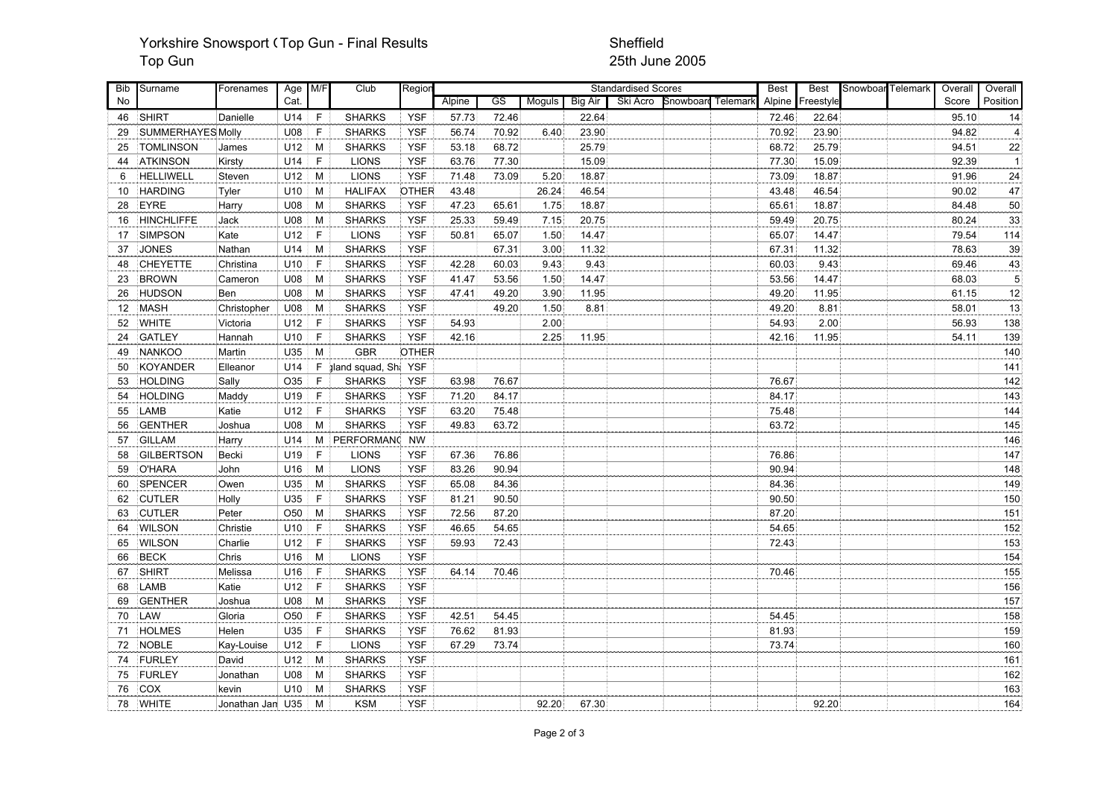# Yorkshire Snowsport (Top Gun - Final Results Sheffield Sheffield Top Gun - Sheffield Sheffield Sheffield Sheffield Sheffield Sheffield Sheffield Sheffield Sheffield Sheffield Sheffield Sheffield Sheffield Sheffield Sheffie

## 25th June 2005

| <b>Bib</b> | Surname           | Forenames        | Age             | M/F          | Club             | Region     |        |       |        |         | <b>Standardised Scores</b> |                           | <b>Best</b> | <b>Best</b> | Snowboar | Telemark | Overall | Overall        |
|------------|-------------------|------------------|-----------------|--------------|------------------|------------|--------|-------|--------|---------|----------------------------|---------------------------|-------------|-------------|----------|----------|---------|----------------|
| No         |                   |                  | Cat.            |              |                  |            | Alpine | GS    | Moguls | Big Air | Ski Acro                   | <b>Snowboard Telemark</b> | Alpine      | Freestyle   |          |          | Score   | Position       |
| 46         | <b>SHIRT</b>      | Danielle         | U14             | F            | <b>SHARKS</b>    | <b>YSF</b> | 57.73  | 72.46 |        | 22.64   |                            |                           | 72.46       | 22.64       |          |          | 95.10   | 14             |
| 29         | SUMMERHAYES Molly |                  | U08             | $\mathsf{F}$ | <b>SHARKS</b>    | <b>YSF</b> | 56.74  | 70.92 | 6.40   | 23.90   |                            |                           | 70.92       | 23.90       |          |          | 94.82   | $\overline{4}$ |
| 25         | <b>TOMLINSON</b>  | James            | U12             | M            | <b>SHARKS</b>    | <b>YSF</b> | 53.18  | 68.72 |        | 25.79   |                            |                           | 68.72       | 25.79       |          |          | 94.51   | 22             |
| 44         | <b>ATKINSON</b>   | Kirsty           | U14             | $\mathsf{F}$ | <b>LIONS</b>     | <b>YSF</b> | 63.76  | 77.30 |        | 15.09   |                            |                           | 77.30       | 15.09       |          |          | 92.39   | $\mathbf{1}$   |
| 6          | <b>HELLIWELL</b>  | Steven           | U12             | M            | <b>LIONS</b>     | <b>YSF</b> | 71.48  | 73.09 | 5.20   | 18.87   |                            |                           | 73.09       | 18.87       |          |          | 91.96   | 24             |
| 10         | <b>HARDING</b>    | Tyler            | U10             | M            | <b>HALIFAX</b>   | OTHER      | 43.48  |       | 26.24  | 46.54   |                            |                           | 43.48       | 46.54       |          |          | 90.02   | 47             |
| 28         | <b>EYRE</b>       | Harry            | <b>U08</b>      | M            | <b>SHARKS</b>    | <b>YSF</b> | 47.23  | 65.61 | 1.75   | 18.87   |                            |                           | 65.61       | 18.87       |          |          | 84.48   | 50             |
| 16         | <b>HINCHLIFFE</b> | Jack             | U08             | M            | <b>SHARKS</b>    | <b>YSF</b> | 25.33  | 59.49 | 7.15   | 20.75   |                            |                           | 59.49       | 20.75       |          |          | 80.24   | 33             |
| 17         | <b>SIMPSON</b>    | Kate             | U12             | F            | <b>LIONS</b>     | <b>YSF</b> | 50.81  | 65.07 | 1.50   | 14.47   |                            |                           | 65.07       | 14.47       |          |          | 79.54   | 114            |
| 37         | JONES             | Nathan           | U14             | M            | <b>SHARKS</b>    | <b>YSF</b> |        | 67.31 | 3.00   | 11.32   |                            |                           | 67.31       | 11.32       |          |          | 78.63   | 39             |
| 48         | <b>CHEYETTE</b>   | Christina        | U10             | $\mathsf F$  | <b>SHARKS</b>    | <b>YSF</b> | 42.28  | 60.03 | 9.43   | 9.43    |                            |                           | 60.03       | 9.43        |          |          | 69.46   | 43             |
| 23         | <b>BROWN</b>      | Cameron          | U08             | M            | <b>SHARKS</b>    | <b>YSF</b> | 41.47  | 53.56 | 1.50   | 14.47   |                            |                           | 53.56       | 14.47       |          |          | 68.03   | $\overline{5}$ |
| 26         | <b>HUDSON</b>     | <b>Ben</b>       | U08             | M            | <b>SHARKS</b>    | <b>YSF</b> | 47.41  | 49.20 | 3.90   | 11.95   |                            |                           | 49.20       | 11.95       |          |          | 61.15   | 12             |
| 12         | <b>MASH</b>       | Christopher      | U08             | M            | <b>SHARKS</b>    | <b>YSF</b> |        | 49.20 | 1.50   | 8.81    |                            |                           | 49.20       | 8.81        |          |          | 58.01   | 13             |
| 52         | <b>WHITE</b>      | Victoria         | U12             | $\mathsf{F}$ | <b>SHARKS</b>    | <b>YSF</b> | 54.93  |       | 2.00   |         |                            |                           | 54.93       | 2.00        |          |          | 56.93   | 138            |
| 24         | <b>GATLEY</b>     | Hannah           | U10             | F            | <b>SHARKS</b>    | <b>YSF</b> | 42.16  |       | 2.25   | 11.95   |                            |                           | 42.16       | 11.95       |          |          | 54.11   | 139            |
| 49         | <b>NANKOO</b>     | Martin           | U35             | M            | <b>GBR</b>       | OTHER      |        |       |        |         |                            |                           |             |             |          |          |         | 140            |
| 50         | <b>KOYANDER</b>   | Elleanor         | U14             | F            | gland squad, Sha | <b>YSF</b> |        |       |        |         |                            |                           |             |             |          |          |         | 141            |
| 53         | <b>HOLDING</b>    | Sally            | O35             | $\mathsf{F}$ | <b>SHARKS</b>    | <b>YSF</b> | 63.98  | 76.67 |        |         |                            |                           | 76.67       |             |          |          |         | 142            |
| 54         | <b>HOLDING</b>    | Maddy            | U19             | F            | <b>SHARKS</b>    | <b>YSF</b> | 71.20  | 84.17 |        |         |                            |                           | 84.17       |             |          |          |         | 143            |
| 55         | LAMB              | Katie            | U12             | F            | <b>SHARKS</b>    | <b>YSF</b> | 63.20  | 75.48 |        |         |                            |                           | 75.48       |             |          |          |         | 144            |
| 56         | <b>GENTHER</b>    | Joshua           | U08             | M            | <b>SHARKS</b>    | <b>YSF</b> | 49.83  | 63.72 |        |         |                            |                           | 63.72       |             |          |          |         | 145            |
| 57         | <b>GILLAM</b>     | Harry            | U14             | M            | PERFORMANO       | <b>NW</b>  |        |       |        |         |                            |                           |             |             |          |          |         | 146            |
| 58         | <b>GILBERTSON</b> | Becki            | U19             | F            | <b>LIONS</b>     | <b>YSF</b> | 67.36  | 76.86 |        |         |                            |                           | 76.86       |             |          |          |         | 147            |
| 59         | <b>O'HARA</b>     | John             | U16             | M            | <b>LIONS</b>     | <b>YSF</b> | 83.26  | 90.94 |        |         |                            |                           | 90.94       |             |          |          |         | 148            |
| 60         | <b>SPENCER</b>    | Owen             | U35             | M            | <b>SHARKS</b>    | <b>YSF</b> | 65.08  | 84.36 |        |         |                            |                           | 84.36       |             |          |          |         | 149            |
| 62         | <b>CUTLER</b>     | Holly            | U35             | F            | <b>SHARKS</b>    | <b>YSF</b> | 81.21  | 90.50 |        |         |                            |                           | 90.50       |             |          |          |         | 150            |
| 63         | <b>CUTLER</b>     | Peter            | O <sub>50</sub> | M            | <b>SHARKS</b>    | <b>YSF</b> | 72.56  | 87.20 |        |         |                            |                           | 87.20       |             |          |          |         | 151            |
| 64         | <b>WILSON</b>     | Christie         | U10             | $\mathsf F$  | <b>SHARKS</b>    | <b>YSF</b> | 46.65  | 54.65 |        |         |                            |                           | 54.65       |             |          |          |         | 152            |
| 65         | <b>WILSON</b>     | Charlie          | U12             | $\mathsf{F}$ | <b>SHARKS</b>    | <b>YSF</b> | 59.93  | 72.43 |        |         |                            |                           | 72.43       |             |          |          |         | 153            |
| 66         | <b>BECK</b>       | Chris            | U16             | M            | <b>LIONS</b>     | <b>YSF</b> |        |       |        |         |                            |                           |             |             |          |          |         | 154            |
| 67         | <b>SHIRT</b>      | Melissa          | U16             | F            | <b>SHARKS</b>    | <b>YSF</b> | 64.14  | 70.46 |        |         |                            |                           | 70.46       |             |          |          |         | 155            |
| 68         | LAMB              | Katie            | U12             | $\mathsf{F}$ | <b>SHARKS</b>    | <b>YSF</b> |        |       |        |         |                            |                           |             |             |          |          |         | 156            |
| 69         | <b>GENTHER</b>    | Joshua           | U08             | M            | <b>SHARKS</b>    | <b>YSF</b> |        |       |        |         |                            |                           |             |             |          |          |         | 157            |
| 70         | LAW               | Gloria           | O <sub>50</sub> | $\mathsf{F}$ | <b>SHARKS</b>    | <b>YSF</b> | 42.51  | 54.45 |        |         |                            |                           | 54.45       |             |          |          |         | 158            |
| 71         | <b>HOLMES</b>     | Helen            | U35             | $\mathsf F$  | <b>SHARKS</b>    | <b>YSF</b> | 76.62  | 81.93 |        |         |                            |                           | 81.93       |             |          |          |         | 159            |
| 72         | <b>NOBLE</b>      | Kay-Louise       | U12             | $\mathsf{F}$ | <b>LIONS</b>     | <b>YSF</b> | 67.29  | 73.74 |        |         |                            |                           | 73.74       |             |          |          |         | 160            |
| 74         | <b>FURLEY</b>     | David            | U12             | M            | <b>SHARKS</b>    | <b>YSF</b> |        |       |        |         |                            |                           |             |             |          |          |         | 161            |
| 75         | <b>FURLEY</b>     | Jonathan         | U08             | M            | <b>SHARKS</b>    | <b>YSF</b> |        |       |        |         |                            |                           |             |             |          |          |         | 162            |
| 76         | COX               | kevin            | U10             | M            | <b>SHARKS</b>    | <b>YSF</b> |        |       |        |         |                            |                           |             |             |          |          |         | 163            |
| 78         | <b>WHITE</b>      | Jonathan Jan U35 |                 | м            | <b>KSM</b>       | <b>YSF</b> |        |       | 92.20  | 67.30   |                            |                           |             | 92.20       |          |          |         | 164            |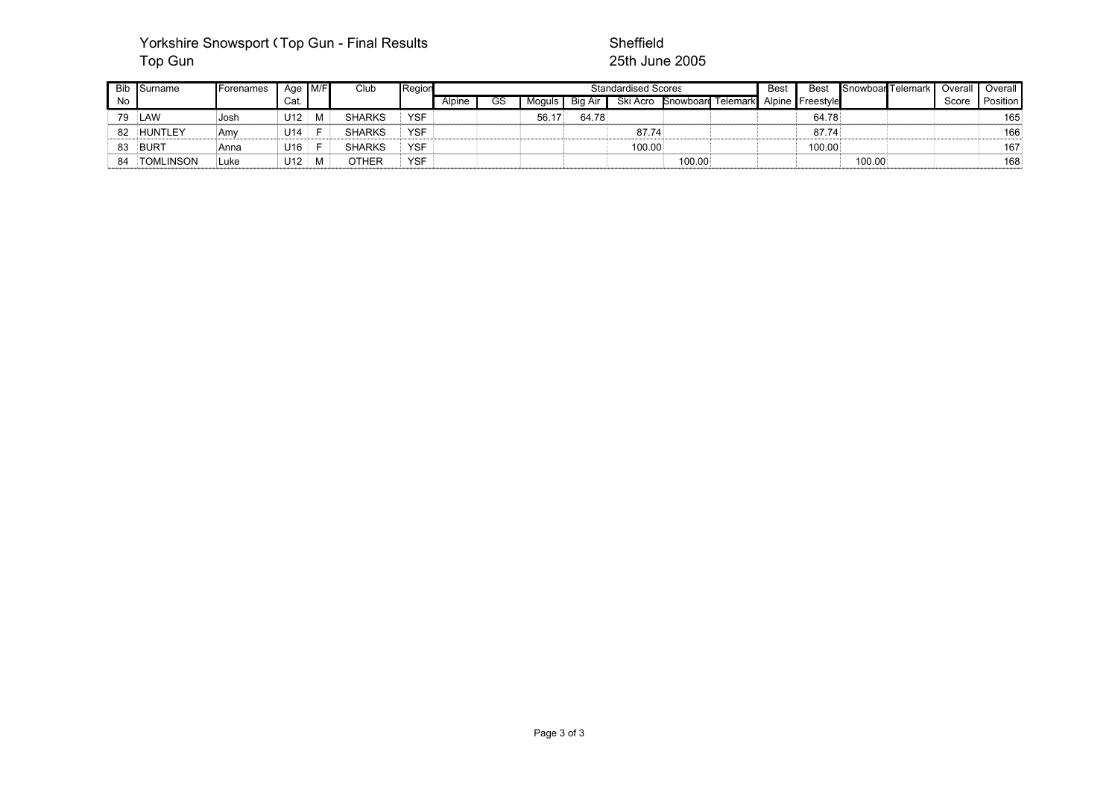# Yorkshire Snowsport (Top Gun - Final Results Sheffield Sheffield Top Gun - Sheffield Sheffield Sheffield Sheffield Sheffield Sheffield Sheffield Sheffield Sheffield Sheffield Sheffield Sheffield Sheffield Sheffield Sheffie

## 25th June 2005

| <b>Bib</b> | Surname          | Forenames | Age M/F |   | Club          | Region     |        |    |        |         | <b>Standardised Scores</b> |        |                                     | <b>Best</b> | Best   | <b>Snowboard Telemark</b> |       | Overall   Overall |
|------------|------------------|-----------|---------|---|---------------|------------|--------|----|--------|---------|----------------------------|--------|-------------------------------------|-------------|--------|---------------------------|-------|-------------------|
| No         |                  |           | Cat.    |   |               |            | Alpine | GS | Moguls | Bia Air | Ski Acro                   |        | Snowboard Telemark Alpine Freestyle |             |        |                           | Score | Position          |
| 79         | LAW              | Josh      | U12     | M | <b>SHARKS</b> | <b>YSF</b> |        |    | 56.17  | 64.78   |                            |        |                                     |             | 64.78  |                           |       | 165               |
| 82         | HUNTLEY          | Amv       | U14     |   | <b>SHARKS</b> | <b>YSF</b> |        |    |        |         | 87.74                      |        |                                     |             | 87.74  |                           |       | 166               |
| 83         | <b>BURT</b>      | Anna      | U16     |   | <b>SHARKS</b> | <b>YSF</b> |        |    |        |         | 100.00                     |        |                                     |             | 100.00 |                           |       | 167               |
| 84         | <b>TOMLINSON</b> | Luke      | U12     | М | <b>OTHER</b>  | <b>YSF</b> |        |    |        |         |                            | 100.00 |                                     |             |        | 100.00                    |       | 168               |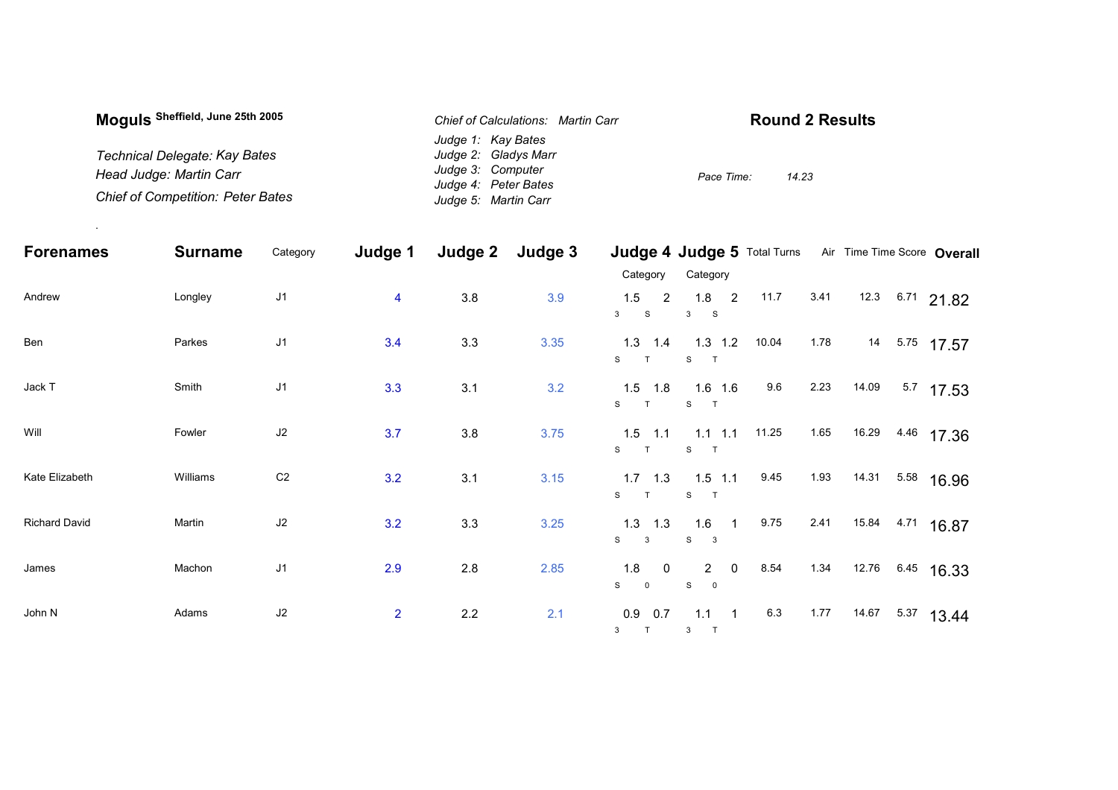| Moguls Sheffield, June 25th 2005         | Chief of Calculations: Martin Carr | <b>Round 2 Results</b> |
|------------------------------------------|------------------------------------|------------------------|
|                                          | Judge 1: Kay Bates                 |                        |
| Technical Delegate: Kay Bates            | Judge 2: Gladys Marr               |                        |
| Head Judge: Martin Carr                  | Judge 3: Computer                  | 14.23<br>Pace Time:    |
|                                          | Judge 4: Peter Bates               |                        |
| <b>Chief of Competition: Peter Bates</b> | Judge 5: Martin Carr               |                        |

.

| <b>Forenames</b> | <b>Surname</b> | Category       | Judge 1                 | Judge 2 Judge 3 |      |                                                        |                                                       |       |      |       | Judge 4 Judge 5 Total Turns Air Time Time Score Overall |
|------------------|----------------|----------------|-------------------------|-----------------|------|--------------------------------------------------------|-------------------------------------------------------|-------|------|-------|---------------------------------------------------------|
|                  |                |                |                         |                 |      | Category                                               | Category                                              |       |      |       |                                                         |
| Andrew           | Longley        | J1             | $\overline{\mathbf{4}}$ | $3.8\,$         | 3.9  | 1.5<br>2<br>3 <sup>1</sup><br>S                        | 1.8<br>$\overline{2}$<br>$\mathbf{3}$<br>$\mathbf{s}$ | 11.7  | 3.41 |       | 12.3 6.71 21.82                                         |
| Ben              | Parkes         | J1             | 3.4                     | 3.3             | 3.35 | $1.3$ 1.4<br>S<br>T                                    | $1.3$ 1.2<br>S T                                      | 10.04 | 1.78 | 14    | 5.75 17.57                                              |
| Jack T           | Smith          | J1             | 3.3                     | 3.1             | 3.2  | $1.5$ 1.8<br>S<br>$\mathsf{T}$                         | $1.6$ 1.6<br>S<br>$\top$                              | 9.6   | 2.23 | 14.09 | 5.7<br>17.53                                            |
| Will             | Fowler         | J2             | 3.7                     | 3.8             | 3.75 | $1.5$ 1.1<br>S T                                       | $1.1$ 1.1<br>S<br>$\top$                              | 11.25 | 1.65 | 16.29 | 4.46 17.36                                              |
| Kate Elizabeth   | Williams       | C <sub>2</sub> | 3.2                     | 3.1             | 3.15 | $1.7$ 1.3<br>S<br>$\mathsf{T}$                         | $1.5$ 1.1<br>S<br>$\mathsf{T}$                        | 9.45  | 1.93 | 14.31 | 5.58 16.96                                              |
| Richard David    | Martin         | $\sf J2$       | 3.2                     | 3.3             | 3.25 | $1.3$ $1.3$<br>S<br>$\overline{\mathbf{3}}$            | 1.6<br>$\overline{1}$<br>S<br>$\overline{\mathbf{3}}$ | 9.75  | 2.41 |       | 15.84 4.71 16.87                                        |
| James            | Machon         | J1             | 2.9                     | 2.8             | 2.85 | 1.8<br>$\overline{\phantom{0}}$<br>S<br>$\overline{0}$ | $2 \t 0$<br>${\mathsf S}$<br>$\overline{\mathbf{0}}$  | 8.54  | 1.34 |       | 12.76 6.45 16.33                                        |
| John N           | Adams          | $\sf J2$       | $\overline{2}$          | 2.2             | 2.1  | $0.9$ 0.7<br>$3$ T                                     | $1.1 \t1$<br>3<br>$\mathsf{T}$                        | 6.3   | 1.77 | 14.67 | $5.37$ 13.44                                            |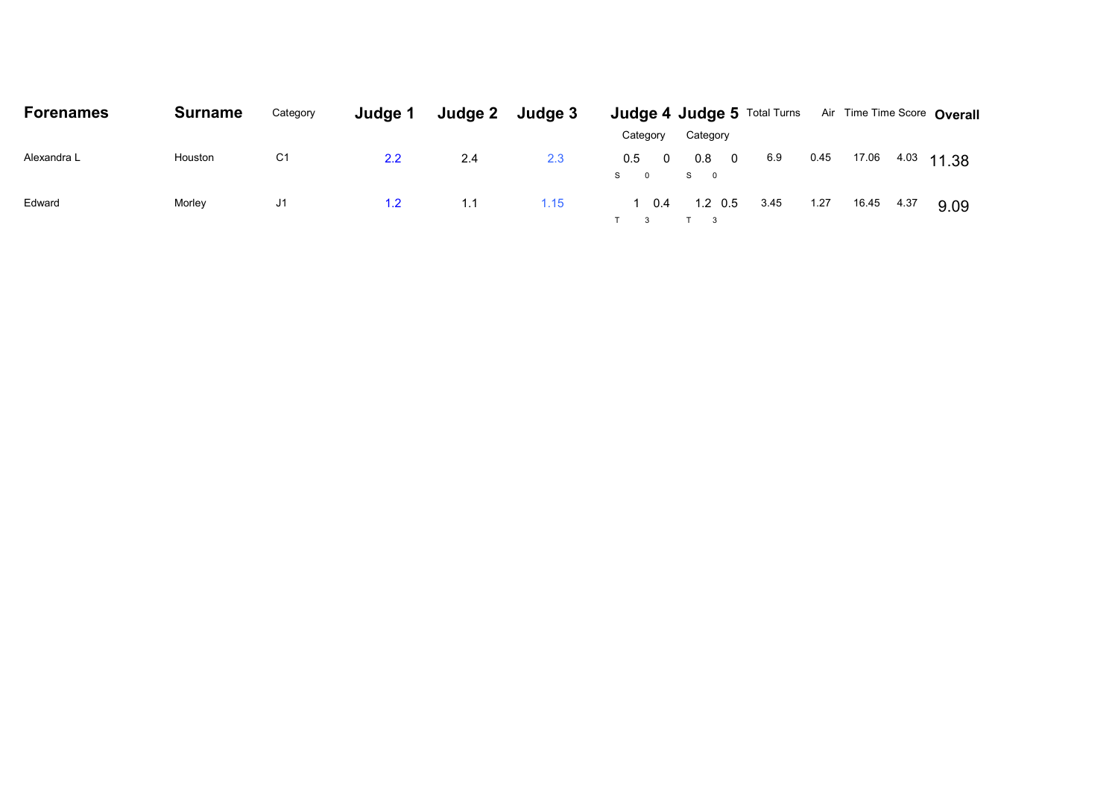| <b>Forenames</b> | <b>Surname</b> | Category       | Judge 1          | Judge 2 Judge 3 |      | <b>Judge 4 Judge 5 Total Turns</b><br>Air Time Time Score Overall                                      |  |
|------------------|----------------|----------------|------------------|-----------------|------|--------------------------------------------------------------------------------------------------------|--|
|                  |                |                |                  |                 |      | Category<br>Category                                                                                   |  |
| Alexandra L      | Houston        | C <sub>1</sub> | 2.2              | 2.4             | 2.3  | 17.06<br>6.9<br>0.45<br>0.5<br>4.03<br>0.8<br>$\Omega$<br>$\mathbf 0$<br>11.38<br>$S \t 0$<br>$S \t 0$ |  |
| Edward           | Morley         | J1             | 1.2 <sub>1</sub> | 1.1             | 1.15 | 1.27<br>16.45<br>3.45<br>4.37<br>1.2 0.5<br>0.4<br>9.09<br>the company                                 |  |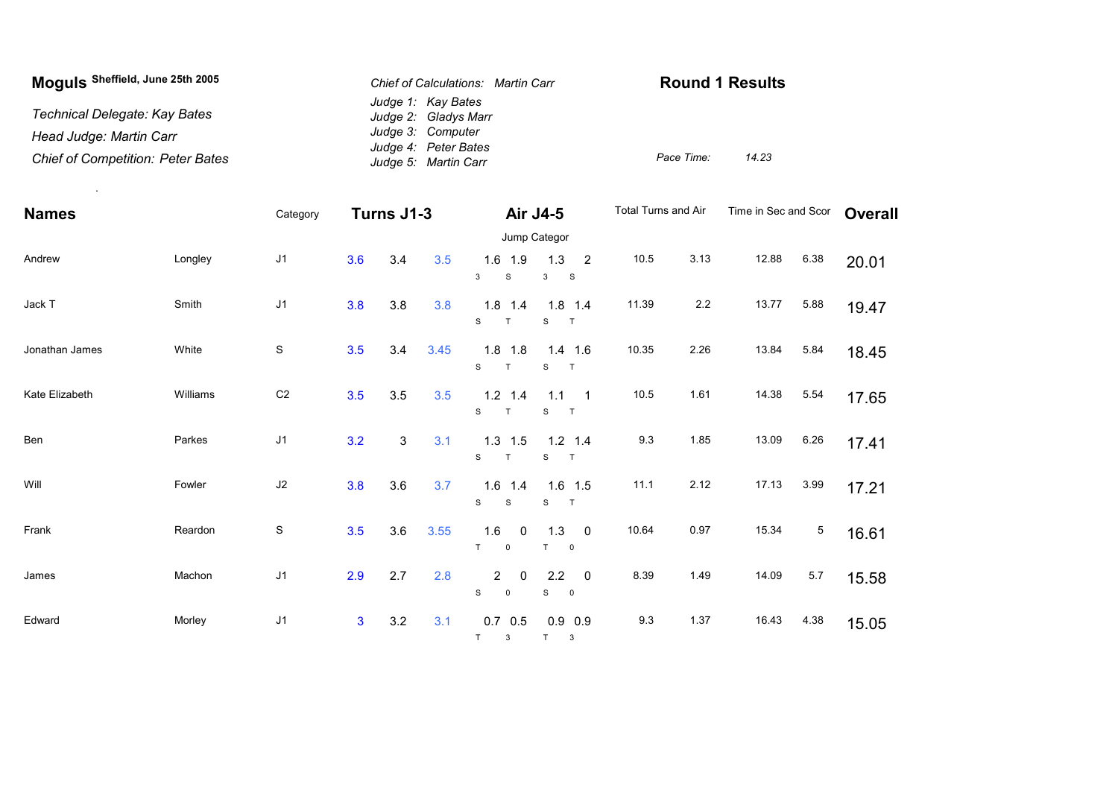| Moguls Sheffield, June 25th 2005         | <b>Chief of Calculations: Martin Carr</b> | <b>Round 1 Results</b> |  |
|------------------------------------------|-------------------------------------------|------------------------|--|
|                                          | Judge 1: Kay Bates                        |                        |  |
| Technical Delegate: Kay Bates            | Judge 2: Gladys Marr                      |                        |  |
| Head Judge: Martin Carr                  | Judge 3: Computer                         |                        |  |
|                                          | Judge 4: Peter Bates                      |                        |  |
| <b>Chief of Competition: Peter Bates</b> | Judge 5: Martin Carr                      | Pace Time:<br>14.23    |  |

| <b>Names</b>   |          | Category       |     | Turns J1-3 |      |                                           | Air J4-5                                           | Total Turns and Air |         | Time in Sec and Scor |                | <b>Overall</b> |
|----------------|----------|----------------|-----|------------|------|-------------------------------------------|----------------------------------------------------|---------------------|---------|----------------------|----------------|----------------|
|                |          |                |     |            |      |                                           | Jump Categor                                       |                     |         |                      |                |                |
| Andrew         | Longley  | J <sub>1</sub> | 3.6 | 3.4        | 3.5  | 1.6 1.9<br>$\mathbf S$<br>3               | 1.3<br>$\overline{2}$<br>$\mathbf{3}$<br>S         | 10.5                | 3.13    | 12.88                | 6.38           | 20.01          |
| Jack T         | Smith    | J <sub>1</sub> | 3.8 | 3.8        | 3.8  | $1.8$ 1.4<br>S<br>T                       | $1.8$ 1.4<br>S<br>$\top$                           | 11.39               | $2.2\,$ | 13.77                | 5.88           | 19.47          |
| Jonathan James | White    | $\mathbf S$    | 3.5 | 3.4        | 3.45 | $1.8$ 1.8<br>S<br>T                       | $1.4$ 1.6<br>S<br>T                                | 10.35               | 2.26    | 13.84                | 5.84           | 18.45          |
| Kate Elizabeth | Williams | C <sub>2</sub> | 3.5 | 3.5        | 3.5  | $1.2$ 1.4<br>S<br>T                       | 1.1<br>$\overline{\phantom{0}}$ 1<br>S<br>$\top$   | 10.5                | 1.61    | 14.38                | 5.54           | 17.65          |
| Ben            | Parkes   | J <sub>1</sub> | 3.2 | 3          | 3.1  | $1.3$ 1.5<br>S<br>T                       | $1.2$ 1.4<br>S<br>$\top$                           | 9.3                 | 1.85    | 13.09                | 6.26           | 17.41          |
| Will           | Fowler   | $\sf J2$       | 3.8 | 3.6        | 3.7  | $1.6$ 1.4<br>S<br>$\mathbf S$             | $1.6$ 1.5<br>S<br>T                                | 11.1                | 2.12    | 17.13                | 3.99           | 17.21          |
| Frank          | Reardon  | $\mathbb S$    | 3.5 | 3.6        | 3.55 | 1.6<br>$\overline{0}$<br>T<br>$\mathbf 0$ | 1.3<br>$\overline{\mathbf{0}}$<br>T<br>$\mathbf 0$ | 10.64               | 0.97    | 15.34                | $\overline{5}$ | 16.61          |
| James          | Machon   | J <sub>1</sub> | 2.9 | 2.7        | 2.8  | $2^{\circ}$<br>0<br>S<br>$\mathsf 0$      | $2.2 \t 0$<br>S<br>$\mathsf 0$                     | 8.39                | 1.49    | 14.09                | 5.7            | 15.58          |
| Edward         | Morley   | J <sub>1</sub> | 3   | 3.2        | 3.1  | $0.7\quad 0.5$<br>T<br>3                  | $0.9$ 0.9<br>$T \quad 3$                           | 9.3                 | 1.37    | 16.43                | 4.38           | 15.05          |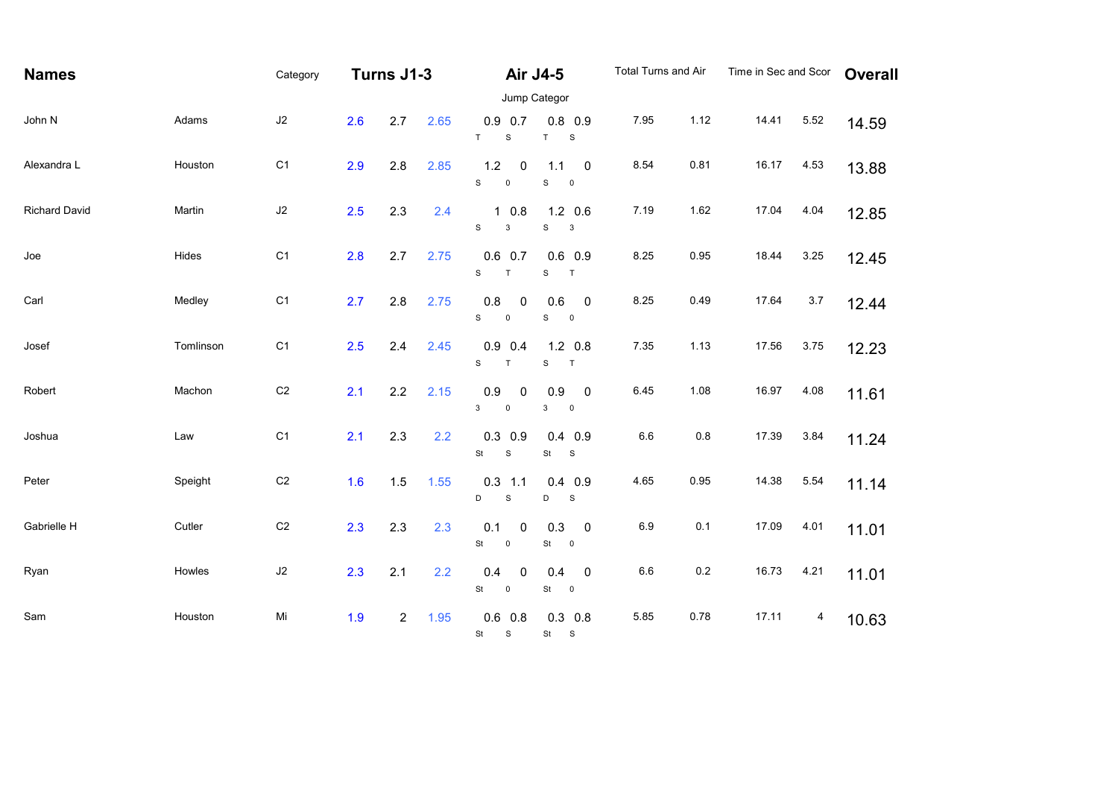| <b>Names</b>  |           | Category       |     | Turns J1-3     |      | Air J4-5                                                  |                                                           | Total Turns and Air |         | Time in Sec and Scor |      | <b>Overall</b> |
|---------------|-----------|----------------|-----|----------------|------|-----------------------------------------------------------|-----------------------------------------------------------|---------------------|---------|----------------------|------|----------------|
|               |           |                |     |                |      |                                                           | Jump Categor                                              |                     |         |                      |      |                |
| John N        | Adams     | $\sf J2$       | 2.6 | 2.7            | 2.65 | $0.9$ 0.7<br>T<br>$\mathbf S$                             | $0.8$ 0.9<br>$\mathsf T$<br>$\mathbf S$                   | 7.95                | 1.12    | 14.41                | 5.52 | 14.59          |
| Alexandra L   | Houston   | C <sub>1</sub> | 2.9 | 2.8            | 2.85 | 1.2<br>$\mathbf 0$<br>$\mathbf{s}$<br>$\mathsf{O}\xspace$ | 1.1<br>0<br>$\mathbf S$<br>$\mathbf 0$                    | 8.54                | 0.81    | 16.17                | 4.53 | 13.88          |
| Richard David | Martin    | $\sf J2$       | 2.5 | 2.3            | 2.4  | $1 \t0.8$<br>$\mathbf S$<br>$\mathbf{3}$                  | $1.2 \quad 0.6$<br>$\mathbf S$<br>$\mathbf{3}$            | 7.19                | 1.62    | 17.04                | 4.04 | 12.85          |
| Joe           | Hides     | C <sub>1</sub> | 2.8 | 2.7            | 2.75 | $0.6$ 0.7<br>$\mathbf S$<br>$\mathsf{T}$                  | $0.6$ 0.9<br>$\mathbf S$<br>$\top$                        | 8.25                | 0.95    | 18.44                | 3.25 | 12.45          |
| Carl          | Medley    | C <sub>1</sub> | 2.7 | 2.8            | 2.75 | 0.8<br>0<br>S<br>$\mathbf 0$                              | 0.6<br>$\mathbf 0$<br>$\mathbf S$<br>$\mathsf{O}$         | 8.25                | 0.49    | 17.64                | 3.7  | 12.44          |
| Josef         | Tomlinson | C <sub>1</sub> | 2.5 | 2.4            | 2.45 | $0.9$ 0.4<br>$\mathbf S$<br>$\mathsf{T}$                  | $1.2 \quad 0.8$<br>${\mathsf S}$<br>$\mathsf T$           | 7.35                | 1.13    | 17.56                | 3.75 | 12.23          |
| Robert        | Machon    | C <sub>2</sub> | 2.1 | 2.2            | 2.15 | 0.9<br>0<br>$\mathbf{3}$<br>$\mathbf 0$                   | 0.9<br>$\pmb{0}$<br>$\mathbf{3}$<br>$\mathsf 0$           | 6.45                | 1.08    | 16.97                | 4.08 | 11.61          |
| Joshua        | Law       | C <sub>1</sub> | 2.1 | 2.3            | 2.2  | $0.3$ 0.9<br>St<br>${\mathsf S}$                          | $0.4$ 0.9<br>St<br>${\bf S}$                              | 6.6                 | 0.8     | 17.39                | 3.84 | 11.24          |
| Peter         | Speight   | C <sub>2</sub> | 1.6 | 1.5            | 1.55 | $0.3$ 1.1<br>D<br>$\mathbf S$                             | $0.4$ 0.9<br>D<br>$\mathbf S$                             | 4.65                | 0.95    | 14.38                | 5.54 | 11.14          |
| Gabrielle H   | Cutler    | C <sub>2</sub> | 2.3 | 2.3            | 2.3  | 0.1<br>$\mathbf 0$<br>St<br>$\mathsf 0$                   | 0.3<br>0<br>St<br>$\overline{\phantom{0}}$                | 6.9                 | 0.1     | 17.09                | 4.01 | 11.01          |
| Ryan          | Howles    | $\sf J2$       | 2.3 | 2.1            | 2.2  | 0.4<br>$\mathbf 0$<br>St<br>$\mathsf 0$                   | 0.4<br>$\pmb{0}$<br><b>St</b><br>$\overline{\phantom{0}}$ | 6.6                 | $0.2\,$ | 16.73                | 4.21 | 11.01          |
| Sam           | Houston   | Mi             | 1.9 | $\overline{2}$ | 1.95 | $0.6$ 0.8<br>St S                                         | $0.3$ 0.8<br>St S                                         | 5.85                | 0.78    | 17.11                | 4    | 10.63          |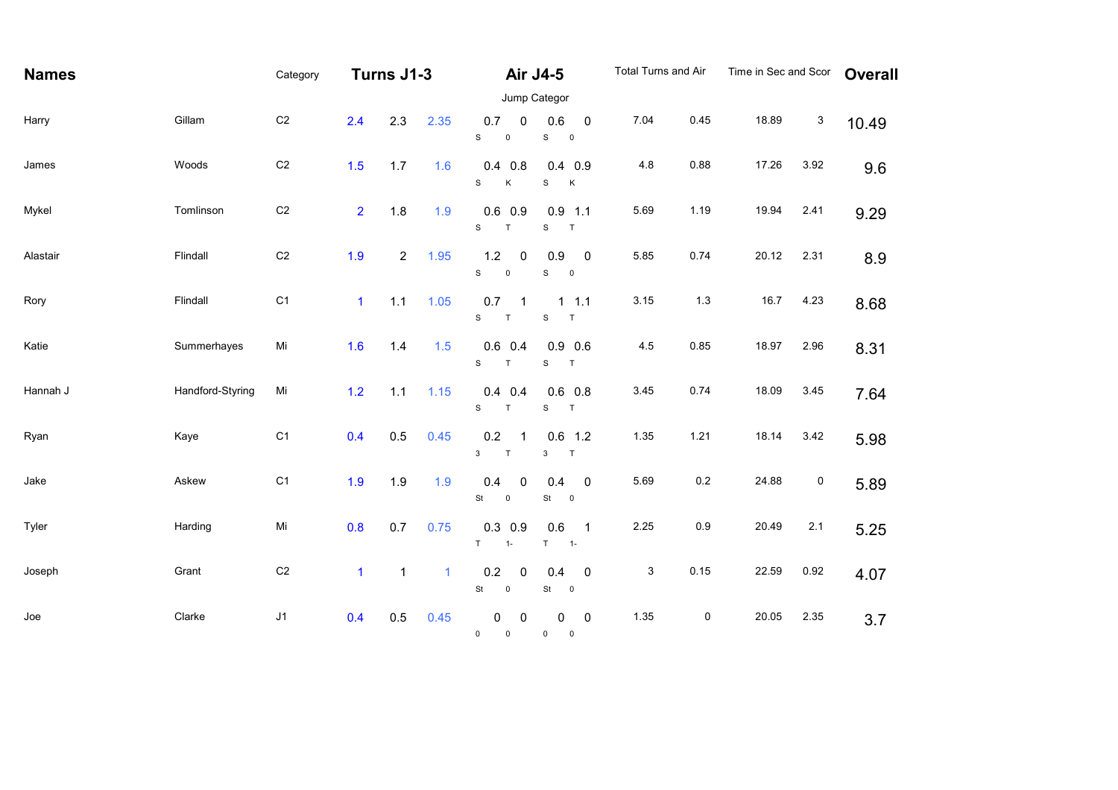| <b>Names</b> |                  | Category       |                | Turns J1-3     |              | Air J4-5                                        |                                                    | Total Turns and Air |           | Time in Sec and Scor |           | <b>Overall</b> |
|--------------|------------------|----------------|----------------|----------------|--------------|-------------------------------------------------|----------------------------------------------------|---------------------|-----------|----------------------|-----------|----------------|
|              |                  |                |                |                |              | Jump Categor                                    |                                                    |                     |           |                      |           |                |
| Harry        | Gillam           | $\mbox{C2}$    | 2.4            | 2.3            | 2.35         | 0.7<br>0<br>$\mathsf{s}$<br>$\pmb{0}$           | 0.6<br>0<br>$\mathbf S$<br>$\mathbf 0$             | 7.04                | 0.45      | 18.89                | 3         | 10.49          |
| James        | Woods            | C <sub>2</sub> | 1.5            | 1.7            | 1.6          | $0.4$ 0.8<br>Κ<br>S                             | $0.4$ 0.9<br>${\bf S}$<br>К                        | $4.8\,$             | 0.88      | 17.26                | 3.92      | 9.6            |
| Mykel        | Tomlinson        | C <sub>2</sub> | $\overline{2}$ | 1.8            | 1.9          | $0.6$ 0.9<br>S<br>T                             | $0.9$ 1.1<br>$\mathbf S$<br>T                      | 5.69                | 1.19      | 19.94                | 2.41      | 9.29           |
| Alastair     | Flindall         | $\mbox{C2}$    | 1.9            | $\overline{2}$ | 1.95         | 1.2<br>0<br>$\mathbf s$<br>$\pmb{0}$            | 0.9<br>0<br>${\mathsf S}$<br>$\mathbf 0$           | 5.85                | 0.74      | 20.12                | 2.31      | 8.9            |
| Rory         | Flindall         | C1             | $\mathbf{1}$   | 1.1            | 1.05         | 0.7<br>$\overline{1}$<br>$\mathbf{s}$<br>$\top$ | $1 \t1.1$<br>$\mathbf S$<br>$\top$                 | 3.15                | $1.3$     | 16.7                 | 4.23      | 8.68           |
| Katie        | Summerhayes      | Mi             | 1.6            | 1.4            | 1.5          | $0.6$ 0.4<br>S<br>T                             | $0.9\ 0.6$<br>$\mathbf S$<br>T                     | 4.5                 | 0.85      | 18.97                | 2.96      | 8.31           |
| Hannah J     | Handford-Styring | Mi             | 1.2            | 1.1            | 1.15         | $0.4$ 0.4<br>S<br>$\mathsf T$                   | $0.6$ 0.8<br>${\mathbb S}$<br>T                    | 3.45                | 0.74      | 18.09                | 3.45      | 7.64           |
| Ryan         | Kaye             | C1             | 0.4            | 0.5            | 0.45         | 0.2<br>1<br>$\mathbf{3}$<br>$\top$              | $0.6$ 1.2<br>$\mathbf{3}$<br>$\top$                | 1.35                | 1.21      | 18.14                | 3.42      | 5.98           |
| Jake         | Askew            | C <sub>1</sub> | 1.9            | 1.9            | 1.9          | 0.4<br>0<br>St<br>$\mathbf 0$                   | 0.4<br>$\pmb{0}$<br>St<br>$\overline{\phantom{0}}$ | 5.69                | $0.2\,$   | 24.88                | $\pmb{0}$ | 5.89           |
| Tyler        | Harding          | Mi             | 0.8            | 0.7            | 0.75         | $0.3$ 0.9<br>$\mathsf{T}$<br>$1-$               | 0.6<br>$\mathbf{1}$<br>$T = 1$                     | 2.25                | $0.9\,$   | 20.49                | 2.1       | 5.25           |
| Joseph       | Grant            | $\mbox{C2}$    | $\mathbf{1}$   | $\mathbf{1}$   | $\mathbf{1}$ | 0.2<br>$\mathbf 0$<br>St<br>$\pmb{0}$           | 0.4<br>$\pmb{0}$<br>St<br>$\overline{\phantom{0}}$ | 3                   | 0.15      | 22.59                | 0.92      | 4.07           |
| Joe          | Clarke           | J1             | 0.4            | 0.5            | 0.45         | $\pmb{0}$<br>$\pmb{0}$<br>$\mathsf 0$<br>0      | $\pmb{0}$<br>0<br>0<br>$\mathsf 0$                 | 1.35                | $\pmb{0}$ | 20.05                | 2.35      | 3.7            |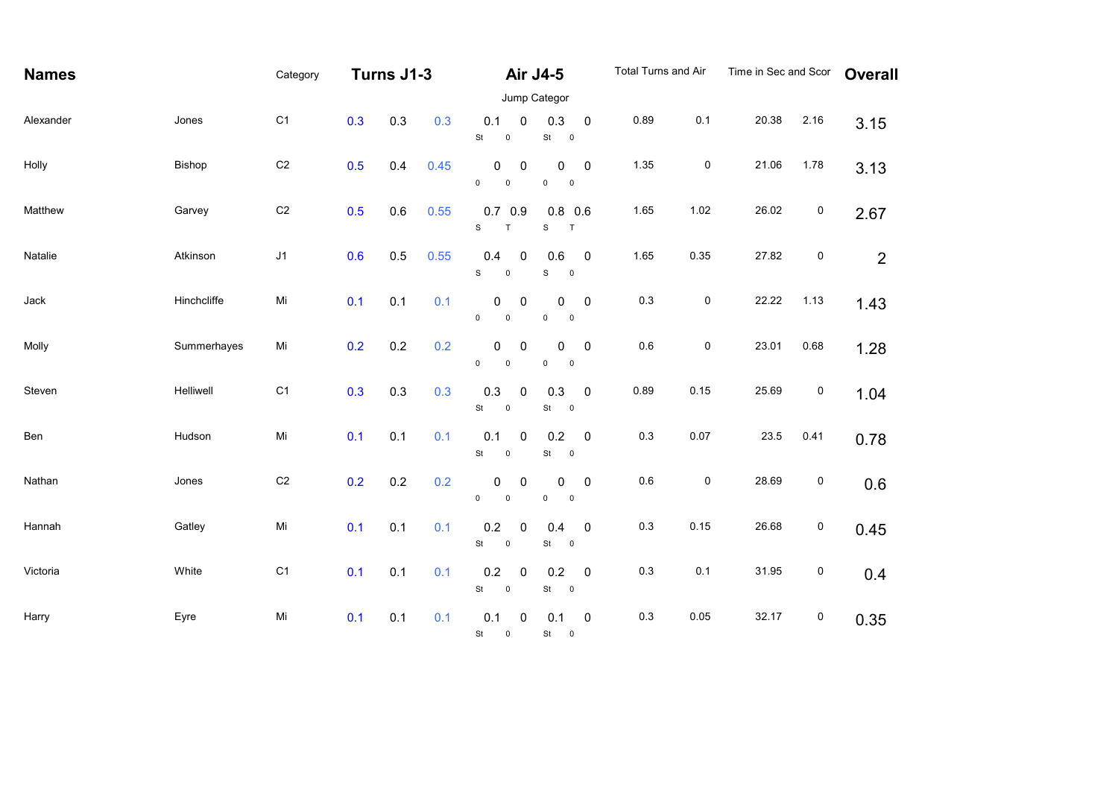| <b>Names</b> |             | Category       |     | Turns J1-3 |      |                                                 | Air J4-5                                                      | Total Turns and Air |           | Time in Sec and Scor |           | <b>Overall</b> |
|--------------|-------------|----------------|-----|------------|------|-------------------------------------------------|---------------------------------------------------------------|---------------------|-----------|----------------------|-----------|----------------|
|              |             |                |     |            |      |                                                 | Jump Categor                                                  |                     |           |                      |           |                |
| Alexander    | Jones       | C1             | 0.3 | 0.3        | 0.3  | 0.1<br>0<br>St<br>$\pmb{0}$                     | 0.3<br>$\pmb{0}$<br>$\mathsf{St}$<br>$\overline{\phantom{0}}$ | 0.89                | 0.1       | 20.38                | 2.16      | 3.15           |
| Holly        | Bishop      | $\mbox{C2}$    | 0.5 | 0.4        | 0.45 | 0<br>$\mathbf 0$<br>$\mathsf 0$<br>$\pmb{0}$    | 0<br>$\mathbf 0$<br>$\pmb{0}$<br>$\,$ 0                       | 1.35                | $\pmb{0}$ | 21.06                | 1.78      | 3.13           |
| Matthew      | Garvey      | C <sub>2</sub> | 0.5 | 0.6        | 0.55 | $0.7\quad0.9$<br>$\mathbf{s}$<br>T              | $0.8\ 0.6$<br>$\mathbf S$<br>$\top$                           | 1.65                | 1.02      | 26.02                | $\pmb{0}$ | 2.67           |
| Natalie      | Atkinson    | $\sf J1$       | 0.6 | 0.5        | 0.55 | 0.4<br>0<br>$\mathbf S$<br>$\pmb{0}$            | 0.6<br>$\pmb{0}$<br>$\mathbf S$<br>$\pmb{0}$                  | 1.65                | 0.35      | 27.82                | 0         | $\overline{2}$ |
| Jack         | Hinchcliffe | Mi             | 0.1 | 0.1        | 0.1  | 0<br>$\mathbf 0$<br>$\mathsf 0$<br>$\mathsf 0$  | $\pmb{0}$<br>0<br>$\pmb{0}$<br>$\,$ 0                         | 0.3                 | $\pmb{0}$ | 22.22                | 1.13      | 1.43           |
| Molly        | Summerhayes | Mi             | 0.2 | 0.2        | 0.2  | 0<br>0<br>$\mathsf{O}\xspace$<br>$\mathbf 0$    | $\mathbf 0$<br>0<br>$\pmb{0}$<br>$\pmb{0}$                    | $0.6\,$             | $\pmb{0}$ | 23.01                | 0.68      | 1.28           |
| Steven       | Helliwell   | C <sub>1</sub> | 0.3 | 0.3        | 0.3  | 0.3<br>$\pmb{0}$<br>St<br>$\mathsf 0$           | 0.3<br>$\pmb{0}$<br>St<br>$\overline{\phantom{0}}$            | 0.89                | 0.15      | 25.69                | $\pmb{0}$ | 1.04           |
| Ben          | Hudson      | Mi             | 0.1 | 0.1        | 0.1  | 0.1<br>$\pmb{0}$<br>St<br>$\mathbf 0$           | 0.2<br>$\pmb{0}$<br>$\mathsf{St}$<br>$\overline{\phantom{0}}$ | 0.3                 | 0.07      | 23.5                 | 0.41      | 0.78           |
| Nathan       | Jones       | C <sub>2</sub> | 0.2 | 0.2        | 0.2  | 0<br>$\mathbf 0$<br>$\mathsf{O}$<br>$\mathsf 0$ | 0<br>$\pmb{0}$<br>$\mathbf 0$<br>$\mathbf 0$                  | 0.6                 | $\pmb{0}$ | 28.69                | $\pmb{0}$ | 0.6            |
| Hannah       | Gatley      | Mi             | 0.1 | 0.1        | 0.1  | 0.2<br>$\pmb{0}$<br>St<br>$\mathbf 0$           | $\pmb{0}$<br>0.4<br>St<br>$\overline{\phantom{0}}$            | 0.3                 | 0.15      | 26.68                | 0         | 0.45           |
| Victoria     | White       | C <sub>1</sub> | 0.1 | 0.1        | 0.1  | 0.2<br>$\pmb{0}$<br>St<br>$\pmb{0}$             | 0.2<br>$\pmb{0}$<br>St<br>$\overline{\phantom{0}}$            | 0.3                 | 0.1       | 31.95                | 0         | 0.4            |
| Harry        | Eyre        | Mi             | 0.1 | 0.1        | 0.1  | 0.1<br>0<br>St 0                                | $\pmb{0}$<br>0.1<br>St 0                                      | 0.3                 | 0.05      | 32.17                | 0         | 0.35           |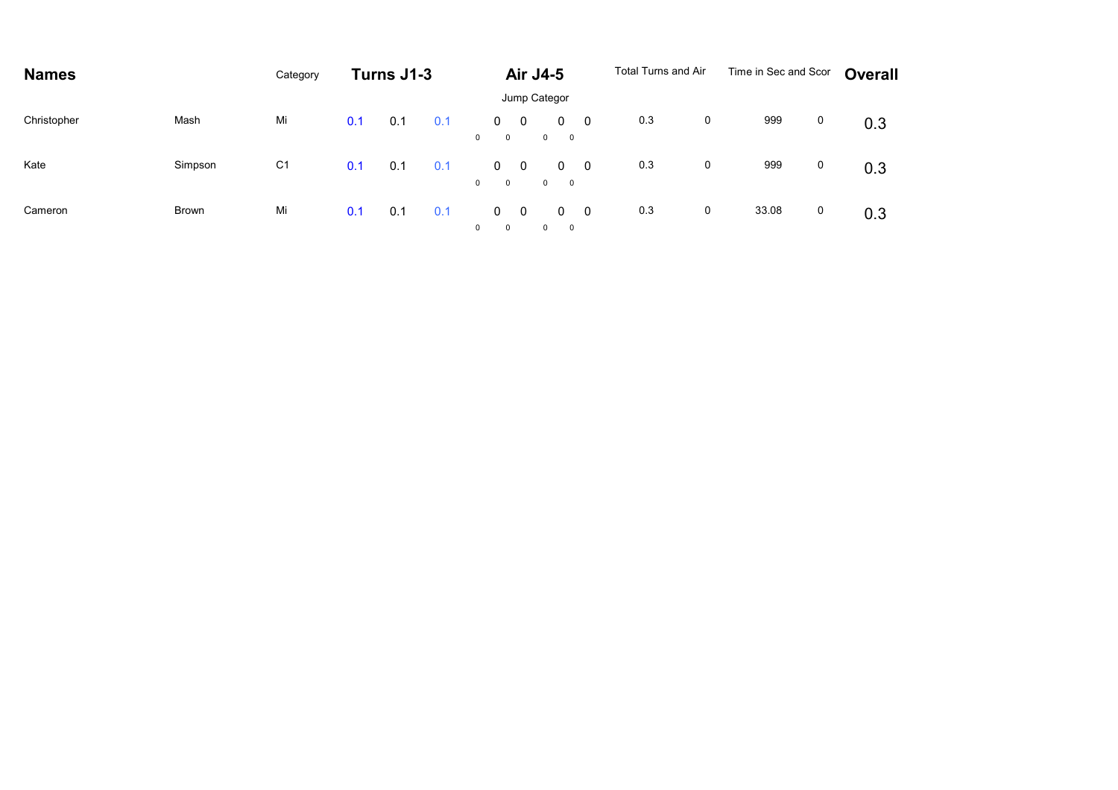| <b>Names</b> |              | Category       |     | Turns J1-3 |     |                |                  |             | Air J4-5     |                                         |                          | Total Turns and Air |   | Time in Sec and Scor | <b>Overall</b> |
|--------------|--------------|----------------|-----|------------|-----|----------------|------------------|-------------|--------------|-----------------------------------------|--------------------------|---------------------|---|----------------------|----------------|
|              |              |                |     |            |     |                |                  |             | Jump Categor |                                         |                          |                     |   |                      |                |
| Christopher  | Mash         | Mi             | 0.1 | 0.1        | 0.1 | $\overline{0}$ | 0<br>$\mathbf 0$ | $\mathbf 0$ |              | $\mathbf 0$<br>$0\qquad 0$              | $\overline{\phantom{0}}$ | 0.3                 | 0 | 999<br>0             | 0.3            |
| Kate         | Simpson      | C <sub>1</sub> | 0.1 | 0.1        | 0.1 | $\overline{0}$ | 0<br>$\mathbf 0$ | $\mathbf 0$ |              | $\mathbf 0$<br>$0\qquad 0$              | $\overline{\phantom{0}}$ | 0.3                 | 0 | 999<br>0             | 0.3            |
| Cameron      | <b>Brown</b> | Mi             | 0.1 | 0.1        | 0.1 | $\mathbf 0$    | 0<br>$\mathbf 0$ | $\mathbf 0$ | $\mathbf{0}$ | $\mathbf{0}$<br>$\overline{\mathbf{0}}$ | $\overline{\phantom{0}}$ | 0.3                 | 0 | 33.08<br>0           | 0.3            |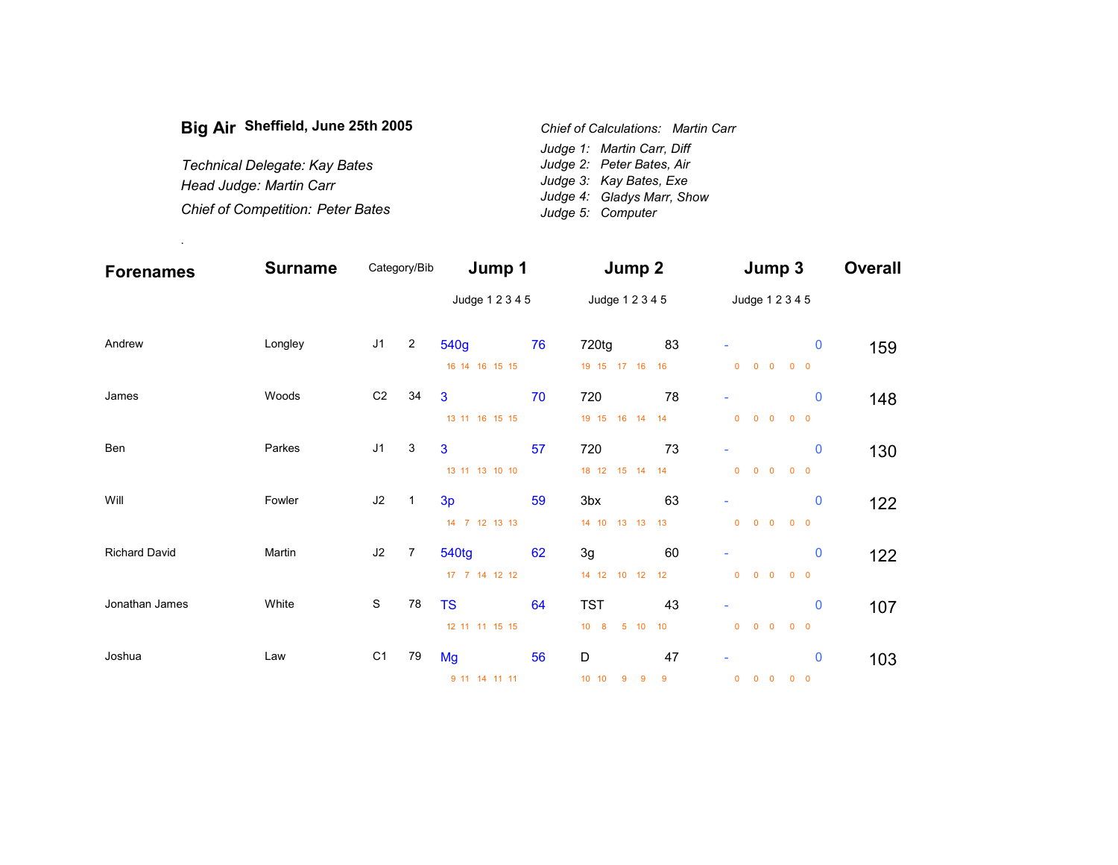| Big Air Sheffield, June 25th 2005        | Chief of Calculations: Martin Carr |
|------------------------------------------|------------------------------------|
|                                          | Judge 1: Martin Carr, Diff         |
| Technical Delegate: Kay Bates            | Judge 2: Peter Bates, Air          |
| Head Judge: Martin Carr                  | Judge 3: Kay Bates, Exe            |
|                                          | Judge 4: Gladys Marr, Show         |
| <b>Chief of Competition: Peter Bates</b> | Judge 5: Computer                  |

.

| <b>Forenames</b>     | <b>Surname</b> | Category/Bib   |                | Jump 1                         |    | Jump 2                                 |                      | Jump 3                                                      | <b>Overall</b> |
|----------------------|----------------|----------------|----------------|--------------------------------|----|----------------------------------------|----------------------|-------------------------------------------------------------|----------------|
|                      |                |                |                | Judge 1 2 3 4 5                |    | Judge 1 2 3 4 5                        |                      | Judge 1 2 3 4 5                                             |                |
| Andrew               | Longley        | J <sub>1</sub> | $\overline{2}$ | 540g<br>16 14 16 15 15         | 76 | 720tg<br>19 15 17 16                   | 83<br>16             | $\mathbf 0$<br>$0\quad 0$<br>$0\quad 0$<br>$\overline{0}$   | 159            |
| James                | Woods          | C <sub>2</sub> | 34             | $\mathbf{3}$<br>13 11 16 15 15 | 70 | 720<br>19 15 16 14                     | 78<br>14             | $\bf{0}$<br>۰<br>$0\quad 0$<br>$\overline{0}$<br>$0\quad 0$ | 148            |
| Ben                  | Parkes         | J <sub>1</sub> | 3              | 3<br>13 11 13 10 10            | 57 | 720<br>18 12 15 14                     | 73<br>14             | $\mathbf 0$<br>$0\quad 0$<br>$0\quad 0$<br>$\overline{0}$   | 130            |
| Will                 | Fowler         | J2             | $\mathbf 1$    | 3p<br>14 7 12 13 13            | 59 | 3bx<br>14 10 13 13                     | 63<br>13             | $\mathbf 0$<br>$0\quad 0$<br>$\overline{0}$<br>$0\quad 0$   | 122            |
| <b>Richard David</b> | Martin         | J2             | $\overline{7}$ | <b>540tg</b><br>17 7 14 12 12  | 62 | 3g<br>14 12 10 12                      | 60<br>12             | $\mathbf 0$<br>$0$ 0 0<br>$0\quad 0$                        | 122            |
| Jonathan James       | White          | ${\mathsf S}$  | 78             | <b>TS</b><br>12 11 11 15 15    | 64 | <b>TST</b><br>$10 \quad 8$<br>$5 - 10$ | 43<br>10             | $\mathbf 0$<br>$0\quad 0$<br>$\overline{0}$<br>$0\quad 0$   | 107            |
| Joshua               | Law            | C <sub>1</sub> | 79             | Mg<br>9 11 14 11 11            | 56 | D<br>10 10 9 9                         | 47<br>$\overline{9}$ | 0<br>٠<br>$0\qquad 0\qquad 0\qquad 0\qquad 0$               | 103            |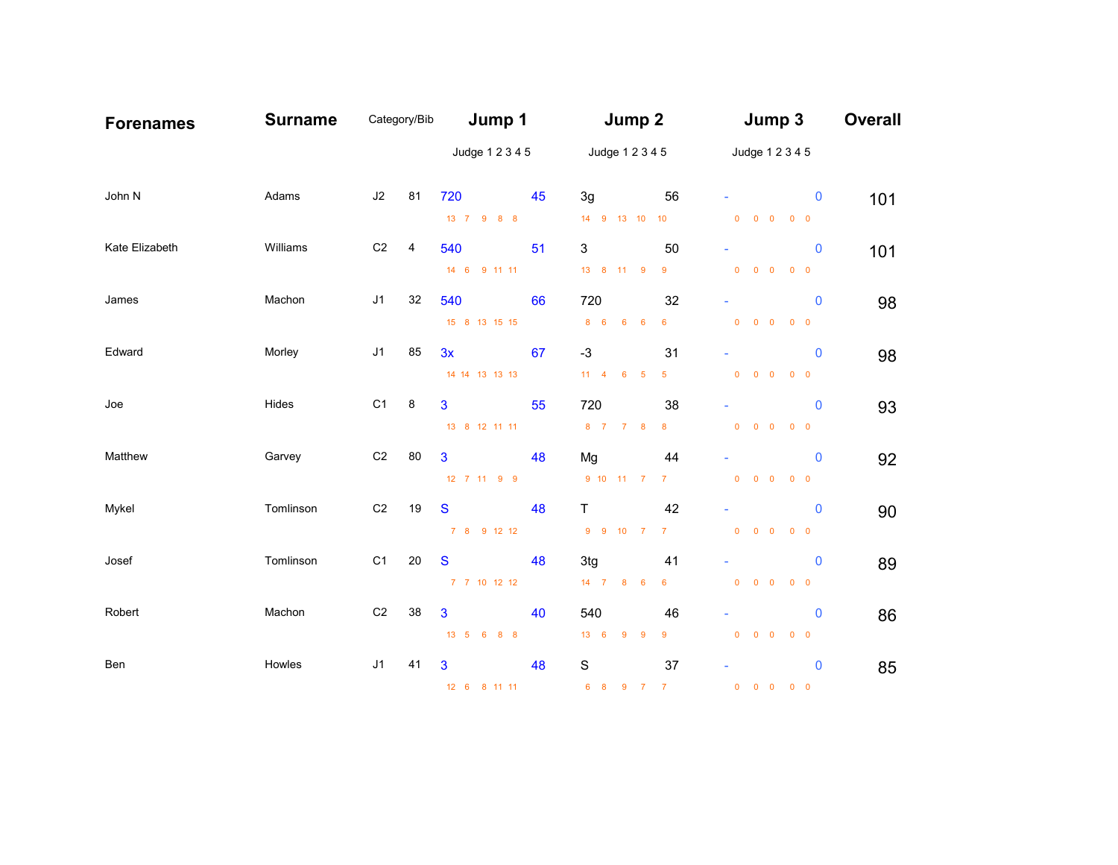| <b>Forenames</b> | <b>Surname</b> | Category/Bib   |    | Jump 1          |    | Jump 2                                        |                  | Jump 3                                          | <b>Overall</b> |
|------------------|----------------|----------------|----|-----------------|----|-----------------------------------------------|------------------|-------------------------------------------------|----------------|
|                  |                |                |    | Judge 1 2 3 4 5 |    | Judge 1 2 3 4 5                               |                  | Judge 1 2 3 4 5                                 |                |
| John N           | Adams          | J2             | 81 | 720             | 45 | 3g                                            | 56               | $\mathbf 0$                                     | 101            |
|                  |                |                |    | 13 7 9 8 8      |    | 14 9 13 10 10                                 |                  | $\begin{matrix} 0 & 0 & 0 & 0 & 0 \end{matrix}$ |                |
| Kate Elizabeth   | Williams       | C <sub>2</sub> | 4  | 540             | 51 | 3                                             | 50               | $\mathbf 0$                                     | 101            |
|                  |                |                |    | 14 6 9 11 11    |    | 13 8 11 9                                     | 9                | $0\quad 0$<br>$\overline{0}$<br>$0\quad 0$      |                |
| James            | Machon         | J1             | 32 | 540             | 66 | 720                                           | 32               | $\mathbf{0}$                                    | 98             |
|                  |                |                |    | 15 8 13 15 15   |    | 8 <sub>6</sub><br>$6\qquad6$                  | $6\phantom{a}$   | $0$ 0 0<br>$0\quad 0$                           |                |
| Edward           | Morley         | J <sub>1</sub> | 85 | 3x              | 67 | $-3$                                          | 31               | $\mathbf 0$                                     | 98             |
|                  |                |                |    | 14 14 13 13 13  |    | $11 \quad 4$<br>6 5                           | $\overline{5}$   | $0$ 0 0<br>$0\quad 0$                           |                |
| Joe              | Hides          | C1             | 8  | $\mathbf{3}$    | 55 | 720                                           | 38               | $\mathbf{0}$                                    | 93             |
|                  |                |                |    | 13 8 12 11 11   |    | 8 7 7 8                                       | 8                | $0\quad 0$<br>$0 \quad 0$<br>$\overline{0}$     |                |
| Matthew          | Garvey         | C <sub>2</sub> | 80 | $\mathbf{3}$    | 48 | Mg                                            | 44               | $\mathbf{0}$                                    | 92             |
|                  |                |                |    | 12 7 11 9 9     |    | 9 10 11 7 7                                   |                  | $\begin{matrix} 0 & 0 & 0 & 0 & 0 \end{matrix}$ |                |
| Mykel            | Tomlinson      | C <sub>2</sub> | 19 | S               | 48 | T.                                            | 42               | $\mathbf 0$                                     | 90             |
|                  |                |                |    | 7 8 9 12 12     |    | 9 9 10 7                                      | $\overline{7}$   | $0$ 0 0<br>$0\quad 0$                           |                |
| Josef            | Tomlinson      | C1             | 20 | S               | 48 | 3tg                                           | 41               | $\mathbf 0$                                     | 89             |
|                  |                |                |    | 7 7 10 12 12    |    | 14 7 8 6                                      | $6\overline{6}$  | $\overline{0}$<br>$0\quad 0$<br>$0\quad 0$      |                |
| Robert           | Machon         | C <sub>2</sub> | 38 | 3               | 40 | 540                                           | 46               | $\mathbf 0$                                     | 86             |
|                  |                |                |    | 13 5 6 8 8      |    | $13 \quad 6$<br>9<br>$\overline{\phantom{a}}$ | $\boldsymbol{9}$ | $0\qquad 0\qquad 0\qquad 0\qquad 0$             |                |
| Ben              | Howles         | J <sub>1</sub> | 41 | 3               | 48 | S                                             | 37               | $\mathbf 0$                                     | 85             |
|                  |                |                |    | 12 6 8 11 11    |    | 6 8 9<br>$\overline{7}$                       | $\overline{7}$   | 0 0 0 0 0                                       |                |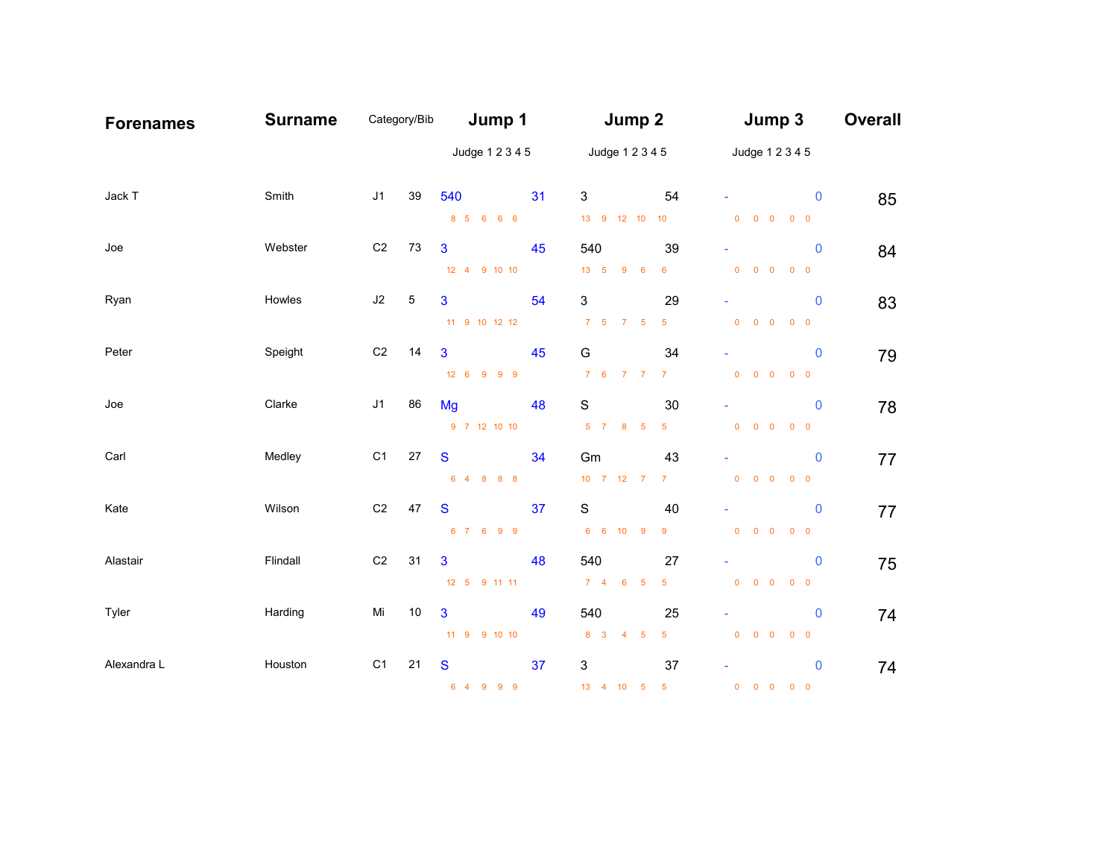| <b>Forenames</b> | <b>Surname</b> | Category/Bib   |    | Jump 1          |    | Jump 2                        |                  | Jump 3                                          | <b>Overall</b> |
|------------------|----------------|----------------|----|-----------------|----|-------------------------------|------------------|-------------------------------------------------|----------------|
|                  |                |                |    | Judge 1 2 3 4 5 |    | Judge 1 2 3 4 5               |                  | Judge 1 2 3 4 5                                 |                |
| Jack T           | Smith          | J <sub>1</sub> | 39 | 540             | 31 | 3                             | 54               | $\mathbf 0$                                     | 85             |
|                  |                |                |    | 8 5 6 6 6       |    | 13 9 12 10 10                 |                  | $\begin{matrix} 0 & 0 & 0 & 0 & 0 \end{matrix}$ |                |
| Joe              | Webster        | C <sub>2</sub> | 73 | 3               | 45 | 540                           | 39               | $\mathbf 0$                                     | 84             |
|                  |                |                |    | 12 4 9 10 10    |    | 13 5 9 6                      | $6\phantom{a}$   | $0$ 0 0<br>$0 \quad 0$                          |                |
| Ryan             | Howles         | J2             | 5  | 3               | 54 | 3                             | 29               | $\mathbf 0$                                     | 83             |
|                  |                |                |    | 11 9 10 12 12   |    | $7 \quad 5 \quad 7 \quad 5$   | $5\phantom{.0}$  | $\begin{matrix} 0 & 0 & 0 & 0 & 0 \end{matrix}$ |                |
| Peter            | Speight        | C <sub>2</sub> | 14 | $\mathbf{3}$    | 45 | G                             | 34               | $\mathbf 0$                                     | 79             |
|                  |                |                |    | 12 6 9 9 9      |    | 7 6 7 7                       | 7 <sup>7</sup>   | $0$ 0 0<br>$0\quad 0$                           |                |
| Joe              | Clarke         | J1             | 86 | Mg              | 48 | S                             | 30               | $\mathbf 0$                                     | 78             |
|                  |                |                |    | 9 7 12 10 10    |    | $5 \quad 7 \quad 8 \quad 5$   | 5 <sub>5</sub>   | $0$ 0 0<br>$0\quad 0$                           |                |
| Carl             | Medley         | C <sub>1</sub> | 27 | S               | 34 | Gm                            | 43               | $\mathbf 0$                                     | 77             |
|                  |                |                |    | 6 4 8 8 8       |    | $10 \quad 7 \quad 12 \quad 7$ | 7 <sup>7</sup>   | $0$ 0 0<br>$0\quad 0$                           |                |
| Kate             | Wilson         | C <sub>2</sub> | 47 | S               | 37 | $\mathbf S$                   | 40               | $\mathbf 0$                                     | 77             |
|                  |                |                |    | 6 7 6 9 9       |    | 6 6 10 9                      | $\boldsymbol{9}$ | $0$ 0 0<br>$0\quad 0$                           |                |
| Alastair         | Flindall       | C <sub>2</sub> | 31 | 3               | 48 | 540                           | 27               | $\mathbf 0$                                     | 75             |
|                  |                |                |    | 12 5 9 11 11    |    | $7 \quad 4 \quad 6 \quad 5$   | $\overline{5}$   | $0$ 0 0<br>$0 \quad 0$                          |                |
| Tyler            | Harding        | Mi             | 10 | 3               | 49 | 540                           | 25               | $\mathbf 0$                                     |                |
|                  |                |                |    | 11 9 9 10 10    |    | 8 3 4 5                       | $\sqrt{5}$       | $\begin{matrix} 0 & 0 & 0 & 0 & 0 \end{matrix}$ | 74             |
|                  |                |                |    |                 |    |                               |                  |                                                 |                |
| Alexandra L      | Houston        | C <sub>1</sub> | 21 | S               | 37 | 3                             | 37               | $\mathbf 0$                                     | 74             |
|                  |                |                |    | 6 4 9 9 9       |    | 13  4  10  5                  | $-5$             | $0$ 0 0<br>$0\quad 0$                           |                |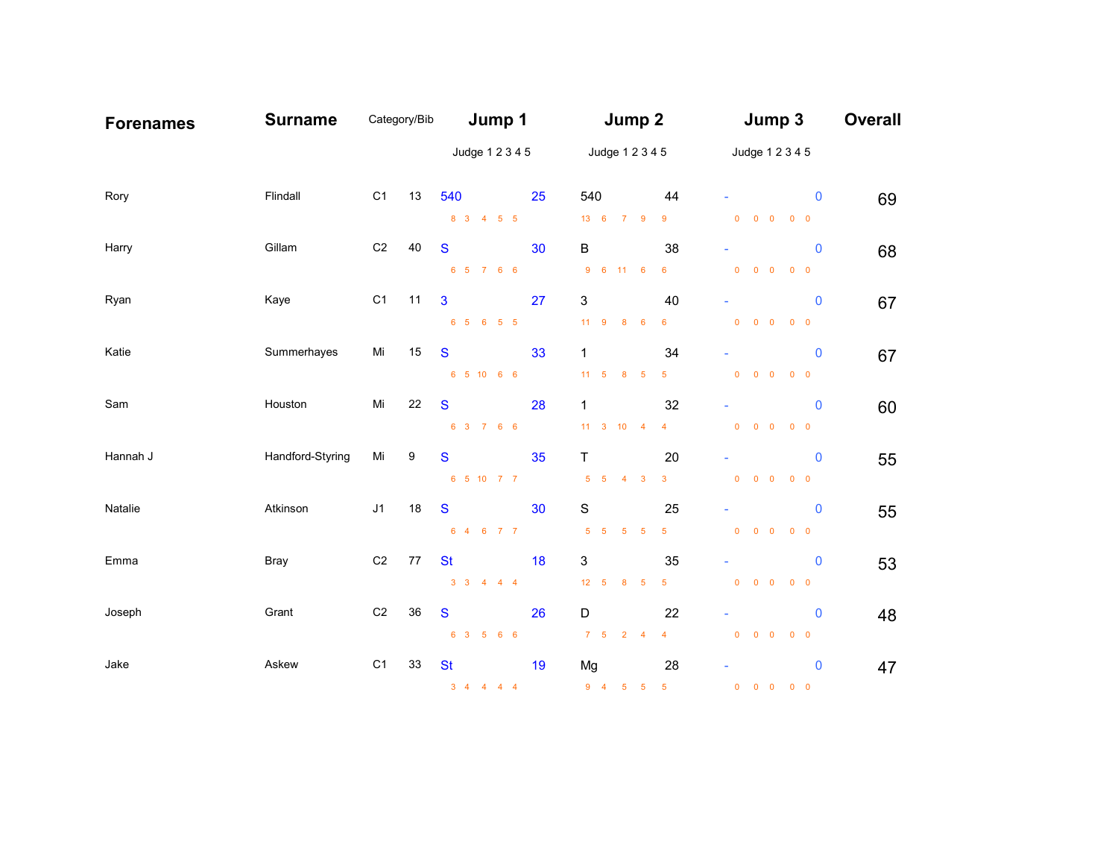| <b>Forenames</b> | <b>Surname</b>   | Category/Bib   |    | Jump 1                              |    | Jump 2                         |                | Jump 3                                                               | <b>Overall</b> |
|------------------|------------------|----------------|----|-------------------------------------|----|--------------------------------|----------------|----------------------------------------------------------------------|----------------|
|                  |                  |                |    | Judge 1 2 3 4 5                     |    | Judge 1 2 3 4 5                |                | Judge 1 2 3 4 5                                                      |                |
| Rory             | Flindall         | C <sub>1</sub> | 13 | 540                                 | 25 | 540                            | 44             | $\mathbf 0$                                                          | 69             |
|                  |                  |                |    | 8 3 4 5 5                           |    | $13 \quad 6$<br>7 9            | 9              | $\begin{array}{ccccccccccccccccc} 0 & 0 & 0 & 0 & 0 & 0 \end{array}$ |                |
| Harry            | Gillam           | C <sub>2</sub> | 40 | S                                   | 30 | $\sf B$                        | 38             | $\mathbf 0$                                                          | 68             |
|                  |                  |                |    | 6 5 7 6 6                           |    | 9 6 11 6                       | 6              | $0\quad 0$<br>$\overline{0}$<br>$0\quad 0$                           |                |
| Ryan             | Kaye             | C <sub>1</sub> | 11 | 3                                   | 27 | 3                              | 40             | $\mathbf 0$                                                          | 67             |
|                  |                  |                |    | 6 5 6 5 5                           |    | 11 9 8 6                       | $\bf 6$        | $0\quad 0$<br>$0\quad 0$<br>$\overline{\mathbf{0}}$                  |                |
| Katie            | Summerhayes      | Mi             | 15 | S                                   | 33 | $\mathbf{1}$                   | 34             | $\mathbf 0$                                                          | 67             |
|                  |                  |                |    | 6 5 10 6 6                          |    | $11 \quad 5$<br>8 <sub>5</sub> | $\sqrt{5}$     | $0$ 0 0<br>$0\quad 0$                                                |                |
| Sam              | Houston          | Mi             | 22 | S                                   | 28 | 1                              | 32             | 0                                                                    | 60             |
|                  |                  |                |    | 6 3 7 6 6                           |    | $11 \t3 \t10 \t4$              | $\overline{4}$ | $0\quad 0$<br>$\overline{0}$<br>$0\quad 0$                           |                |
| Hannah J         | Handford-Styring | Mi             | 9  | S                                   | 35 | $\sf T$                        | 20             | $\mathbf 0$                                                          | 55             |
|                  |                  |                |    | 6 5 10 7 7                          |    | $5 \quad 5 \quad 4 \quad 3$    | $\mathbf{3}$   | $0$ 0 0<br>$0\quad 0$                                                |                |
| Natalie          | Atkinson         | J <sub>1</sub> | 18 | S                                   | 30 | $\mathbf S$                    | 25             | $\mathbf 0$                                                          | 55             |
|                  |                  |                |    | 6 4 6 7 7                           |    | $5\quad 5$<br>$5\quad 5$       | $\sqrt{5}$     | $0$ 0 0<br>$0\quad 0$                                                |                |
| Emma             | <b>Bray</b>      | C <sub>2</sub> | 77 | <b>St</b>                           | 18 | 3                              | 35             | 0                                                                    | 53             |
|                  |                  |                |    | $3 \quad 3 \quad 4 \quad 4 \quad 4$ |    | 12 5 8 5                       | $\overline{5}$ | $0\quad 0$<br>$\overline{0}$<br>$0\quad 0$                           |                |
| Joseph           | Grant            | C <sub>2</sub> | 36 | S                                   | 26 | D                              | 22             | $\mathbf 0$                                                          | 48             |
|                  |                  |                |    | 6 3 5 6 6                           |    | $7 \quad 5 \quad 2 \quad 4$    | $\overline{4}$ | $\begin{matrix} 0 & 0 & 0 & 0 & 0 \end{matrix}$                      |                |
| Jake             | Askew            | C <sub>1</sub> | 33 | <b>St</b>                           | 19 | Mg                             | 28             | 0                                                                    | 47             |
|                  |                  |                |    | $3 \quad 4 \quad 4 \quad 4 \quad 4$ |    | $9 \quad 4 \qquad 5 \qquad 5$  | $-5$           | $0$ 0 0<br>$0\quad 0$                                                |                |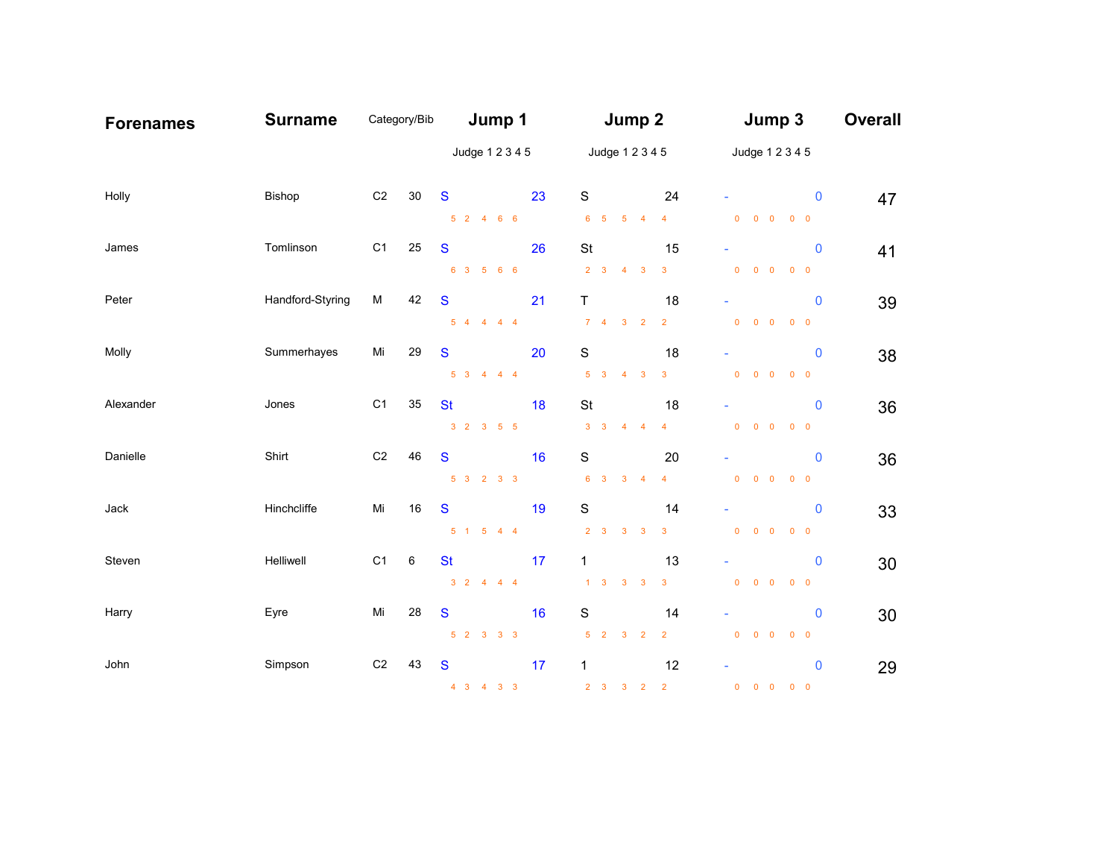| <b>Forenames</b> | <b>Surname</b>   | Category/Bib             | Jump 1                                           |    | Jump 2                                        |                         | Jump 3                                                                           | <b>Overall</b> |
|------------------|------------------|--------------------------|--------------------------------------------------|----|-----------------------------------------------|-------------------------|----------------------------------------------------------------------------------|----------------|
|                  |                  |                          | Judge 1 2 3 4 5                                  |    | Judge 1 2 3 4 5                               |                         | Judge 1 2 3 4 5                                                                  |                |
| Holly            | Bishop           | C <sub>2</sub><br>$30\,$ | $\mathbf{s}$                                     | 23 | $\mathbf S$                                   | 24                      | $\mathbf 0$                                                                      | 47             |
| James            | Tomlinson        | C1<br>25                 | $5\quad 2\quad 4\quad 6\quad 6$<br>S             | 26 | 6 5 5 4<br>St                                 | $\overline{4}$<br>15    | $\begin{array}{ccccccccccccc} 0 & 0 & 0 & 0 & 0 & 0 \end{array}$<br>$\mathbf{0}$ | 41             |
| Peter            | Handford-Styring | M<br>42                  | 6 3 5 6 6<br>S                                   | 21 | $2 \quad 3 \quad 4 \quad 3$<br>T.             | $\mathbf{3}$<br>18      | $0$ 0 0<br>$0\quad 0$                                                            |                |
|                  |                  |                          | $5 \quad 4 \quad 4 \quad 4 \quad 4$              |    | $7 \quad 4 \quad 3 \quad 2$                   | $\overline{2}$          | $\mathbf 0$<br>$\begin{matrix} 0 & 0 & 0 & 0 & 0 \end{matrix}$                   | 39             |
| Molly            | Summerhayes      | Mi<br>29                 | S<br>$5 \quad 3 \quad 4 \quad 4 \quad 4$         | 20 | $\mathbf S$<br>$5 \quad 3 \quad 4 \quad 3$    | 18<br>$\mathbf{3}$      | $\mathbf 0$<br>$0$ 0 0<br>$0\quad 0$                                             | 38             |
| Alexander        | Jones            | C1<br>35                 | <b>St</b>                                        | 18 | St                                            | 18                      | $\mathbf 0$                                                                      | 36             |
| Danielle         | Shirt            | C <sub>2</sub><br>46     | $3 \quad 2 \quad 3 \quad 5 \quad 5$<br>S         | 16 | $3 \quad 3 \quad 4 \quad 4$<br>$\mathbf S$    | $\overline{4}$<br>20    | $0\quad 0$<br>$\overline{0}$<br>$0 \quad 0$<br>$\mathbf 0$                       | 36             |
|                  |                  |                          | 5 3 2 3 3                                        |    | 6 <sup>3</sup><br>$3 \quad 4$                 | $\overline{4}$          | $\begin{matrix} 0 & 0 & 0 & 0 & 0 \end{matrix}$                                  |                |
| Jack             | Hinchcliffe      | Mi<br>16                 | S<br>$5 \quad 1 \quad 5 \quad 4 \quad 4$         | 19 | $\mathbf S$<br>$2 \quad 3 \qquad 3 \qquad 3$  | 14<br>$\mathbf{3}$      | $\mathbf 0$<br>$0$ 0 0<br>$0\quad 0$                                             | 33             |
| Steven           | Helliwell        | C1<br>6                  | <b>St</b><br>$3 \quad 2 \quad 4 \quad 4 \quad 4$ | 17 | $\mathbf{1}$<br>$1 \quad 3 \qquad 3 \qquad 3$ | 13<br>$\mathbf{3}$      | $\mathbf 0$<br>$0\quad 0$<br>$0\quad 0$<br>$\overline{0}$                        | 30             |
| Harry            | Eyre             | Mi<br>28                 | S                                                | 16 | ${\mathsf S}$                                 | 14                      | $\mathbf 0$                                                                      | 30             |
| John             | Simpson          | C <sub>2</sub><br>43     | 5 2 3 3 3<br>S                                   | 17 | $5 \quad 2 \qquad 3 \qquad 2$<br>$\mathbf{1}$ | $\overline{2}$<br>12    | $\begin{matrix} 0 & 0 & 0 & 0 & 0 \end{matrix}$<br>$\mathbf 0$                   | 29             |
|                  |                  |                          | 4 3 4 3 3                                        |    | $2 \quad 3 \quad 3 \quad 2$                   | $\overline{\mathbf{2}}$ | 0 0 0 0 0                                                                        |                |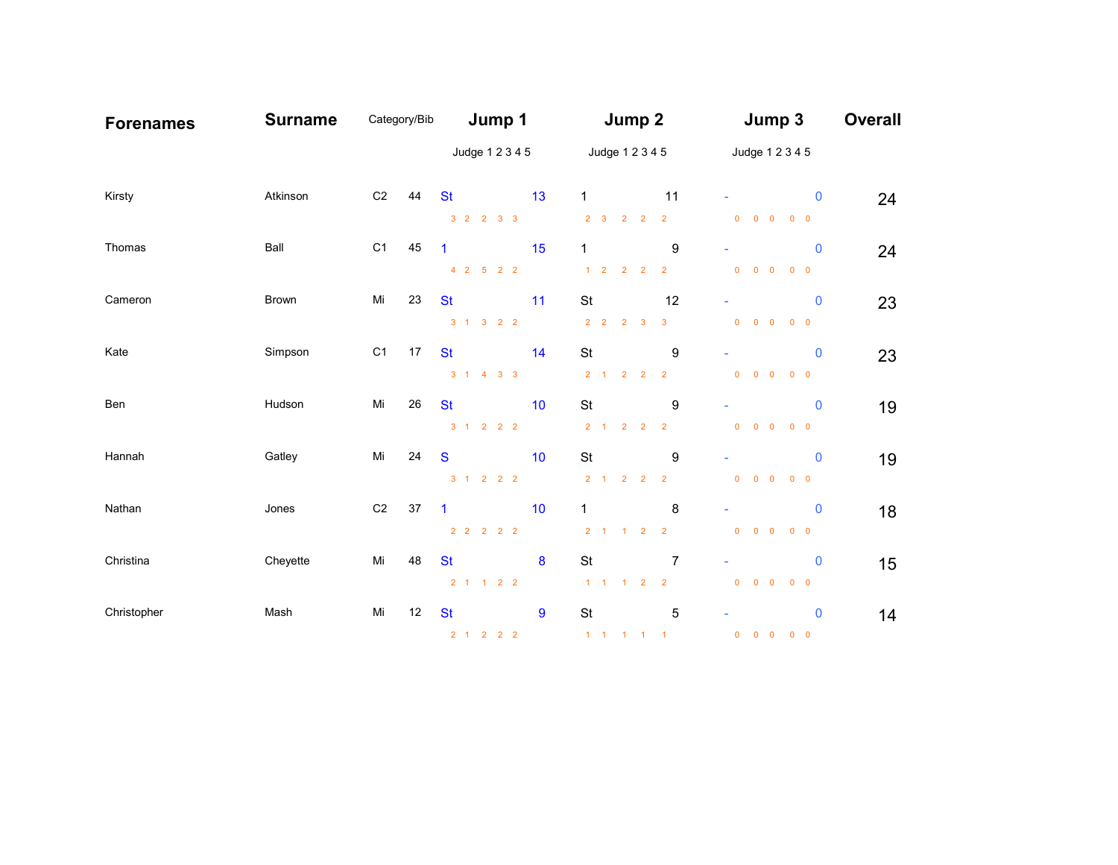| <b>Forenames</b> | <b>Surname</b> | Category/Bib   |    | Jump 1                              |                 | Jump 2                              |                            | Jump 3                                          | <b>Overall</b> |
|------------------|----------------|----------------|----|-------------------------------------|-----------------|-------------------------------------|----------------------------|-------------------------------------------------|----------------|
|                  |                |                |    | Judge 1 2 3 4 5                     |                 | Judge 1 2 3 4 5                     |                            | Judge 1 2 3 4 5                                 |                |
| Kirsty           | Atkinson       | C <sub>2</sub> | 44 | <b>St</b>                           | 13              | 1                                   | 11                         | $\mathbf 0$                                     | 24             |
|                  |                |                |    | $3 \quad 2 \quad 2 \quad 3 \quad 3$ |                 | $2 \quad 3 \quad 2 \quad 2$         | $\overline{2}$             | $\begin{matrix} 0 & 0 & 0 & 0 & 0 \end{matrix}$ |                |
| Thomas           | Ball           | C <sub>1</sub> | 45 | $\mathbf{1}$                        | 15              | $\mathbf{1}$                        | 9                          | $\mathbf 0$                                     | 24             |
|                  |                |                |    | $4 \quad 2 \quad 5 \quad 2 \quad 2$ |                 | $1 \quad 2 \quad 2 \quad 2 \quad 2$ |                            | $0\quad 0$<br>$\overline{0}$<br>$0\quad 0$      |                |
| Cameron          | <b>Brown</b>   | Mi             | 23 | <b>St</b>                           | 11              | St                                  | 12                         | $\mathbf 0$                                     | 23             |
|                  |                |                |    | $3 \quad 1 \quad 3 \quad 2 \quad 2$ |                 | $2 \quad 2 \quad 2 \quad 3$         | $\mathbf{3}$               | $\overline{0}$<br>$0\quad 0$<br>$0\quad 0$      |                |
| Kate             | Simpson        | C <sub>1</sub> | 17 | <b>St</b>                           | 14              | St                                  | 9                          | $\mathbf 0$                                     | 23             |
|                  |                |                |    | $3 \quad 1 \quad 4 \quad 3 \quad 3$ |                 | $2 \quad 1 \quad 2 \quad 2 \quad 2$ |                            | $0$ 0 0<br>$0\quad 0$                           |                |
| Ben              | Hudson         | Mi             | 26 | <b>St</b>                           | 10              | <b>St</b>                           | 9                          | $\mathbf 0$                                     | 19             |
|                  |                |                |    | $3 \quad 1 \quad 2 \quad 2 \quad 2$ |                 | $2 \quad 1 \quad 2 \quad 2 \quad 2$ |                            | $0$ 0 0<br>$0\quad 0$                           |                |
| Hannah           | Gatley         | Mi             | 24 | S                                   | 10 <sup>°</sup> | <b>St</b>                           | 9                          | $\mathbf 0$                                     | 19             |
|                  |                |                |    | 3 1 2 2 2                           |                 | $2 \quad 1 \quad 2 \quad 2$         | $\overline{\phantom{0}}$ 2 | $\overline{0}$<br>$0\quad 0$<br>$0\quad 0$      |                |
| Nathan           | Jones          | C <sub>2</sub> | 37 | $\overline{1}$                      | 10              | $\mathbf{1}$                        | 8                          | 0                                               | 18             |
|                  |                |                |    | $2 \quad 2 \quad 2 \quad 2 \quad 2$ |                 | $2 \quad 1 \quad 1 \quad 2 \quad 2$ |                            | $\begin{matrix} 0 & 0 & 0 & 0 & 0 \end{matrix}$ |                |
| Christina        | Cheyette       | Mi             | 48 | <b>St</b>                           | 8               | <b>St</b>                           | $\overline{7}$             | $\bf{0}$                                        | 15             |
|                  |                |                |    | $2 \quad 1 \quad 1 \quad 2 \quad 2$ |                 | $1 \quad 1 \quad 1 \quad 2 \quad 2$ |                            | $0$ 0 0<br>$0\quad 0$                           |                |
| Christopher      | Mash           | Mi             | 12 | <b>St</b>                           | $\overline{9}$  | St                                  | 5                          |                                                 |                |
|                  |                |                |    | $2 \quad 1 \quad 2 \quad 2 \quad 2$ |                 | $1 \t1 \t1 \t1 \t1$                 |                            | 0<br>$0\quad 0$<br>$0\quad 0$<br>$\overline{0}$ | 14             |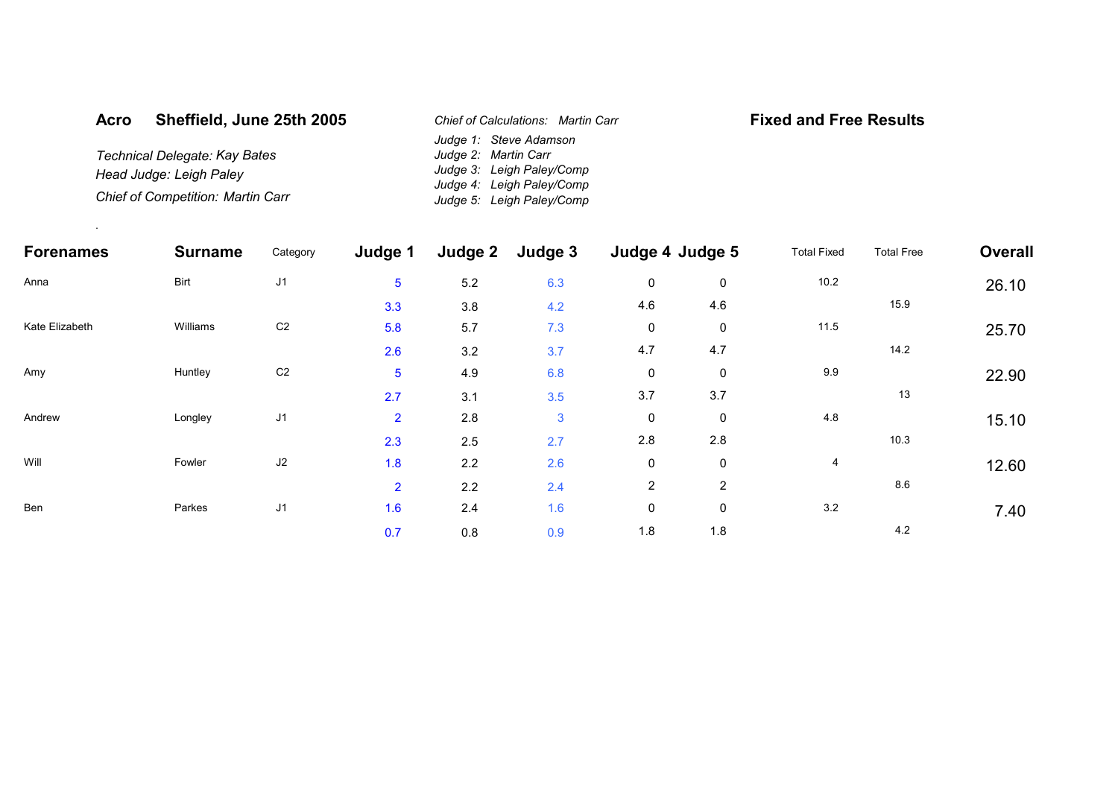| Sheffield, June 25th 2005<br>Acro        | Chief of Calculations: Martin Carr | <b>Fixed and Free Results</b> |
|------------------------------------------|------------------------------------|-------------------------------|
|                                          | Judge 1: Steve Adamson             |                               |
| Technical Delegate: Kay Bates            | Judge 2: Martin Carr               |                               |
| Head Judge: Leigh Paley                  | Judge 3: Leigh Paley/Comp          |                               |
|                                          | Judge 4: Leigh Paley/Comp          |                               |
| <b>Chief of Competition: Martin Carr</b> | Judge 5: Leigh Paley/Comp          |                               |

.

| <b>Forenames</b> | <b>Surname</b> | Category       | Judge 1        | Judge 2 | Judge 3 |                | Judge 4 Judge 5 | <b>Total Fixed</b> | <b>Total Free</b> | <b>Overall</b> |
|------------------|----------------|----------------|----------------|---------|---------|----------------|-----------------|--------------------|-------------------|----------------|
| Anna             | <b>Birt</b>    | J1             | 5 <sup>5</sup> | 5.2     | 6.3     | 0              | 0               | 10.2               |                   | 26.10          |
|                  |                |                | 3.3            | 3.8     | 4.2     | 4.6            | 4.6             |                    | 15.9              |                |
| Kate Elizabeth   | Williams       | C <sub>2</sub> | 5.8            | 5.7     | 7.3     | $\pmb{0}$      | $\mathbf 0$     | 11.5               |                   | 25.70          |
|                  |                |                | 2.6            | 3.2     | 3.7     | 4.7            | 4.7             |                    | 14.2              |                |
| Amy              | Huntley        | C <sub>2</sub> | 5 <sup>5</sup> | 4.9     | 6.8     | $\pmb{0}$      | 0               | 9.9                |                   | 22.90          |
|                  |                |                | 2.7            | 3.1     | 3.5     | 3.7            | 3.7             |                    | 13                |                |
| Andrew           | Longley        | J1             | $\overline{2}$ | 2.8     | 3       | $\pmb{0}$      | $\mathbf 0$     | 4.8                |                   | 15.10          |
|                  |                |                | 2.3            | 2.5     | 2.7     | 2.8            | 2.8             |                    | 10.3              |                |
| Will             | Fowler         | J2             | 1.8            | 2.2     | 2.6     | $\mathbf 0$    | $\mathbf 0$     | 4                  |                   | 12.60          |
|                  |                |                | 2 <sup>1</sup> | 2.2     | 2.4     | $\overline{2}$ | 2               |                    | 8.6               |                |
| Ben              | Parkes         | J1             | 1.6            | 2.4     | 1.6     | $\pmb{0}$      | 0               | $3.2\,$            |                   | 7.40           |
|                  |                |                | 0.7            | 0.8     | 0.9     | 1.8            | 1.8             |                    | 4.2               |                |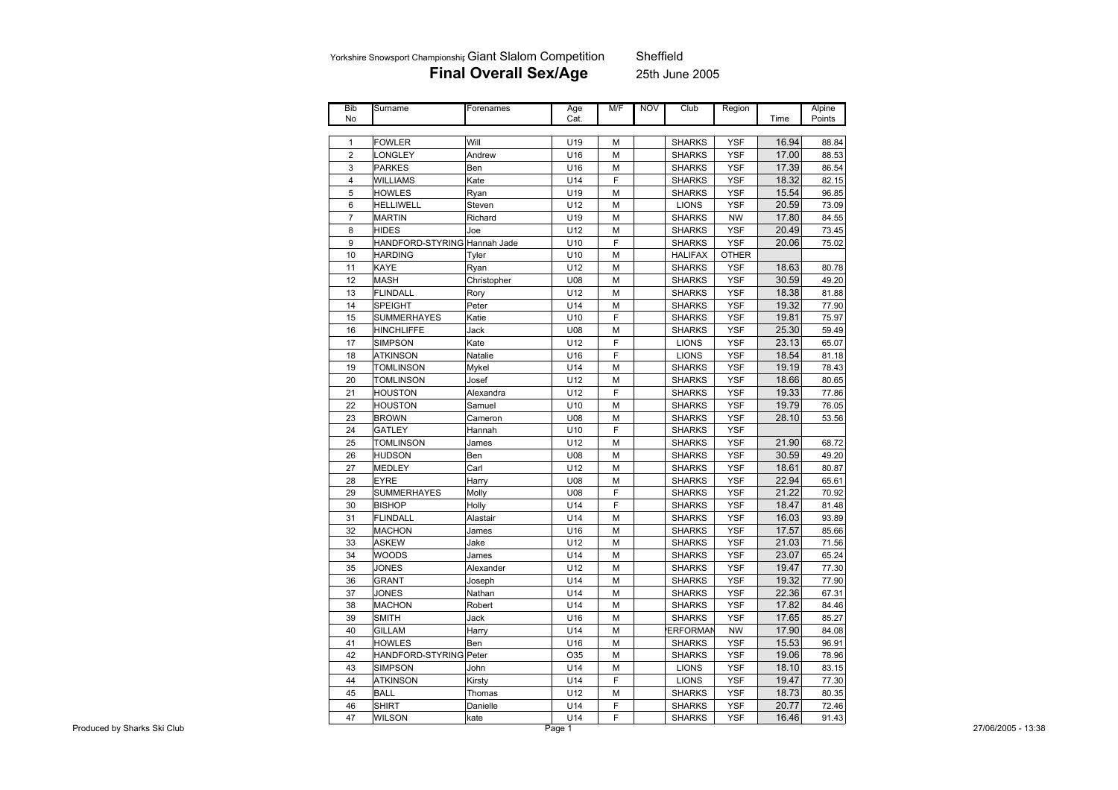Yorkshire Snowsport Championshir Giant Slalom Competition Sheffield

### **Final Overall Sex/Age** 25th June 2005

|                             | Bib            | Surname                      | Forenames   | Age    | M/F | NOV | Club            | Region       |       | Alpine |
|-----------------------------|----------------|------------------------------|-------------|--------|-----|-----|-----------------|--------------|-------|--------|
|                             | No             |                              |             | Cat.   |     |     |                 |              | Time  | Points |
|                             |                |                              |             |        |     |     |                 |              |       |        |
|                             | $\overline{1}$ | <b>FOWLER</b>                | Will        | U19    | M   |     | <b>SHARKS</b>   | YSF          | 16.94 | 88.84  |
|                             | 2              | LONGLEY                      | Andrew      | U16    | M   |     | <b>SHARKS</b>   | YSF          | 17.00 | 88.53  |
|                             | 3              | <b>PARKES</b>                | Ben         | U16    | M   |     | <b>SHARKS</b>   | <b>YSF</b>   | 17.39 | 86.54  |
|                             | $\overline{4}$ | <b>WILLIAMS</b>              | Kate        | U14    | F   |     | <b>SHARKS</b>   | YSF          | 18.32 | 82.15  |
|                             | 5              | <b>HOWLES</b>                | Ryan        | U19    | M   |     | <b>SHARKS</b>   | <b>YSF</b>   | 15.54 | 96.85  |
|                             | 6              | <b>HELLIWELL</b>             | Steven      | U12    | M   |     | <b>LIONS</b>    | <b>YSF</b>   | 20.59 | 73.09  |
|                             | $\overline{7}$ | <b>MARTIN</b>                | Richard     | U19    | M   |     | <b>SHARKS</b>   | <b>NW</b>    | 17.80 | 84.55  |
|                             | 8              | HIDES                        | Joe         | U12    | M   |     | <b>SHARKS</b>   | <b>YSF</b>   | 20.49 | 73.45  |
|                             | 9              | HANDFORD-STYRING Hannah Jade |             | U10    | F   |     | <b>SHARKS</b>   | <b>YSF</b>   | 20.06 | 75.02  |
|                             | 10             | <b>HARDING</b>               | Tyler       | U10    | M   |     | <b>HALIFAX</b>  | <b>OTHER</b> |       |        |
|                             | 11             | KAYE                         | Ryan        | U12    | м   |     | <b>SHARKS</b>   | <b>YSF</b>   | 18.63 | 80.78  |
|                             | 12             | <b>MASH</b>                  | Christopher | U08    | M   |     | <b>SHARKS</b>   | YSF          | 30.59 | 49.20  |
|                             | 13             | <b>FLINDALL</b>              | Rory        | U12    | M   |     | <b>SHARKS</b>   | YSF          | 18.38 | 81.88  |
|                             | 14             | SPEIGHT                      | Peter       | U14    | M   |     | <b>SHARKS</b>   | YSF          | 19.32 | 77.90  |
|                             | 15             | <b>SUMMERHAYES</b>           | Katie       | U10    | F   |     | <b>SHARKS</b>   | YSF          | 19.81 | 75.97  |
|                             | 16             | <b>HINCHLIFFE</b>            | Jack        | U08    | М   |     | <b>SHARKS</b>   | YSF          | 25.30 | 59.49  |
|                             | 17             | <b>SIMPSON</b>               | Kate        | U12    | F   |     | <b>LIONS</b>    | YSF          | 23.13 | 65.07  |
|                             | 18             | <b>ATKINSON</b>              | Natalie     | U16    | F   |     | <b>LIONS</b>    | YSF          | 18.54 | 81.18  |
|                             | 19             | <b>TOMLINSON</b>             | Mykel       | U14    | M   |     | <b>SHARKS</b>   | YSF          | 19.19 | 78.43  |
|                             | 20             | <b>TOMLINSON</b>             | Josef       | U12    | M   |     | <b>SHARKS</b>   | YSF          | 18.66 | 80.65  |
|                             | 21             | HOUSTON                      | Alexandra   | U12    | F   |     | <b>SHARKS</b>   | YSF          | 19.33 | 77.86  |
|                             | 22             | <b>HOUSTON</b>               | Samuel      | U10    | M   |     | <b>SHARKS</b>   | <b>YSF</b>   | 19.79 | 76.05  |
|                             | 23             | <b>BROWN</b>                 | Cameron     | U08    | M   |     | <b>SHARKS</b>   | YSF          | 28.10 | 53.56  |
|                             | 24             | <b>GATLEY</b>                | Hannah      | U10    | F   |     | <b>SHARKS</b>   | YSF          |       |        |
|                             | 25             | <b>TOMLINSON</b>             | James       | U12    | м   |     | <b>SHARKS</b>   | <b>YSF</b>   | 21.90 | 68.72  |
|                             | 26             | <b>HUDSON</b>                | Ben         | U08    | M   |     | <b>SHARKS</b>   | YSF          | 30.59 | 49.20  |
|                             | 27             | <b>MEDLEY</b>                | Carl        | U12    | м   |     | <b>SHARKS</b>   | <b>YSF</b>   | 18.61 | 80.87  |
|                             | 28             | <b>EYRE</b>                  | Harry       | U08    | м   |     | <b>SHARKS</b>   | YSF          | 22.94 | 65.61  |
|                             | 29             | <b>SUMMERHAYES</b>           | Molly       | U08    | F.  |     | <b>SHARKS</b>   | <b>YSF</b>   | 21.22 | 70.92  |
|                             | 30             | <b>BISHOP</b>                | Holly       | U14    | F.  |     | <b>SHARKS</b>   | <b>YSF</b>   | 18.47 | 81.48  |
|                             | 31             | <b>FLINDALL</b>              | Alastair    | U14    | M   |     | <b>SHARKS</b>   | YSF          | 16.03 | 93.89  |
|                             | 32             | <b>MACHON</b>                | James       | U16    | M   |     | <b>SHARKS</b>   | <b>YSF</b>   | 17.57 | 85.66  |
|                             | 33             | <b>ASKEW</b>                 | Jake        | U12    | M   |     | <b>SHARKS</b>   | <b>YSF</b>   | 21.03 | 71.56  |
|                             | 34             | <b>WOODS</b>                 | James       | U14    | M   |     | <b>SHARKS</b>   | <b>YSF</b>   | 23.07 | 65.24  |
|                             | 35             | <b>JONES</b>                 | Alexander   | U12    | M   |     | <b>SHARKS</b>   | YSF          | 19.47 | 77.30  |
|                             | 36             | <b>GRANT</b>                 | Joseph      | U14    | M   |     | <b>SHARKS</b>   | <b>YSF</b>   | 19.32 | 77.90  |
|                             | 37             | <b>JONES</b>                 | Nathan      | U14    | м   |     | <b>SHARKS</b>   | <b>YSF</b>   | 22.36 | 67.31  |
|                             | 38             | <b>MACHON</b>                | Robert      | U14    | M   |     | <b>SHARKS</b>   | <b>YSF</b>   | 17.82 | 84.46  |
|                             | 39             | <b>SMITH</b>                 | Jack        | U16    | M   |     | <b>SHARKS</b>   | <b>YSF</b>   | 17.65 | 85.27  |
|                             | 40             | <b>GILLAM</b>                | Harry       | U14    | м   |     | <b>ERFORMAN</b> | <b>NW</b>    | 17.90 | 84.08  |
|                             | 41             | HOWLES                       | Ben         | U16    | M   |     | <b>SHARKS</b>   | <b>YSF</b>   | 15.53 | 96.91  |
|                             | 42             | HANDFORD-STYRING Peter       |             | O35    | M   |     | <b>SHARKS</b>   | YSF          | 19.06 | 78.96  |
|                             | 43             | <b>SIMPSON</b>               | John        | U14    | M   |     | <b>LIONS</b>    | YSF          | 18.10 | 83.15  |
|                             | 44             | <b>ATKINSON</b>              | Kirsty      | U14    | F   |     | <b>LIONS</b>    | <b>YSF</b>   | 19.47 | 77.30  |
|                             | 45             | <b>BALL</b>                  | Thomas      | U12    | М   |     | <b>SHARKS</b>   | YSF          | 18.73 | 80.35  |
|                             | 46             | <b>SHIRT</b>                 | Danielle    | U14    | F   |     | <b>SHARKS</b>   | YSF          | 20.77 | 72.46  |
|                             | 47             | <b>WILSON</b>                | kate        | U14    | F   |     | <b>SHARKS</b>   | <b>YSF</b>   | 16.46 | 91.43  |
| Produced by Sharks Ski Club |                |                              |             | Page 1 |     |     |                 |              |       |        |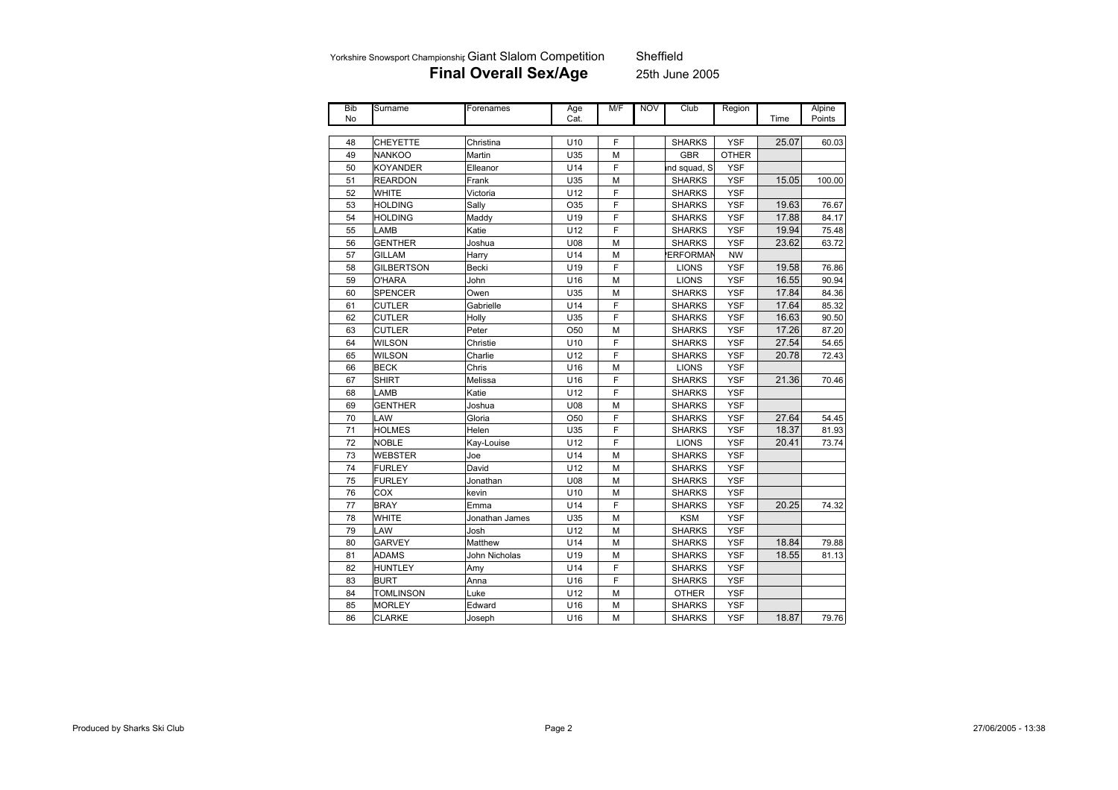Yorkshire Snowsport Championshir Giant Slalom Competition Sheffield

#### **Final Overall Sex/Age** 25th June 2005

| No<br>Cat.<br>Time<br>$\mathsf F$<br>25.07<br>48<br><b>CHEYETTE</b><br>Christina<br>U10<br><b>SHARKS</b><br><b>YSF</b><br>60.03<br>49<br><b>NANKOO</b><br>U35<br><b>OTHER</b><br>Martin<br>M<br><b>GBR</b><br>F<br>ind squad, S<br>50<br><b>KOYANDER</b><br>U14<br><b>YSF</b><br>Elleanor<br>15.05<br>51<br><b>REARDON</b><br>U35<br>M<br><b>SHARKS</b><br><b>YSF</b><br>Frank<br>100.00<br>F<br>52<br>U12<br><b>YSF</b><br><b>WHITE</b><br>Victoria<br><b>SHARKS</b><br>F<br>19.63<br>53<br>Sally<br>O35<br><b>YSF</b><br>76.67<br><b>HOLDING</b><br><b>SHARKS</b><br>F<br>17.88<br>54<br><b>HOLDING</b><br>Maddy<br>U19<br><b>SHARKS</b><br><b>YSF</b><br>84.17<br>F<br>55<br>LAMB<br>Katie<br>U12<br><b>SHARKS</b><br><b>YSF</b><br>19.94<br>75.48<br>56<br><b>GENTHER</b><br>M<br><b>SHARKS</b><br><b>YSF</b><br>23.62<br>Joshua<br>U08<br>63.72<br>57<br><b>GILLAM</b><br>U14<br>M<br><b>ERFORMAN</b><br><b>NW</b><br>Harry<br>F<br><b>YSF</b><br>19.58<br>58<br>Becki<br>U19<br>76.86<br><b>GILBERTSON</b><br><b>LIONS</b><br>U16<br><b>LIONS</b><br><b>YSF</b><br>16.55<br>90.94<br>59<br><b>O'HARA</b><br>John<br>M<br><b>YSF</b><br>17.84<br>60<br><b>SPENCER</b><br>U35<br><b>SHARKS</b><br>84.36<br>Owen<br>M<br>F<br>17.64<br>61<br><b>CUTLER</b><br>Gabrielle<br>U14<br><b>SHARKS</b><br><b>YSF</b><br>85.32<br>F<br>62<br>U35<br><b>YSF</b><br>16.63<br>CUTLER<br>Holly<br><b>SHARKS</b><br>90.50<br>17.26<br>63<br><b>CUTLER</b><br>Peter<br>O50<br>M<br><b>YSF</b><br>87.20<br><b>SHARKS</b><br>27.54<br>U10<br>F<br><b>YSF</b><br>54.65<br>64<br><b>WILSON</b><br>Christie<br><b>SHARKS</b><br>F<br><b>YSF</b><br>20.78<br>65<br>WILSON<br>Charlie<br>U12<br><b>SHARKS</b><br>72.43<br><b>YSF</b><br>66<br><b>BECK</b><br>Chris<br>U16<br>M<br><b>LIONS</b><br>F<br>67<br><b>SHIRT</b><br>Melissa<br>U16<br><b>SHARKS</b><br><b>YSF</b><br>21.36<br>70.46<br>F<br>YSF<br>68<br>LAMB<br>Katie<br>U12<br><b>SHARKS</b><br><b>GENTHER</b><br>U08<br><b>SHARKS</b><br>YSF<br>69<br>Joshua<br>M<br><b>YSF</b><br>70<br>Gloria<br>O50<br>$\mathsf F$<br><b>SHARKS</b><br>27.64<br>LAW<br>54.45<br>F<br>18.37<br>71<br><b>HOLMES</b><br>U35<br><b>SHARKS</b><br><b>YSF</b><br>81.93<br>Helen<br>F<br>72<br><b>NOBLE</b><br>U12<br><b>LIONS</b><br><b>YSF</b><br>20.41<br>73.74<br>Kay-Louise<br><b>YSF</b><br>73<br><b>WEBSTER</b><br>U14<br>M<br><b>SHARKS</b><br>Joe<br><b>FURLEY</b><br>U12<br><b>YSF</b><br>74<br>David<br>M<br><b>SHARKS</b><br>75<br><b>SHARKS</b><br><b>YSF</b><br><b>FURLEY</b><br>U08<br>M<br>Jonathan<br>COX<br>76<br>U10<br>M<br><b>SHARKS</b><br><b>YSF</b><br>kevin<br>F<br>77<br><b>BRAY</b><br>U14<br><b>SHARKS</b><br><b>YSF</b><br>20.25<br>Emma<br>74.32<br>M<br><b>YSF</b><br>78<br><b>WHITE</b><br>U35<br><b>KSM</b><br>Jonathan James<br>LAW<br>79<br>U12<br><b>SHARKS</b><br>YSF<br>Josh<br>M<br><b>YSF</b><br>80<br><b>GARVEY</b><br>Matthew<br>U14<br><b>SHARKS</b><br>18.84<br>M<br>79.88<br>81<br>U19<br>M<br><b>YSF</b><br>18.55<br>ADAMS<br><b>SHARKS</b><br>81.13<br>John Nicholas<br>F<br>82<br><b>YSF</b><br><b>HUNTLEY</b><br>U14<br><b>SHARKS</b><br>Amy<br>F<br>83<br>YSF<br><b>BURT</b><br>Anna<br>U16<br><b>SHARKS</b><br>U12<br><b>YSF</b><br>84<br><b>TOMLINSON</b><br>Luke<br>M<br><b>OTHER</b><br>85<br><b>YSF</b><br><b>MORLEY</b><br>Edward<br>U16<br>M<br><b>SHARKS</b> | <b>Bib</b> | Surname | Forenames | Age | M/F | <b>NOV</b> | Club | Region | Alpine |
|----------------------------------------------------------------------------------------------------------------------------------------------------------------------------------------------------------------------------------------------------------------------------------------------------------------------------------------------------------------------------------------------------------------------------------------------------------------------------------------------------------------------------------------------------------------------------------------------------------------------------------------------------------------------------------------------------------------------------------------------------------------------------------------------------------------------------------------------------------------------------------------------------------------------------------------------------------------------------------------------------------------------------------------------------------------------------------------------------------------------------------------------------------------------------------------------------------------------------------------------------------------------------------------------------------------------------------------------------------------------------------------------------------------------------------------------------------------------------------------------------------------------------------------------------------------------------------------------------------------------------------------------------------------------------------------------------------------------------------------------------------------------------------------------------------------------------------------------------------------------------------------------------------------------------------------------------------------------------------------------------------------------------------------------------------------------------------------------------------------------------------------------------------------------------------------------------------------------------------------------------------------------------------------------------------------------------------------------------------------------------------------------------------------------------------------------------------------------------------------------------------------------------------------------------------------------------------------------------------------------------------------------------------------------------------------------------------------------------------------------------------------------------------------------------------------------------------------------------------------------------------------------------------------------------------------------------------------------------------------------------------------------------------------------------------------------------------------------------------------------------------------------------------------------------------------------------------------------------------------------------------------------------------------------------------------------------------------------|------------|---------|-----------|-----|-----|------------|------|--------|--------|
|                                                                                                                                                                                                                                                                                                                                                                                                                                                                                                                                                                                                                                                                                                                                                                                                                                                                                                                                                                                                                                                                                                                                                                                                                                                                                                                                                                                                                                                                                                                                                                                                                                                                                                                                                                                                                                                                                                                                                                                                                                                                                                                                                                                                                                                                                                                                                                                                                                                                                                                                                                                                                                                                                                                                                                                                                                                                                                                                                                                                                                                                                                                                                                                                                                                                                                                                              |            |         |           |     |     |            |      |        | Points |
|                                                                                                                                                                                                                                                                                                                                                                                                                                                                                                                                                                                                                                                                                                                                                                                                                                                                                                                                                                                                                                                                                                                                                                                                                                                                                                                                                                                                                                                                                                                                                                                                                                                                                                                                                                                                                                                                                                                                                                                                                                                                                                                                                                                                                                                                                                                                                                                                                                                                                                                                                                                                                                                                                                                                                                                                                                                                                                                                                                                                                                                                                                                                                                                                                                                                                                                                              |            |         |           |     |     |            |      |        |        |
|                                                                                                                                                                                                                                                                                                                                                                                                                                                                                                                                                                                                                                                                                                                                                                                                                                                                                                                                                                                                                                                                                                                                                                                                                                                                                                                                                                                                                                                                                                                                                                                                                                                                                                                                                                                                                                                                                                                                                                                                                                                                                                                                                                                                                                                                                                                                                                                                                                                                                                                                                                                                                                                                                                                                                                                                                                                                                                                                                                                                                                                                                                                                                                                                                                                                                                                                              |            |         |           |     |     |            |      |        |        |
|                                                                                                                                                                                                                                                                                                                                                                                                                                                                                                                                                                                                                                                                                                                                                                                                                                                                                                                                                                                                                                                                                                                                                                                                                                                                                                                                                                                                                                                                                                                                                                                                                                                                                                                                                                                                                                                                                                                                                                                                                                                                                                                                                                                                                                                                                                                                                                                                                                                                                                                                                                                                                                                                                                                                                                                                                                                                                                                                                                                                                                                                                                                                                                                                                                                                                                                                              |            |         |           |     |     |            |      |        |        |
|                                                                                                                                                                                                                                                                                                                                                                                                                                                                                                                                                                                                                                                                                                                                                                                                                                                                                                                                                                                                                                                                                                                                                                                                                                                                                                                                                                                                                                                                                                                                                                                                                                                                                                                                                                                                                                                                                                                                                                                                                                                                                                                                                                                                                                                                                                                                                                                                                                                                                                                                                                                                                                                                                                                                                                                                                                                                                                                                                                                                                                                                                                                                                                                                                                                                                                                                              |            |         |           |     |     |            |      |        |        |
|                                                                                                                                                                                                                                                                                                                                                                                                                                                                                                                                                                                                                                                                                                                                                                                                                                                                                                                                                                                                                                                                                                                                                                                                                                                                                                                                                                                                                                                                                                                                                                                                                                                                                                                                                                                                                                                                                                                                                                                                                                                                                                                                                                                                                                                                                                                                                                                                                                                                                                                                                                                                                                                                                                                                                                                                                                                                                                                                                                                                                                                                                                                                                                                                                                                                                                                                              |            |         |           |     |     |            |      |        |        |
|                                                                                                                                                                                                                                                                                                                                                                                                                                                                                                                                                                                                                                                                                                                                                                                                                                                                                                                                                                                                                                                                                                                                                                                                                                                                                                                                                                                                                                                                                                                                                                                                                                                                                                                                                                                                                                                                                                                                                                                                                                                                                                                                                                                                                                                                                                                                                                                                                                                                                                                                                                                                                                                                                                                                                                                                                                                                                                                                                                                                                                                                                                                                                                                                                                                                                                                                              |            |         |           |     |     |            |      |        |        |
|                                                                                                                                                                                                                                                                                                                                                                                                                                                                                                                                                                                                                                                                                                                                                                                                                                                                                                                                                                                                                                                                                                                                                                                                                                                                                                                                                                                                                                                                                                                                                                                                                                                                                                                                                                                                                                                                                                                                                                                                                                                                                                                                                                                                                                                                                                                                                                                                                                                                                                                                                                                                                                                                                                                                                                                                                                                                                                                                                                                                                                                                                                                                                                                                                                                                                                                                              |            |         |           |     |     |            |      |        |        |
|                                                                                                                                                                                                                                                                                                                                                                                                                                                                                                                                                                                                                                                                                                                                                                                                                                                                                                                                                                                                                                                                                                                                                                                                                                                                                                                                                                                                                                                                                                                                                                                                                                                                                                                                                                                                                                                                                                                                                                                                                                                                                                                                                                                                                                                                                                                                                                                                                                                                                                                                                                                                                                                                                                                                                                                                                                                                                                                                                                                                                                                                                                                                                                                                                                                                                                                                              |            |         |           |     |     |            |      |        |        |
|                                                                                                                                                                                                                                                                                                                                                                                                                                                                                                                                                                                                                                                                                                                                                                                                                                                                                                                                                                                                                                                                                                                                                                                                                                                                                                                                                                                                                                                                                                                                                                                                                                                                                                                                                                                                                                                                                                                                                                                                                                                                                                                                                                                                                                                                                                                                                                                                                                                                                                                                                                                                                                                                                                                                                                                                                                                                                                                                                                                                                                                                                                                                                                                                                                                                                                                                              |            |         |           |     |     |            |      |        |        |
|                                                                                                                                                                                                                                                                                                                                                                                                                                                                                                                                                                                                                                                                                                                                                                                                                                                                                                                                                                                                                                                                                                                                                                                                                                                                                                                                                                                                                                                                                                                                                                                                                                                                                                                                                                                                                                                                                                                                                                                                                                                                                                                                                                                                                                                                                                                                                                                                                                                                                                                                                                                                                                                                                                                                                                                                                                                                                                                                                                                                                                                                                                                                                                                                                                                                                                                                              |            |         |           |     |     |            |      |        |        |
|                                                                                                                                                                                                                                                                                                                                                                                                                                                                                                                                                                                                                                                                                                                                                                                                                                                                                                                                                                                                                                                                                                                                                                                                                                                                                                                                                                                                                                                                                                                                                                                                                                                                                                                                                                                                                                                                                                                                                                                                                                                                                                                                                                                                                                                                                                                                                                                                                                                                                                                                                                                                                                                                                                                                                                                                                                                                                                                                                                                                                                                                                                                                                                                                                                                                                                                                              |            |         |           |     |     |            |      |        |        |
|                                                                                                                                                                                                                                                                                                                                                                                                                                                                                                                                                                                                                                                                                                                                                                                                                                                                                                                                                                                                                                                                                                                                                                                                                                                                                                                                                                                                                                                                                                                                                                                                                                                                                                                                                                                                                                                                                                                                                                                                                                                                                                                                                                                                                                                                                                                                                                                                                                                                                                                                                                                                                                                                                                                                                                                                                                                                                                                                                                                                                                                                                                                                                                                                                                                                                                                                              |            |         |           |     |     |            |      |        |        |
|                                                                                                                                                                                                                                                                                                                                                                                                                                                                                                                                                                                                                                                                                                                                                                                                                                                                                                                                                                                                                                                                                                                                                                                                                                                                                                                                                                                                                                                                                                                                                                                                                                                                                                                                                                                                                                                                                                                                                                                                                                                                                                                                                                                                                                                                                                                                                                                                                                                                                                                                                                                                                                                                                                                                                                                                                                                                                                                                                                                                                                                                                                                                                                                                                                                                                                                                              |            |         |           |     |     |            |      |        |        |
|                                                                                                                                                                                                                                                                                                                                                                                                                                                                                                                                                                                                                                                                                                                                                                                                                                                                                                                                                                                                                                                                                                                                                                                                                                                                                                                                                                                                                                                                                                                                                                                                                                                                                                                                                                                                                                                                                                                                                                                                                                                                                                                                                                                                                                                                                                                                                                                                                                                                                                                                                                                                                                                                                                                                                                                                                                                                                                                                                                                                                                                                                                                                                                                                                                                                                                                                              |            |         |           |     |     |            |      |        |        |
|                                                                                                                                                                                                                                                                                                                                                                                                                                                                                                                                                                                                                                                                                                                                                                                                                                                                                                                                                                                                                                                                                                                                                                                                                                                                                                                                                                                                                                                                                                                                                                                                                                                                                                                                                                                                                                                                                                                                                                                                                                                                                                                                                                                                                                                                                                                                                                                                                                                                                                                                                                                                                                                                                                                                                                                                                                                                                                                                                                                                                                                                                                                                                                                                                                                                                                                                              |            |         |           |     |     |            |      |        |        |
|                                                                                                                                                                                                                                                                                                                                                                                                                                                                                                                                                                                                                                                                                                                                                                                                                                                                                                                                                                                                                                                                                                                                                                                                                                                                                                                                                                                                                                                                                                                                                                                                                                                                                                                                                                                                                                                                                                                                                                                                                                                                                                                                                                                                                                                                                                                                                                                                                                                                                                                                                                                                                                                                                                                                                                                                                                                                                                                                                                                                                                                                                                                                                                                                                                                                                                                                              |            |         |           |     |     |            |      |        |        |
|                                                                                                                                                                                                                                                                                                                                                                                                                                                                                                                                                                                                                                                                                                                                                                                                                                                                                                                                                                                                                                                                                                                                                                                                                                                                                                                                                                                                                                                                                                                                                                                                                                                                                                                                                                                                                                                                                                                                                                                                                                                                                                                                                                                                                                                                                                                                                                                                                                                                                                                                                                                                                                                                                                                                                                                                                                                                                                                                                                                                                                                                                                                                                                                                                                                                                                                                              |            |         |           |     |     |            |      |        |        |
|                                                                                                                                                                                                                                                                                                                                                                                                                                                                                                                                                                                                                                                                                                                                                                                                                                                                                                                                                                                                                                                                                                                                                                                                                                                                                                                                                                                                                                                                                                                                                                                                                                                                                                                                                                                                                                                                                                                                                                                                                                                                                                                                                                                                                                                                                                                                                                                                                                                                                                                                                                                                                                                                                                                                                                                                                                                                                                                                                                                                                                                                                                                                                                                                                                                                                                                                              |            |         |           |     |     |            |      |        |        |
|                                                                                                                                                                                                                                                                                                                                                                                                                                                                                                                                                                                                                                                                                                                                                                                                                                                                                                                                                                                                                                                                                                                                                                                                                                                                                                                                                                                                                                                                                                                                                                                                                                                                                                                                                                                                                                                                                                                                                                                                                                                                                                                                                                                                                                                                                                                                                                                                                                                                                                                                                                                                                                                                                                                                                                                                                                                                                                                                                                                                                                                                                                                                                                                                                                                                                                                                              |            |         |           |     |     |            |      |        |        |
|                                                                                                                                                                                                                                                                                                                                                                                                                                                                                                                                                                                                                                                                                                                                                                                                                                                                                                                                                                                                                                                                                                                                                                                                                                                                                                                                                                                                                                                                                                                                                                                                                                                                                                                                                                                                                                                                                                                                                                                                                                                                                                                                                                                                                                                                                                                                                                                                                                                                                                                                                                                                                                                                                                                                                                                                                                                                                                                                                                                                                                                                                                                                                                                                                                                                                                                                              |            |         |           |     |     |            |      |        |        |
|                                                                                                                                                                                                                                                                                                                                                                                                                                                                                                                                                                                                                                                                                                                                                                                                                                                                                                                                                                                                                                                                                                                                                                                                                                                                                                                                                                                                                                                                                                                                                                                                                                                                                                                                                                                                                                                                                                                                                                                                                                                                                                                                                                                                                                                                                                                                                                                                                                                                                                                                                                                                                                                                                                                                                                                                                                                                                                                                                                                                                                                                                                                                                                                                                                                                                                                                              |            |         |           |     |     |            |      |        |        |
|                                                                                                                                                                                                                                                                                                                                                                                                                                                                                                                                                                                                                                                                                                                                                                                                                                                                                                                                                                                                                                                                                                                                                                                                                                                                                                                                                                                                                                                                                                                                                                                                                                                                                                                                                                                                                                                                                                                                                                                                                                                                                                                                                                                                                                                                                                                                                                                                                                                                                                                                                                                                                                                                                                                                                                                                                                                                                                                                                                                                                                                                                                                                                                                                                                                                                                                                              |            |         |           |     |     |            |      |        |        |
|                                                                                                                                                                                                                                                                                                                                                                                                                                                                                                                                                                                                                                                                                                                                                                                                                                                                                                                                                                                                                                                                                                                                                                                                                                                                                                                                                                                                                                                                                                                                                                                                                                                                                                                                                                                                                                                                                                                                                                                                                                                                                                                                                                                                                                                                                                                                                                                                                                                                                                                                                                                                                                                                                                                                                                                                                                                                                                                                                                                                                                                                                                                                                                                                                                                                                                                                              |            |         |           |     |     |            |      |        |        |
|                                                                                                                                                                                                                                                                                                                                                                                                                                                                                                                                                                                                                                                                                                                                                                                                                                                                                                                                                                                                                                                                                                                                                                                                                                                                                                                                                                                                                                                                                                                                                                                                                                                                                                                                                                                                                                                                                                                                                                                                                                                                                                                                                                                                                                                                                                                                                                                                                                                                                                                                                                                                                                                                                                                                                                                                                                                                                                                                                                                                                                                                                                                                                                                                                                                                                                                                              |            |         |           |     |     |            |      |        |        |
|                                                                                                                                                                                                                                                                                                                                                                                                                                                                                                                                                                                                                                                                                                                                                                                                                                                                                                                                                                                                                                                                                                                                                                                                                                                                                                                                                                                                                                                                                                                                                                                                                                                                                                                                                                                                                                                                                                                                                                                                                                                                                                                                                                                                                                                                                                                                                                                                                                                                                                                                                                                                                                                                                                                                                                                                                                                                                                                                                                                                                                                                                                                                                                                                                                                                                                                                              |            |         |           |     |     |            |      |        |        |
|                                                                                                                                                                                                                                                                                                                                                                                                                                                                                                                                                                                                                                                                                                                                                                                                                                                                                                                                                                                                                                                                                                                                                                                                                                                                                                                                                                                                                                                                                                                                                                                                                                                                                                                                                                                                                                                                                                                                                                                                                                                                                                                                                                                                                                                                                                                                                                                                                                                                                                                                                                                                                                                                                                                                                                                                                                                                                                                                                                                                                                                                                                                                                                                                                                                                                                                                              |            |         |           |     |     |            |      |        |        |
|                                                                                                                                                                                                                                                                                                                                                                                                                                                                                                                                                                                                                                                                                                                                                                                                                                                                                                                                                                                                                                                                                                                                                                                                                                                                                                                                                                                                                                                                                                                                                                                                                                                                                                                                                                                                                                                                                                                                                                                                                                                                                                                                                                                                                                                                                                                                                                                                                                                                                                                                                                                                                                                                                                                                                                                                                                                                                                                                                                                                                                                                                                                                                                                                                                                                                                                                              |            |         |           |     |     |            |      |        |        |
|                                                                                                                                                                                                                                                                                                                                                                                                                                                                                                                                                                                                                                                                                                                                                                                                                                                                                                                                                                                                                                                                                                                                                                                                                                                                                                                                                                                                                                                                                                                                                                                                                                                                                                                                                                                                                                                                                                                                                                                                                                                                                                                                                                                                                                                                                                                                                                                                                                                                                                                                                                                                                                                                                                                                                                                                                                                                                                                                                                                                                                                                                                                                                                                                                                                                                                                                              |            |         |           |     |     |            |      |        |        |
|                                                                                                                                                                                                                                                                                                                                                                                                                                                                                                                                                                                                                                                                                                                                                                                                                                                                                                                                                                                                                                                                                                                                                                                                                                                                                                                                                                                                                                                                                                                                                                                                                                                                                                                                                                                                                                                                                                                                                                                                                                                                                                                                                                                                                                                                                                                                                                                                                                                                                                                                                                                                                                                                                                                                                                                                                                                                                                                                                                                                                                                                                                                                                                                                                                                                                                                                              |            |         |           |     |     |            |      |        |        |
|                                                                                                                                                                                                                                                                                                                                                                                                                                                                                                                                                                                                                                                                                                                                                                                                                                                                                                                                                                                                                                                                                                                                                                                                                                                                                                                                                                                                                                                                                                                                                                                                                                                                                                                                                                                                                                                                                                                                                                                                                                                                                                                                                                                                                                                                                                                                                                                                                                                                                                                                                                                                                                                                                                                                                                                                                                                                                                                                                                                                                                                                                                                                                                                                                                                                                                                                              |            |         |           |     |     |            |      |        |        |
|                                                                                                                                                                                                                                                                                                                                                                                                                                                                                                                                                                                                                                                                                                                                                                                                                                                                                                                                                                                                                                                                                                                                                                                                                                                                                                                                                                                                                                                                                                                                                                                                                                                                                                                                                                                                                                                                                                                                                                                                                                                                                                                                                                                                                                                                                                                                                                                                                                                                                                                                                                                                                                                                                                                                                                                                                                                                                                                                                                                                                                                                                                                                                                                                                                                                                                                                              |            |         |           |     |     |            |      |        |        |
|                                                                                                                                                                                                                                                                                                                                                                                                                                                                                                                                                                                                                                                                                                                                                                                                                                                                                                                                                                                                                                                                                                                                                                                                                                                                                                                                                                                                                                                                                                                                                                                                                                                                                                                                                                                                                                                                                                                                                                                                                                                                                                                                                                                                                                                                                                                                                                                                                                                                                                                                                                                                                                                                                                                                                                                                                                                                                                                                                                                                                                                                                                                                                                                                                                                                                                                                              |            |         |           |     |     |            |      |        |        |
|                                                                                                                                                                                                                                                                                                                                                                                                                                                                                                                                                                                                                                                                                                                                                                                                                                                                                                                                                                                                                                                                                                                                                                                                                                                                                                                                                                                                                                                                                                                                                                                                                                                                                                                                                                                                                                                                                                                                                                                                                                                                                                                                                                                                                                                                                                                                                                                                                                                                                                                                                                                                                                                                                                                                                                                                                                                                                                                                                                                                                                                                                                                                                                                                                                                                                                                                              |            |         |           |     |     |            |      |        |        |
|                                                                                                                                                                                                                                                                                                                                                                                                                                                                                                                                                                                                                                                                                                                                                                                                                                                                                                                                                                                                                                                                                                                                                                                                                                                                                                                                                                                                                                                                                                                                                                                                                                                                                                                                                                                                                                                                                                                                                                                                                                                                                                                                                                                                                                                                                                                                                                                                                                                                                                                                                                                                                                                                                                                                                                                                                                                                                                                                                                                                                                                                                                                                                                                                                                                                                                                                              |            |         |           |     |     |            |      |        |        |
|                                                                                                                                                                                                                                                                                                                                                                                                                                                                                                                                                                                                                                                                                                                                                                                                                                                                                                                                                                                                                                                                                                                                                                                                                                                                                                                                                                                                                                                                                                                                                                                                                                                                                                                                                                                                                                                                                                                                                                                                                                                                                                                                                                                                                                                                                                                                                                                                                                                                                                                                                                                                                                                                                                                                                                                                                                                                                                                                                                                                                                                                                                                                                                                                                                                                                                                                              |            |         |           |     |     |            |      |        |        |
|                                                                                                                                                                                                                                                                                                                                                                                                                                                                                                                                                                                                                                                                                                                                                                                                                                                                                                                                                                                                                                                                                                                                                                                                                                                                                                                                                                                                                                                                                                                                                                                                                                                                                                                                                                                                                                                                                                                                                                                                                                                                                                                                                                                                                                                                                                                                                                                                                                                                                                                                                                                                                                                                                                                                                                                                                                                                                                                                                                                                                                                                                                                                                                                                                                                                                                                                              |            |         |           |     |     |            |      |        |        |
|                                                                                                                                                                                                                                                                                                                                                                                                                                                                                                                                                                                                                                                                                                                                                                                                                                                                                                                                                                                                                                                                                                                                                                                                                                                                                                                                                                                                                                                                                                                                                                                                                                                                                                                                                                                                                                                                                                                                                                                                                                                                                                                                                                                                                                                                                                                                                                                                                                                                                                                                                                                                                                                                                                                                                                                                                                                                                                                                                                                                                                                                                                                                                                                                                                                                                                                                              |            |         |           |     |     |            |      |        |        |
|                                                                                                                                                                                                                                                                                                                                                                                                                                                                                                                                                                                                                                                                                                                                                                                                                                                                                                                                                                                                                                                                                                                                                                                                                                                                                                                                                                                                                                                                                                                                                                                                                                                                                                                                                                                                                                                                                                                                                                                                                                                                                                                                                                                                                                                                                                                                                                                                                                                                                                                                                                                                                                                                                                                                                                                                                                                                                                                                                                                                                                                                                                                                                                                                                                                                                                                                              |            |         |           |     |     |            |      |        |        |
|                                                                                                                                                                                                                                                                                                                                                                                                                                                                                                                                                                                                                                                                                                                                                                                                                                                                                                                                                                                                                                                                                                                                                                                                                                                                                                                                                                                                                                                                                                                                                                                                                                                                                                                                                                                                                                                                                                                                                                                                                                                                                                                                                                                                                                                                                                                                                                                                                                                                                                                                                                                                                                                                                                                                                                                                                                                                                                                                                                                                                                                                                                                                                                                                                                                                                                                                              |            |         |           |     |     |            |      |        |        |
| 86<br>YSF<br>18.87<br><b>CLARKE</b><br>U16<br>M<br><b>SHARKS</b><br>79.76<br>Joseph                                                                                                                                                                                                                                                                                                                                                                                                                                                                                                                                                                                                                                                                                                                                                                                                                                                                                                                                                                                                                                                                                                                                                                                                                                                                                                                                                                                                                                                                                                                                                                                                                                                                                                                                                                                                                                                                                                                                                                                                                                                                                                                                                                                                                                                                                                                                                                                                                                                                                                                                                                                                                                                                                                                                                                                                                                                                                                                                                                                                                                                                                                                                                                                                                                                          |            |         |           |     |     |            |      |        |        |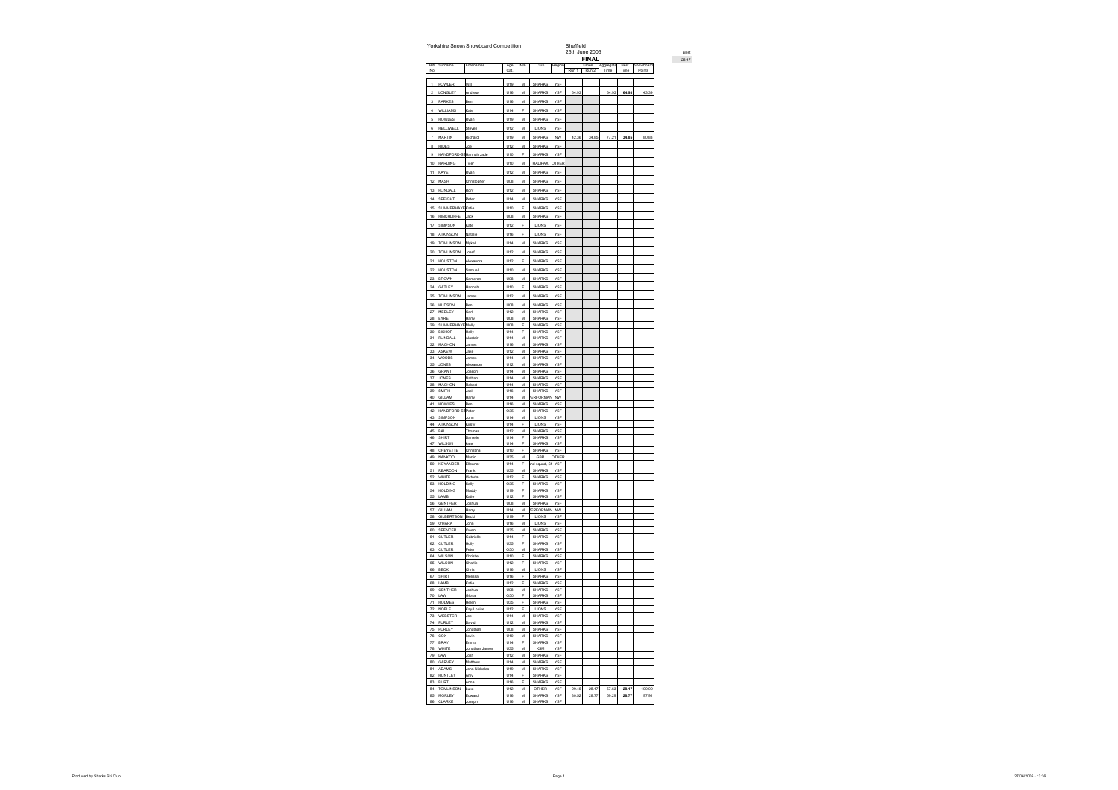| <b>FINAL</b><br>Bib<br>No<br>Surname<br>Age<br>Cat<br>egio<br>Times<br>ggregate<br>Time<br>Best<br>Time<br>Run 1 Run 2<br>FOWLER<br>Wil<br>U19<br>м<br><b>SHARKS</b><br>YSF<br>1<br>$\mathfrak{p}$<br>LONGLEY<br>1116<br>м<br><b>SHARKS</b><br>YSF<br>64.93<br>64.93<br>64.93<br>ndrew<br>$\overline{\mathbf{3}}$<br>PARKES<br>U16<br>м<br><b>SHARKS</b><br>YSF<br>4<br><b>WILLIAMS</b><br>U14<br>F<br><b>SHARKS</b><br>YSF<br>Kate<br>5<br>HOWLES<br>U19<br>SHARKS<br>YSF<br>Rya<br>M<br>6<br>HELLIWELL<br>U12<br>M<br>LIONS<br>YSF<br>$\overline{7}$<br>MARTIN<br>U19<br>M<br><b>SHARKS</b><br>NW<br>42.36<br>34.85<br>77.21<br>34.85<br>Richard<br>8<br>HIDES<br>1112<br>M<br><b>SHARKS</b><br>YSF<br>$\mathbf{9}$<br>HANDFORD-S'lHannah Jade<br>U10<br>F<br><b>SHARKS</b><br>YSF<br>$10$<br>HARDING<br>U10<br>M<br><b>HALIFAX</b><br>OTHER<br>Tyle<br>11<br>KAYE<br>Ryan<br><b>U12</b><br>M<br><b>SHARKS</b><br>YSF<br>12<br>MASH<br>Christopher<br>U08<br>M<br><b>SHARKS</b><br>YSF<br><b>FLINDALL</b><br><b>SHARKS</b><br>13<br>Rory<br><b>U12</b><br>M<br>YSF<br><b>SHARKS</b><br>14<br>SPEIGHT<br>U14<br>M<br>YSF<br>Peter<br>15<br>SUMMERHAYE<br>U10<br>F<br><b>SHARKS</b><br>YSF<br>16<br>HINCHLIFFE<br>U08<br>M<br><b>SHARKS</b><br>YSF<br>Jack<br>$17\,$<br>SIMPSON<br>U12<br>F<br>YSF<br>Kate<br>LIONS<br>18<br>ATKINSON<br>U16<br>$\mathsf F$<br>LIONS<br>YSF<br>Natalie<br>19<br><b>SHARKS</b><br><b>TOMLINSON</b><br>Mykel<br>U14<br>M<br>YSF<br>20<br><b>TOMLINSON</b><br><b>U12</b><br>M<br><b>SHARKS</b><br>YSF<br>F<br><b>HOUSTON</b><br>U12<br><b>SHARKS</b><br>YSF<br>21<br>Alexandra<br>SHARKS<br>$\bf 22$<br><b>HOUSTON</b><br>U10<br>M<br>YSF<br>Samuel<br>$23\,$<br><b>BROWN</b><br>U08<br>M<br>SHARKS<br>YSF<br>Cameron<br>U10<br>Ė<br><b>SHARKS</b><br>24<br>GATLEY<br>YSF<br>Hze<br>25<br><b>TOMLINSON</b><br><b>U12</b><br>M<br><b>SHARKS</b><br>YSF<br><b>U08</b><br>YSF<br>26<br><b>HUDSON</b><br>M<br>SHARKS<br>Ben<br>27<br>MEDLEY<br>Carl<br>U12<br>M<br><b>SHARKS</b><br>YSF<br>28<br>EYRE<br>Harry<br><b>U08</b><br>M<br>SHARKS<br>YSF<br>SUMMERHAYE<br>F<br><b>SHARKS</b><br>YSF<br>29<br>Molly<br><b>U08</b><br>$\overline{r}$<br>YSI<br>30<br><b>BISHOP</b><br>U14<br>SHARKS<br>lolly<br>FLINDALL<br>M<br>YSF<br>31<br>Alastai<br>U14<br>SHARKS<br>32<br>MACHON<br>U16<br>M<br>SHARKS<br>YS!<br>lame<br>$\overline{M}$<br><b>SHARKS</b><br>YSI<br>33<br>ASKEW<br>U12<br>U14<br>YSF<br>34<br>WOODS<br>James<br>M<br>SHARKS<br>35<br>JONES<br>U12<br>M<br><b>SHARKS</b><br>YSF<br>Vexander<br>GRANT<br>M<br><b>SHARKS</b><br>36<br>U14<br>YS!<br>loseph<br>37<br><b>JONES</b><br>U14<br>M<br><b>SHARKS</b><br>YSF<br>Vathan<br>U14<br>M<br><b>SHARKS</b><br>YSF<br>38<br>MACHON<br>Robert<br><b>SHARKS</b><br>39<br><b>SMITH</b><br>U16<br>M<br>YS<br>ack<br>40<br>GILLAM<br>U14<br>M<br>ERFORMAN<br>N <sub>N</sub><br>Harry<br>SHARKS<br>HOWLES<br>U16<br>M<br>41<br>YSF<br>3en<br>YSF<br>HANDFORD-S'<br>Peter<br>035<br>M<br><b>SHARKS</b><br>42<br>SIMPSON<br>U14<br>M<br>YSF<br>43<br>John<br>LIONS<br>44<br>ATKINSON<br>U14<br>F<br>LIONS<br>YSF<br>Kirsty<br>BALL<br>Thomas<br>U12<br>M<br>SHARKS<br>YSF<br>45<br>F<br>YSF<br>46<br><b>SHIRT</b><br>U14<br><b>SHARKS</b><br>Danielle<br>j<br>47<br><b>MLSON</b><br>U14<br><b>SHARKS</b><br>YSF<br>ate<br>48<br>U10<br>$\mathsf F$<br>SHARKS<br>YSF<br>CHEYETTE<br>Christina<br>49<br>NANKOO<br>Martin<br>U35<br>M<br>GBR<br>OTHE<br>U14<br>F.<br>nd squad, S YSF<br>50<br>KOYANDER<br>Elleanor<br>51<br>REARDON<br>Frank<br>U35<br>M<br>SHARKS<br>YSF<br>52<br>WHITE<br>/ictoria<br>U12<br>$\mathsf F$<br><b>SHARKS</b><br>YSF<br>SHARKS<br>53<br>HOLDING<br>Sally<br>035<br>c.<br>YSF<br>$rac{64}{1}$<br>Maddy<br>$\mathsf F$<br>YSF<br>HOLDING<br>U19<br>SHARKS<br>F<br>SHARKS<br>55<br>LAMB<br>Katie<br>U12<br>YSF<br>56<br>GENTHER<br>Joshuz<br><b>U08</b><br>M<br>SHARKS<br>YSF<br>57<br>GILLAM<br>Harry<br>U14<br>M<br>ERFORMAN<br>NW<br>$rac{57}{58}$<br>GILBERTSON<br><b>U19</b><br>F<br>LIONS<br>YSF<br>Becki<br>59<br>O'HARA<br>John<br>U16<br>M<br>LIONS<br>YSF<br>M<br>SHARKS<br>60<br>SPENCER<br>Owen<br>U35<br>YSF<br>1114<br>SHARKS<br>61<br>CUTI ER<br>Gabrie<br>p<br>YSF<br>62<br>CUTLER<br>Holly<br><b>U35</b><br>F<br><b>SHARKS</b><br>YSF<br>$\overline{\phantom{0}}$<br><b>SHARKS</b><br>63<br>CUTLER<br>Peter<br>O50<br>M<br>YSF<br>$\overline{\phantom{0}}$<br>64<br>WILSON<br>1110<br>F<br><b>SHARKS</b><br>YSF<br>Christi<br>65<br>WILSON<br>Charli<br><b>U12</b><br>F<br><b>SHARKS</b><br>YSF<br>66<br>BECK<br>U16<br>M<br>YSF<br>Chris<br>LIONS<br>67<br>SHIRT<br>1116<br><b>SHARKS</b><br>YSF<br>Melis<br>F<br>68<br>LAMB<br>Katie<br><b>U12</b><br>F<br><b>SHARKS</b><br>YSF<br>$\overline{\phantom{0}}$<br>69<br>GENTHER<br>U08<br>M<br>SHARKS<br>YSF<br>Joshua<br>70<br>LAW<br>050<br>p<br><b>SHARKS</b><br>YSF<br>Storia<br>71<br>HOLMES<br>Helen<br><b>U35</b><br>F<br>SHARKS<br>YSF<br>72<br><b>NOBLE</b><br>Kay-Louise<br><b>U12</b><br>F<br>LIONS<br>YSF<br>73<br>WEBSTER<br>U14<br>M<br>SHARKS<br>YSF<br>Joe |    |        | Yorkshire Snows Snowboard Competition |     | Sheffield<br>25th June 2005 |               |     |  |  |  |  |                    |
|-----------------------------------------------------------------------------------------------------------------------------------------------------------------------------------------------------------------------------------------------------------------------------------------------------------------------------------------------------------------------------------------------------------------------------------------------------------------------------------------------------------------------------------------------------------------------------------------------------------------------------------------------------------------------------------------------------------------------------------------------------------------------------------------------------------------------------------------------------------------------------------------------------------------------------------------------------------------------------------------------------------------------------------------------------------------------------------------------------------------------------------------------------------------------------------------------------------------------------------------------------------------------------------------------------------------------------------------------------------------------------------------------------------------------------------------------------------------------------------------------------------------------------------------------------------------------------------------------------------------------------------------------------------------------------------------------------------------------------------------------------------------------------------------------------------------------------------------------------------------------------------------------------------------------------------------------------------------------------------------------------------------------------------------------------------------------------------------------------------------------------------------------------------------------------------------------------------------------------------------------------------------------------------------------------------------------------------------------------------------------------------------------------------------------------------------------------------------------------------------------------------------------------------------------------------------------------------------------------------------------------------------------------------------------------------------------------------------------------------------------------------------------------------------------------------------------------------------------------------------------------------------------------------------------------------------------------------------------------------------------------------------------------------------------------------------------------------------------------------------------------------------------------------------------------------------------------------------------------------------------------------------------------------------------------------------------------------------------------------------------------------------------------------------------------------------------------------------------------------------------------------------------------------------------------------------------------------------------------------------------------------------------------------------------------------------------------------------------------------------------------------------------------------------------------------------------------------------------------------------------------------------------------------------------------------------------------------------------------------------------------------------------------------------------------------------------------------------------------------------------------------------------------------------------------------------------------------------------------------------------------------------------------------------------------------------------------------------------------------------------------------------------------------------------------------------------------------------------------------------------------------------------------------------------------------------------------------------------------------------------------------------------------------------------------------------------------------------------------------------------------------------------------------------------------------------------------------------------------------------------------------------------------------------------------------------------------------------------------------------------------------------------------------------------|----|--------|---------------------------------------|-----|-----------------------------|---------------|-----|--|--|--|--|--------------------|
|                                                                                                                                                                                                                                                                                                                                                                                                                                                                                                                                                                                                                                                                                                                                                                                                                                                                                                                                                                                                                                                                                                                                                                                                                                                                                                                                                                                                                                                                                                                                                                                                                                                                                                                                                                                                                                                                                                                                                                                                                                                                                                                                                                                                                                                                                                                                                                                                                                                                                                                                                                                                                                                                                                                                                                                                                                                                                                                                                                                                                                                                                                                                                                                                                                                                                                                                                                                                                                                                                                                                                                                                                                                                                                                                                                                                                                                                                                                                                                                                                                                                                                                                                                                                                                                                                                                                                                                                                                                                                                                                                                                                                                                                                                                                                                                                                                                                                                                                                                                                                                               |    |        |                                       |     |                             |               |     |  |  |  |  |                    |
|                                                                                                                                                                                                                                                                                                                                                                                                                                                                                                                                                                                                                                                                                                                                                                                                                                                                                                                                                                                                                                                                                                                                                                                                                                                                                                                                                                                                                                                                                                                                                                                                                                                                                                                                                                                                                                                                                                                                                                                                                                                                                                                                                                                                                                                                                                                                                                                                                                                                                                                                                                                                                                                                                                                                                                                                                                                                                                                                                                                                                                                                                                                                                                                                                                                                                                                                                                                                                                                                                                                                                                                                                                                                                                                                                                                                                                                                                                                                                                                                                                                                                                                                                                                                                                                                                                                                                                                                                                                                                                                                                                                                                                                                                                                                                                                                                                                                                                                                                                                                                                               |    |        |                                       |     |                             |               |     |  |  |  |  | nowboard<br>Points |
|                                                                                                                                                                                                                                                                                                                                                                                                                                                                                                                                                                                                                                                                                                                                                                                                                                                                                                                                                                                                                                                                                                                                                                                                                                                                                                                                                                                                                                                                                                                                                                                                                                                                                                                                                                                                                                                                                                                                                                                                                                                                                                                                                                                                                                                                                                                                                                                                                                                                                                                                                                                                                                                                                                                                                                                                                                                                                                                                                                                                                                                                                                                                                                                                                                                                                                                                                                                                                                                                                                                                                                                                                                                                                                                                                                                                                                                                                                                                                                                                                                                                                                                                                                                                                                                                                                                                                                                                                                                                                                                                                                                                                                                                                                                                                                                                                                                                                                                                                                                                                                               |    |        |                                       |     |                             |               |     |  |  |  |  |                    |
|                                                                                                                                                                                                                                                                                                                                                                                                                                                                                                                                                                                                                                                                                                                                                                                                                                                                                                                                                                                                                                                                                                                                                                                                                                                                                                                                                                                                                                                                                                                                                                                                                                                                                                                                                                                                                                                                                                                                                                                                                                                                                                                                                                                                                                                                                                                                                                                                                                                                                                                                                                                                                                                                                                                                                                                                                                                                                                                                                                                                                                                                                                                                                                                                                                                                                                                                                                                                                                                                                                                                                                                                                                                                                                                                                                                                                                                                                                                                                                                                                                                                                                                                                                                                                                                                                                                                                                                                                                                                                                                                                                                                                                                                                                                                                                                                                                                                                                                                                                                                                                               |    |        |                                       |     |                             |               |     |  |  |  |  |                    |
|                                                                                                                                                                                                                                                                                                                                                                                                                                                                                                                                                                                                                                                                                                                                                                                                                                                                                                                                                                                                                                                                                                                                                                                                                                                                                                                                                                                                                                                                                                                                                                                                                                                                                                                                                                                                                                                                                                                                                                                                                                                                                                                                                                                                                                                                                                                                                                                                                                                                                                                                                                                                                                                                                                                                                                                                                                                                                                                                                                                                                                                                                                                                                                                                                                                                                                                                                                                                                                                                                                                                                                                                                                                                                                                                                                                                                                                                                                                                                                                                                                                                                                                                                                                                                                                                                                                                                                                                                                                                                                                                                                                                                                                                                                                                                                                                                                                                                                                                                                                                                                               |    |        |                                       |     |                             |               |     |  |  |  |  | 43.3               |
|                                                                                                                                                                                                                                                                                                                                                                                                                                                                                                                                                                                                                                                                                                                                                                                                                                                                                                                                                                                                                                                                                                                                                                                                                                                                                                                                                                                                                                                                                                                                                                                                                                                                                                                                                                                                                                                                                                                                                                                                                                                                                                                                                                                                                                                                                                                                                                                                                                                                                                                                                                                                                                                                                                                                                                                                                                                                                                                                                                                                                                                                                                                                                                                                                                                                                                                                                                                                                                                                                                                                                                                                                                                                                                                                                                                                                                                                                                                                                                                                                                                                                                                                                                                                                                                                                                                                                                                                                                                                                                                                                                                                                                                                                                                                                                                                                                                                                                                                                                                                                                               |    |        |                                       |     |                             |               |     |  |  |  |  |                    |
|                                                                                                                                                                                                                                                                                                                                                                                                                                                                                                                                                                                                                                                                                                                                                                                                                                                                                                                                                                                                                                                                                                                                                                                                                                                                                                                                                                                                                                                                                                                                                                                                                                                                                                                                                                                                                                                                                                                                                                                                                                                                                                                                                                                                                                                                                                                                                                                                                                                                                                                                                                                                                                                                                                                                                                                                                                                                                                                                                                                                                                                                                                                                                                                                                                                                                                                                                                                                                                                                                                                                                                                                                                                                                                                                                                                                                                                                                                                                                                                                                                                                                                                                                                                                                                                                                                                                                                                                                                                                                                                                                                                                                                                                                                                                                                                                                                                                                                                                                                                                                                               |    |        |                                       |     |                             |               |     |  |  |  |  |                    |
|                                                                                                                                                                                                                                                                                                                                                                                                                                                                                                                                                                                                                                                                                                                                                                                                                                                                                                                                                                                                                                                                                                                                                                                                                                                                                                                                                                                                                                                                                                                                                                                                                                                                                                                                                                                                                                                                                                                                                                                                                                                                                                                                                                                                                                                                                                                                                                                                                                                                                                                                                                                                                                                                                                                                                                                                                                                                                                                                                                                                                                                                                                                                                                                                                                                                                                                                                                                                                                                                                                                                                                                                                                                                                                                                                                                                                                                                                                                                                                                                                                                                                                                                                                                                                                                                                                                                                                                                                                                                                                                                                                                                                                                                                                                                                                                                                                                                                                                                                                                                                                               |    |        |                                       |     |                             |               |     |  |  |  |  |                    |
|                                                                                                                                                                                                                                                                                                                                                                                                                                                                                                                                                                                                                                                                                                                                                                                                                                                                                                                                                                                                                                                                                                                                                                                                                                                                                                                                                                                                                                                                                                                                                                                                                                                                                                                                                                                                                                                                                                                                                                                                                                                                                                                                                                                                                                                                                                                                                                                                                                                                                                                                                                                                                                                                                                                                                                                                                                                                                                                                                                                                                                                                                                                                                                                                                                                                                                                                                                                                                                                                                                                                                                                                                                                                                                                                                                                                                                                                                                                                                                                                                                                                                                                                                                                                                                                                                                                                                                                                                                                                                                                                                                                                                                                                                                                                                                                                                                                                                                                                                                                                                                               |    |        |                                       |     |                             |               |     |  |  |  |  |                    |
|                                                                                                                                                                                                                                                                                                                                                                                                                                                                                                                                                                                                                                                                                                                                                                                                                                                                                                                                                                                                                                                                                                                                                                                                                                                                                                                                                                                                                                                                                                                                                                                                                                                                                                                                                                                                                                                                                                                                                                                                                                                                                                                                                                                                                                                                                                                                                                                                                                                                                                                                                                                                                                                                                                                                                                                                                                                                                                                                                                                                                                                                                                                                                                                                                                                                                                                                                                                                                                                                                                                                                                                                                                                                                                                                                                                                                                                                                                                                                                                                                                                                                                                                                                                                                                                                                                                                                                                                                                                                                                                                                                                                                                                                                                                                                                                                                                                                                                                                                                                                                                               |    |        |                                       |     |                             |               |     |  |  |  |  | 80.83              |
|                                                                                                                                                                                                                                                                                                                                                                                                                                                                                                                                                                                                                                                                                                                                                                                                                                                                                                                                                                                                                                                                                                                                                                                                                                                                                                                                                                                                                                                                                                                                                                                                                                                                                                                                                                                                                                                                                                                                                                                                                                                                                                                                                                                                                                                                                                                                                                                                                                                                                                                                                                                                                                                                                                                                                                                                                                                                                                                                                                                                                                                                                                                                                                                                                                                                                                                                                                                                                                                                                                                                                                                                                                                                                                                                                                                                                                                                                                                                                                                                                                                                                                                                                                                                                                                                                                                                                                                                                                                                                                                                                                                                                                                                                                                                                                                                                                                                                                                                                                                                                                               |    |        |                                       |     |                             |               |     |  |  |  |  |                    |
|                                                                                                                                                                                                                                                                                                                                                                                                                                                                                                                                                                                                                                                                                                                                                                                                                                                                                                                                                                                                                                                                                                                                                                                                                                                                                                                                                                                                                                                                                                                                                                                                                                                                                                                                                                                                                                                                                                                                                                                                                                                                                                                                                                                                                                                                                                                                                                                                                                                                                                                                                                                                                                                                                                                                                                                                                                                                                                                                                                                                                                                                                                                                                                                                                                                                                                                                                                                                                                                                                                                                                                                                                                                                                                                                                                                                                                                                                                                                                                                                                                                                                                                                                                                                                                                                                                                                                                                                                                                                                                                                                                                                                                                                                                                                                                                                                                                                                                                                                                                                                                               |    |        |                                       |     |                             |               |     |  |  |  |  |                    |
|                                                                                                                                                                                                                                                                                                                                                                                                                                                                                                                                                                                                                                                                                                                                                                                                                                                                                                                                                                                                                                                                                                                                                                                                                                                                                                                                                                                                                                                                                                                                                                                                                                                                                                                                                                                                                                                                                                                                                                                                                                                                                                                                                                                                                                                                                                                                                                                                                                                                                                                                                                                                                                                                                                                                                                                                                                                                                                                                                                                                                                                                                                                                                                                                                                                                                                                                                                                                                                                                                                                                                                                                                                                                                                                                                                                                                                                                                                                                                                                                                                                                                                                                                                                                                                                                                                                                                                                                                                                                                                                                                                                                                                                                                                                                                                                                                                                                                                                                                                                                                                               |    |        |                                       |     |                             |               |     |  |  |  |  |                    |
|                                                                                                                                                                                                                                                                                                                                                                                                                                                                                                                                                                                                                                                                                                                                                                                                                                                                                                                                                                                                                                                                                                                                                                                                                                                                                                                                                                                                                                                                                                                                                                                                                                                                                                                                                                                                                                                                                                                                                                                                                                                                                                                                                                                                                                                                                                                                                                                                                                                                                                                                                                                                                                                                                                                                                                                                                                                                                                                                                                                                                                                                                                                                                                                                                                                                                                                                                                                                                                                                                                                                                                                                                                                                                                                                                                                                                                                                                                                                                                                                                                                                                                                                                                                                                                                                                                                                                                                                                                                                                                                                                                                                                                                                                                                                                                                                                                                                                                                                                                                                                                               |    |        |                                       |     |                             |               |     |  |  |  |  |                    |
|                                                                                                                                                                                                                                                                                                                                                                                                                                                                                                                                                                                                                                                                                                                                                                                                                                                                                                                                                                                                                                                                                                                                                                                                                                                                                                                                                                                                                                                                                                                                                                                                                                                                                                                                                                                                                                                                                                                                                                                                                                                                                                                                                                                                                                                                                                                                                                                                                                                                                                                                                                                                                                                                                                                                                                                                                                                                                                                                                                                                                                                                                                                                                                                                                                                                                                                                                                                                                                                                                                                                                                                                                                                                                                                                                                                                                                                                                                                                                                                                                                                                                                                                                                                                                                                                                                                                                                                                                                                                                                                                                                                                                                                                                                                                                                                                                                                                                                                                                                                                                                               |    |        |                                       |     |                             |               |     |  |  |  |  |                    |
|                                                                                                                                                                                                                                                                                                                                                                                                                                                                                                                                                                                                                                                                                                                                                                                                                                                                                                                                                                                                                                                                                                                                                                                                                                                                                                                                                                                                                                                                                                                                                                                                                                                                                                                                                                                                                                                                                                                                                                                                                                                                                                                                                                                                                                                                                                                                                                                                                                                                                                                                                                                                                                                                                                                                                                                                                                                                                                                                                                                                                                                                                                                                                                                                                                                                                                                                                                                                                                                                                                                                                                                                                                                                                                                                                                                                                                                                                                                                                                                                                                                                                                                                                                                                                                                                                                                                                                                                                                                                                                                                                                                                                                                                                                                                                                                                                                                                                                                                                                                                                                               |    |        |                                       |     |                             |               |     |  |  |  |  |                    |
|                                                                                                                                                                                                                                                                                                                                                                                                                                                                                                                                                                                                                                                                                                                                                                                                                                                                                                                                                                                                                                                                                                                                                                                                                                                                                                                                                                                                                                                                                                                                                                                                                                                                                                                                                                                                                                                                                                                                                                                                                                                                                                                                                                                                                                                                                                                                                                                                                                                                                                                                                                                                                                                                                                                                                                                                                                                                                                                                                                                                                                                                                                                                                                                                                                                                                                                                                                                                                                                                                                                                                                                                                                                                                                                                                                                                                                                                                                                                                                                                                                                                                                                                                                                                                                                                                                                                                                                                                                                                                                                                                                                                                                                                                                                                                                                                                                                                                                                                                                                                                                               |    |        |                                       |     |                             |               |     |  |  |  |  |                    |
|                                                                                                                                                                                                                                                                                                                                                                                                                                                                                                                                                                                                                                                                                                                                                                                                                                                                                                                                                                                                                                                                                                                                                                                                                                                                                                                                                                                                                                                                                                                                                                                                                                                                                                                                                                                                                                                                                                                                                                                                                                                                                                                                                                                                                                                                                                                                                                                                                                                                                                                                                                                                                                                                                                                                                                                                                                                                                                                                                                                                                                                                                                                                                                                                                                                                                                                                                                                                                                                                                                                                                                                                                                                                                                                                                                                                                                                                                                                                                                                                                                                                                                                                                                                                                                                                                                                                                                                                                                                                                                                                                                                                                                                                                                                                                                                                                                                                                                                                                                                                                                               |    |        |                                       |     |                             |               |     |  |  |  |  |                    |
|                                                                                                                                                                                                                                                                                                                                                                                                                                                                                                                                                                                                                                                                                                                                                                                                                                                                                                                                                                                                                                                                                                                                                                                                                                                                                                                                                                                                                                                                                                                                                                                                                                                                                                                                                                                                                                                                                                                                                                                                                                                                                                                                                                                                                                                                                                                                                                                                                                                                                                                                                                                                                                                                                                                                                                                                                                                                                                                                                                                                                                                                                                                                                                                                                                                                                                                                                                                                                                                                                                                                                                                                                                                                                                                                                                                                                                                                                                                                                                                                                                                                                                                                                                                                                                                                                                                                                                                                                                                                                                                                                                                                                                                                                                                                                                                                                                                                                                                                                                                                                                               |    |        |                                       |     |                             |               |     |  |  |  |  |                    |
|                                                                                                                                                                                                                                                                                                                                                                                                                                                                                                                                                                                                                                                                                                                                                                                                                                                                                                                                                                                                                                                                                                                                                                                                                                                                                                                                                                                                                                                                                                                                                                                                                                                                                                                                                                                                                                                                                                                                                                                                                                                                                                                                                                                                                                                                                                                                                                                                                                                                                                                                                                                                                                                                                                                                                                                                                                                                                                                                                                                                                                                                                                                                                                                                                                                                                                                                                                                                                                                                                                                                                                                                                                                                                                                                                                                                                                                                                                                                                                                                                                                                                                                                                                                                                                                                                                                                                                                                                                                                                                                                                                                                                                                                                                                                                                                                                                                                                                                                                                                                                                               |    |        |                                       |     |                             |               |     |  |  |  |  |                    |
|                                                                                                                                                                                                                                                                                                                                                                                                                                                                                                                                                                                                                                                                                                                                                                                                                                                                                                                                                                                                                                                                                                                                                                                                                                                                                                                                                                                                                                                                                                                                                                                                                                                                                                                                                                                                                                                                                                                                                                                                                                                                                                                                                                                                                                                                                                                                                                                                                                                                                                                                                                                                                                                                                                                                                                                                                                                                                                                                                                                                                                                                                                                                                                                                                                                                                                                                                                                                                                                                                                                                                                                                                                                                                                                                                                                                                                                                                                                                                                                                                                                                                                                                                                                                                                                                                                                                                                                                                                                                                                                                                                                                                                                                                                                                                                                                                                                                                                                                                                                                                                               |    |        |                                       |     |                             |               |     |  |  |  |  |                    |
|                                                                                                                                                                                                                                                                                                                                                                                                                                                                                                                                                                                                                                                                                                                                                                                                                                                                                                                                                                                                                                                                                                                                                                                                                                                                                                                                                                                                                                                                                                                                                                                                                                                                                                                                                                                                                                                                                                                                                                                                                                                                                                                                                                                                                                                                                                                                                                                                                                                                                                                                                                                                                                                                                                                                                                                                                                                                                                                                                                                                                                                                                                                                                                                                                                                                                                                                                                                                                                                                                                                                                                                                                                                                                                                                                                                                                                                                                                                                                                                                                                                                                                                                                                                                                                                                                                                                                                                                                                                                                                                                                                                                                                                                                                                                                                                                                                                                                                                                                                                                                                               |    |        |                                       |     |                             |               |     |  |  |  |  |                    |
|                                                                                                                                                                                                                                                                                                                                                                                                                                                                                                                                                                                                                                                                                                                                                                                                                                                                                                                                                                                                                                                                                                                                                                                                                                                                                                                                                                                                                                                                                                                                                                                                                                                                                                                                                                                                                                                                                                                                                                                                                                                                                                                                                                                                                                                                                                                                                                                                                                                                                                                                                                                                                                                                                                                                                                                                                                                                                                                                                                                                                                                                                                                                                                                                                                                                                                                                                                                                                                                                                                                                                                                                                                                                                                                                                                                                                                                                                                                                                                                                                                                                                                                                                                                                                                                                                                                                                                                                                                                                                                                                                                                                                                                                                                                                                                                                                                                                                                                                                                                                                                               |    |        |                                       |     |                             |               |     |  |  |  |  |                    |
|                                                                                                                                                                                                                                                                                                                                                                                                                                                                                                                                                                                                                                                                                                                                                                                                                                                                                                                                                                                                                                                                                                                                                                                                                                                                                                                                                                                                                                                                                                                                                                                                                                                                                                                                                                                                                                                                                                                                                                                                                                                                                                                                                                                                                                                                                                                                                                                                                                                                                                                                                                                                                                                                                                                                                                                                                                                                                                                                                                                                                                                                                                                                                                                                                                                                                                                                                                                                                                                                                                                                                                                                                                                                                                                                                                                                                                                                                                                                                                                                                                                                                                                                                                                                                                                                                                                                                                                                                                                                                                                                                                                                                                                                                                                                                                                                                                                                                                                                                                                                                                               |    |        |                                       |     |                             |               |     |  |  |  |  |                    |
|                                                                                                                                                                                                                                                                                                                                                                                                                                                                                                                                                                                                                                                                                                                                                                                                                                                                                                                                                                                                                                                                                                                                                                                                                                                                                                                                                                                                                                                                                                                                                                                                                                                                                                                                                                                                                                                                                                                                                                                                                                                                                                                                                                                                                                                                                                                                                                                                                                                                                                                                                                                                                                                                                                                                                                                                                                                                                                                                                                                                                                                                                                                                                                                                                                                                                                                                                                                                                                                                                                                                                                                                                                                                                                                                                                                                                                                                                                                                                                                                                                                                                                                                                                                                                                                                                                                                                                                                                                                                                                                                                                                                                                                                                                                                                                                                                                                                                                                                                                                                                                               |    |        |                                       |     |                             |               |     |  |  |  |  |                    |
|                                                                                                                                                                                                                                                                                                                                                                                                                                                                                                                                                                                                                                                                                                                                                                                                                                                                                                                                                                                                                                                                                                                                                                                                                                                                                                                                                                                                                                                                                                                                                                                                                                                                                                                                                                                                                                                                                                                                                                                                                                                                                                                                                                                                                                                                                                                                                                                                                                                                                                                                                                                                                                                                                                                                                                                                                                                                                                                                                                                                                                                                                                                                                                                                                                                                                                                                                                                                                                                                                                                                                                                                                                                                                                                                                                                                                                                                                                                                                                                                                                                                                                                                                                                                                                                                                                                                                                                                                                                                                                                                                                                                                                                                                                                                                                                                                                                                                                                                                                                                                                               |    |        |                                       |     |                             |               |     |  |  |  |  |                    |
|                                                                                                                                                                                                                                                                                                                                                                                                                                                                                                                                                                                                                                                                                                                                                                                                                                                                                                                                                                                                                                                                                                                                                                                                                                                                                                                                                                                                                                                                                                                                                                                                                                                                                                                                                                                                                                                                                                                                                                                                                                                                                                                                                                                                                                                                                                                                                                                                                                                                                                                                                                                                                                                                                                                                                                                                                                                                                                                                                                                                                                                                                                                                                                                                                                                                                                                                                                                                                                                                                                                                                                                                                                                                                                                                                                                                                                                                                                                                                                                                                                                                                                                                                                                                                                                                                                                                                                                                                                                                                                                                                                                                                                                                                                                                                                                                                                                                                                                                                                                                                                               |    |        |                                       |     |                             |               |     |  |  |  |  |                    |
|                                                                                                                                                                                                                                                                                                                                                                                                                                                                                                                                                                                                                                                                                                                                                                                                                                                                                                                                                                                                                                                                                                                                                                                                                                                                                                                                                                                                                                                                                                                                                                                                                                                                                                                                                                                                                                                                                                                                                                                                                                                                                                                                                                                                                                                                                                                                                                                                                                                                                                                                                                                                                                                                                                                                                                                                                                                                                                                                                                                                                                                                                                                                                                                                                                                                                                                                                                                                                                                                                                                                                                                                                                                                                                                                                                                                                                                                                                                                                                                                                                                                                                                                                                                                                                                                                                                                                                                                                                                                                                                                                                                                                                                                                                                                                                                                                                                                                                                                                                                                                                               |    |        |                                       |     |                             |               |     |  |  |  |  |                    |
|                                                                                                                                                                                                                                                                                                                                                                                                                                                                                                                                                                                                                                                                                                                                                                                                                                                                                                                                                                                                                                                                                                                                                                                                                                                                                                                                                                                                                                                                                                                                                                                                                                                                                                                                                                                                                                                                                                                                                                                                                                                                                                                                                                                                                                                                                                                                                                                                                                                                                                                                                                                                                                                                                                                                                                                                                                                                                                                                                                                                                                                                                                                                                                                                                                                                                                                                                                                                                                                                                                                                                                                                                                                                                                                                                                                                                                                                                                                                                                                                                                                                                                                                                                                                                                                                                                                                                                                                                                                                                                                                                                                                                                                                                                                                                                                                                                                                                                                                                                                                                                               |    |        |                                       |     |                             |               |     |  |  |  |  |                    |
|                                                                                                                                                                                                                                                                                                                                                                                                                                                                                                                                                                                                                                                                                                                                                                                                                                                                                                                                                                                                                                                                                                                                                                                                                                                                                                                                                                                                                                                                                                                                                                                                                                                                                                                                                                                                                                                                                                                                                                                                                                                                                                                                                                                                                                                                                                                                                                                                                                                                                                                                                                                                                                                                                                                                                                                                                                                                                                                                                                                                                                                                                                                                                                                                                                                                                                                                                                                                                                                                                                                                                                                                                                                                                                                                                                                                                                                                                                                                                                                                                                                                                                                                                                                                                                                                                                                                                                                                                                                                                                                                                                                                                                                                                                                                                                                                                                                                                                                                                                                                                                               |    |        |                                       |     |                             |               |     |  |  |  |  |                    |
|                                                                                                                                                                                                                                                                                                                                                                                                                                                                                                                                                                                                                                                                                                                                                                                                                                                                                                                                                                                                                                                                                                                                                                                                                                                                                                                                                                                                                                                                                                                                                                                                                                                                                                                                                                                                                                                                                                                                                                                                                                                                                                                                                                                                                                                                                                                                                                                                                                                                                                                                                                                                                                                                                                                                                                                                                                                                                                                                                                                                                                                                                                                                                                                                                                                                                                                                                                                                                                                                                                                                                                                                                                                                                                                                                                                                                                                                                                                                                                                                                                                                                                                                                                                                                                                                                                                                                                                                                                                                                                                                                                                                                                                                                                                                                                                                                                                                                                                                                                                                                                               |    |        |                                       |     |                             |               |     |  |  |  |  |                    |
|                                                                                                                                                                                                                                                                                                                                                                                                                                                                                                                                                                                                                                                                                                                                                                                                                                                                                                                                                                                                                                                                                                                                                                                                                                                                                                                                                                                                                                                                                                                                                                                                                                                                                                                                                                                                                                                                                                                                                                                                                                                                                                                                                                                                                                                                                                                                                                                                                                                                                                                                                                                                                                                                                                                                                                                                                                                                                                                                                                                                                                                                                                                                                                                                                                                                                                                                                                                                                                                                                                                                                                                                                                                                                                                                                                                                                                                                                                                                                                                                                                                                                                                                                                                                                                                                                                                                                                                                                                                                                                                                                                                                                                                                                                                                                                                                                                                                                                                                                                                                                                               |    |        |                                       |     |                             |               |     |  |  |  |  |                    |
|                                                                                                                                                                                                                                                                                                                                                                                                                                                                                                                                                                                                                                                                                                                                                                                                                                                                                                                                                                                                                                                                                                                                                                                                                                                                                                                                                                                                                                                                                                                                                                                                                                                                                                                                                                                                                                                                                                                                                                                                                                                                                                                                                                                                                                                                                                                                                                                                                                                                                                                                                                                                                                                                                                                                                                                                                                                                                                                                                                                                                                                                                                                                                                                                                                                                                                                                                                                                                                                                                                                                                                                                                                                                                                                                                                                                                                                                                                                                                                                                                                                                                                                                                                                                                                                                                                                                                                                                                                                                                                                                                                                                                                                                                                                                                                                                                                                                                                                                                                                                                                               |    |        |                                       |     |                             |               |     |  |  |  |  |                    |
|                                                                                                                                                                                                                                                                                                                                                                                                                                                                                                                                                                                                                                                                                                                                                                                                                                                                                                                                                                                                                                                                                                                                                                                                                                                                                                                                                                                                                                                                                                                                                                                                                                                                                                                                                                                                                                                                                                                                                                                                                                                                                                                                                                                                                                                                                                                                                                                                                                                                                                                                                                                                                                                                                                                                                                                                                                                                                                                                                                                                                                                                                                                                                                                                                                                                                                                                                                                                                                                                                                                                                                                                                                                                                                                                                                                                                                                                                                                                                                                                                                                                                                                                                                                                                                                                                                                                                                                                                                                                                                                                                                                                                                                                                                                                                                                                                                                                                                                                                                                                                                               |    |        |                                       |     |                             |               |     |  |  |  |  |                    |
|                                                                                                                                                                                                                                                                                                                                                                                                                                                                                                                                                                                                                                                                                                                                                                                                                                                                                                                                                                                                                                                                                                                                                                                                                                                                                                                                                                                                                                                                                                                                                                                                                                                                                                                                                                                                                                                                                                                                                                                                                                                                                                                                                                                                                                                                                                                                                                                                                                                                                                                                                                                                                                                                                                                                                                                                                                                                                                                                                                                                                                                                                                                                                                                                                                                                                                                                                                                                                                                                                                                                                                                                                                                                                                                                                                                                                                                                                                                                                                                                                                                                                                                                                                                                                                                                                                                                                                                                                                                                                                                                                                                                                                                                                                                                                                                                                                                                                                                                                                                                                                               |    |        |                                       |     |                             |               |     |  |  |  |  |                    |
|                                                                                                                                                                                                                                                                                                                                                                                                                                                                                                                                                                                                                                                                                                                                                                                                                                                                                                                                                                                                                                                                                                                                                                                                                                                                                                                                                                                                                                                                                                                                                                                                                                                                                                                                                                                                                                                                                                                                                                                                                                                                                                                                                                                                                                                                                                                                                                                                                                                                                                                                                                                                                                                                                                                                                                                                                                                                                                                                                                                                                                                                                                                                                                                                                                                                                                                                                                                                                                                                                                                                                                                                                                                                                                                                                                                                                                                                                                                                                                                                                                                                                                                                                                                                                                                                                                                                                                                                                                                                                                                                                                                                                                                                                                                                                                                                                                                                                                                                                                                                                                               |    |        |                                       |     |                             |               |     |  |  |  |  |                    |
|                                                                                                                                                                                                                                                                                                                                                                                                                                                                                                                                                                                                                                                                                                                                                                                                                                                                                                                                                                                                                                                                                                                                                                                                                                                                                                                                                                                                                                                                                                                                                                                                                                                                                                                                                                                                                                                                                                                                                                                                                                                                                                                                                                                                                                                                                                                                                                                                                                                                                                                                                                                                                                                                                                                                                                                                                                                                                                                                                                                                                                                                                                                                                                                                                                                                                                                                                                                                                                                                                                                                                                                                                                                                                                                                                                                                                                                                                                                                                                                                                                                                                                                                                                                                                                                                                                                                                                                                                                                                                                                                                                                                                                                                                                                                                                                                                                                                                                                                                                                                                                               |    |        |                                       |     |                             |               |     |  |  |  |  |                    |
|                                                                                                                                                                                                                                                                                                                                                                                                                                                                                                                                                                                                                                                                                                                                                                                                                                                                                                                                                                                                                                                                                                                                                                                                                                                                                                                                                                                                                                                                                                                                                                                                                                                                                                                                                                                                                                                                                                                                                                                                                                                                                                                                                                                                                                                                                                                                                                                                                                                                                                                                                                                                                                                                                                                                                                                                                                                                                                                                                                                                                                                                                                                                                                                                                                                                                                                                                                                                                                                                                                                                                                                                                                                                                                                                                                                                                                                                                                                                                                                                                                                                                                                                                                                                                                                                                                                                                                                                                                                                                                                                                                                                                                                                                                                                                                                                                                                                                                                                                                                                                                               |    |        |                                       |     |                             |               |     |  |  |  |  |                    |
|                                                                                                                                                                                                                                                                                                                                                                                                                                                                                                                                                                                                                                                                                                                                                                                                                                                                                                                                                                                                                                                                                                                                                                                                                                                                                                                                                                                                                                                                                                                                                                                                                                                                                                                                                                                                                                                                                                                                                                                                                                                                                                                                                                                                                                                                                                                                                                                                                                                                                                                                                                                                                                                                                                                                                                                                                                                                                                                                                                                                                                                                                                                                                                                                                                                                                                                                                                                                                                                                                                                                                                                                                                                                                                                                                                                                                                                                                                                                                                                                                                                                                                                                                                                                                                                                                                                                                                                                                                                                                                                                                                                                                                                                                                                                                                                                                                                                                                                                                                                                                                               |    |        |                                       |     |                             |               |     |  |  |  |  |                    |
|                                                                                                                                                                                                                                                                                                                                                                                                                                                                                                                                                                                                                                                                                                                                                                                                                                                                                                                                                                                                                                                                                                                                                                                                                                                                                                                                                                                                                                                                                                                                                                                                                                                                                                                                                                                                                                                                                                                                                                                                                                                                                                                                                                                                                                                                                                                                                                                                                                                                                                                                                                                                                                                                                                                                                                                                                                                                                                                                                                                                                                                                                                                                                                                                                                                                                                                                                                                                                                                                                                                                                                                                                                                                                                                                                                                                                                                                                                                                                                                                                                                                                                                                                                                                                                                                                                                                                                                                                                                                                                                                                                                                                                                                                                                                                                                                                                                                                                                                                                                                                                               |    |        |                                       |     |                             |               |     |  |  |  |  |                    |
|                                                                                                                                                                                                                                                                                                                                                                                                                                                                                                                                                                                                                                                                                                                                                                                                                                                                                                                                                                                                                                                                                                                                                                                                                                                                                                                                                                                                                                                                                                                                                                                                                                                                                                                                                                                                                                                                                                                                                                                                                                                                                                                                                                                                                                                                                                                                                                                                                                                                                                                                                                                                                                                                                                                                                                                                                                                                                                                                                                                                                                                                                                                                                                                                                                                                                                                                                                                                                                                                                                                                                                                                                                                                                                                                                                                                                                                                                                                                                                                                                                                                                                                                                                                                                                                                                                                                                                                                                                                                                                                                                                                                                                                                                                                                                                                                                                                                                                                                                                                                                                               |    |        |                                       |     |                             |               |     |  |  |  |  |                    |
|                                                                                                                                                                                                                                                                                                                                                                                                                                                                                                                                                                                                                                                                                                                                                                                                                                                                                                                                                                                                                                                                                                                                                                                                                                                                                                                                                                                                                                                                                                                                                                                                                                                                                                                                                                                                                                                                                                                                                                                                                                                                                                                                                                                                                                                                                                                                                                                                                                                                                                                                                                                                                                                                                                                                                                                                                                                                                                                                                                                                                                                                                                                                                                                                                                                                                                                                                                                                                                                                                                                                                                                                                                                                                                                                                                                                                                                                                                                                                                                                                                                                                                                                                                                                                                                                                                                                                                                                                                                                                                                                                                                                                                                                                                                                                                                                                                                                                                                                                                                                                                               |    |        |                                       |     |                             |               |     |  |  |  |  |                    |
|                                                                                                                                                                                                                                                                                                                                                                                                                                                                                                                                                                                                                                                                                                                                                                                                                                                                                                                                                                                                                                                                                                                                                                                                                                                                                                                                                                                                                                                                                                                                                                                                                                                                                                                                                                                                                                                                                                                                                                                                                                                                                                                                                                                                                                                                                                                                                                                                                                                                                                                                                                                                                                                                                                                                                                                                                                                                                                                                                                                                                                                                                                                                                                                                                                                                                                                                                                                                                                                                                                                                                                                                                                                                                                                                                                                                                                                                                                                                                                                                                                                                                                                                                                                                                                                                                                                                                                                                                                                                                                                                                                                                                                                                                                                                                                                                                                                                                                                                                                                                                                               |    |        |                                       |     |                             |               |     |  |  |  |  |                    |
|                                                                                                                                                                                                                                                                                                                                                                                                                                                                                                                                                                                                                                                                                                                                                                                                                                                                                                                                                                                                                                                                                                                                                                                                                                                                                                                                                                                                                                                                                                                                                                                                                                                                                                                                                                                                                                                                                                                                                                                                                                                                                                                                                                                                                                                                                                                                                                                                                                                                                                                                                                                                                                                                                                                                                                                                                                                                                                                                                                                                                                                                                                                                                                                                                                                                                                                                                                                                                                                                                                                                                                                                                                                                                                                                                                                                                                                                                                                                                                                                                                                                                                                                                                                                                                                                                                                                                                                                                                                                                                                                                                                                                                                                                                                                                                                                                                                                                                                                                                                                                                               |    |        |                                       |     |                             |               |     |  |  |  |  |                    |
|                                                                                                                                                                                                                                                                                                                                                                                                                                                                                                                                                                                                                                                                                                                                                                                                                                                                                                                                                                                                                                                                                                                                                                                                                                                                                                                                                                                                                                                                                                                                                                                                                                                                                                                                                                                                                                                                                                                                                                                                                                                                                                                                                                                                                                                                                                                                                                                                                                                                                                                                                                                                                                                                                                                                                                                                                                                                                                                                                                                                                                                                                                                                                                                                                                                                                                                                                                                                                                                                                                                                                                                                                                                                                                                                                                                                                                                                                                                                                                                                                                                                                                                                                                                                                                                                                                                                                                                                                                                                                                                                                                                                                                                                                                                                                                                                                                                                                                                                                                                                                                               |    |        |                                       |     |                             |               |     |  |  |  |  |                    |
|                                                                                                                                                                                                                                                                                                                                                                                                                                                                                                                                                                                                                                                                                                                                                                                                                                                                                                                                                                                                                                                                                                                                                                                                                                                                                                                                                                                                                                                                                                                                                                                                                                                                                                                                                                                                                                                                                                                                                                                                                                                                                                                                                                                                                                                                                                                                                                                                                                                                                                                                                                                                                                                                                                                                                                                                                                                                                                                                                                                                                                                                                                                                                                                                                                                                                                                                                                                                                                                                                                                                                                                                                                                                                                                                                                                                                                                                                                                                                                                                                                                                                                                                                                                                                                                                                                                                                                                                                                                                                                                                                                                                                                                                                                                                                                                                                                                                                                                                                                                                                                               |    |        |                                       |     |                             |               |     |  |  |  |  |                    |
|                                                                                                                                                                                                                                                                                                                                                                                                                                                                                                                                                                                                                                                                                                                                                                                                                                                                                                                                                                                                                                                                                                                                                                                                                                                                                                                                                                                                                                                                                                                                                                                                                                                                                                                                                                                                                                                                                                                                                                                                                                                                                                                                                                                                                                                                                                                                                                                                                                                                                                                                                                                                                                                                                                                                                                                                                                                                                                                                                                                                                                                                                                                                                                                                                                                                                                                                                                                                                                                                                                                                                                                                                                                                                                                                                                                                                                                                                                                                                                                                                                                                                                                                                                                                                                                                                                                                                                                                                                                                                                                                                                                                                                                                                                                                                                                                                                                                                                                                                                                                                                               |    |        |                                       |     |                             |               |     |  |  |  |  |                    |
|                                                                                                                                                                                                                                                                                                                                                                                                                                                                                                                                                                                                                                                                                                                                                                                                                                                                                                                                                                                                                                                                                                                                                                                                                                                                                                                                                                                                                                                                                                                                                                                                                                                                                                                                                                                                                                                                                                                                                                                                                                                                                                                                                                                                                                                                                                                                                                                                                                                                                                                                                                                                                                                                                                                                                                                                                                                                                                                                                                                                                                                                                                                                                                                                                                                                                                                                                                                                                                                                                                                                                                                                                                                                                                                                                                                                                                                                                                                                                                                                                                                                                                                                                                                                                                                                                                                                                                                                                                                                                                                                                                                                                                                                                                                                                                                                                                                                                                                                                                                                                                               |    |        |                                       |     |                             |               |     |  |  |  |  |                    |
|                                                                                                                                                                                                                                                                                                                                                                                                                                                                                                                                                                                                                                                                                                                                                                                                                                                                                                                                                                                                                                                                                                                                                                                                                                                                                                                                                                                                                                                                                                                                                                                                                                                                                                                                                                                                                                                                                                                                                                                                                                                                                                                                                                                                                                                                                                                                                                                                                                                                                                                                                                                                                                                                                                                                                                                                                                                                                                                                                                                                                                                                                                                                                                                                                                                                                                                                                                                                                                                                                                                                                                                                                                                                                                                                                                                                                                                                                                                                                                                                                                                                                                                                                                                                                                                                                                                                                                                                                                                                                                                                                                                                                                                                                                                                                                                                                                                                                                                                                                                                                                               |    |        |                                       |     |                             |               |     |  |  |  |  |                    |
|                                                                                                                                                                                                                                                                                                                                                                                                                                                                                                                                                                                                                                                                                                                                                                                                                                                                                                                                                                                                                                                                                                                                                                                                                                                                                                                                                                                                                                                                                                                                                                                                                                                                                                                                                                                                                                                                                                                                                                                                                                                                                                                                                                                                                                                                                                                                                                                                                                                                                                                                                                                                                                                                                                                                                                                                                                                                                                                                                                                                                                                                                                                                                                                                                                                                                                                                                                                                                                                                                                                                                                                                                                                                                                                                                                                                                                                                                                                                                                                                                                                                                                                                                                                                                                                                                                                                                                                                                                                                                                                                                                                                                                                                                                                                                                                                                                                                                                                                                                                                                                               |    |        |                                       |     |                             |               |     |  |  |  |  |                    |
|                                                                                                                                                                                                                                                                                                                                                                                                                                                                                                                                                                                                                                                                                                                                                                                                                                                                                                                                                                                                                                                                                                                                                                                                                                                                                                                                                                                                                                                                                                                                                                                                                                                                                                                                                                                                                                                                                                                                                                                                                                                                                                                                                                                                                                                                                                                                                                                                                                                                                                                                                                                                                                                                                                                                                                                                                                                                                                                                                                                                                                                                                                                                                                                                                                                                                                                                                                                                                                                                                                                                                                                                                                                                                                                                                                                                                                                                                                                                                                                                                                                                                                                                                                                                                                                                                                                                                                                                                                                                                                                                                                                                                                                                                                                                                                                                                                                                                                                                                                                                                                               |    |        |                                       |     |                             |               |     |  |  |  |  |                    |
|                                                                                                                                                                                                                                                                                                                                                                                                                                                                                                                                                                                                                                                                                                                                                                                                                                                                                                                                                                                                                                                                                                                                                                                                                                                                                                                                                                                                                                                                                                                                                                                                                                                                                                                                                                                                                                                                                                                                                                                                                                                                                                                                                                                                                                                                                                                                                                                                                                                                                                                                                                                                                                                                                                                                                                                                                                                                                                                                                                                                                                                                                                                                                                                                                                                                                                                                                                                                                                                                                                                                                                                                                                                                                                                                                                                                                                                                                                                                                                                                                                                                                                                                                                                                                                                                                                                                                                                                                                                                                                                                                                                                                                                                                                                                                                                                                                                                                                                                                                                                                                               |    |        |                                       |     |                             |               |     |  |  |  |  |                    |
|                                                                                                                                                                                                                                                                                                                                                                                                                                                                                                                                                                                                                                                                                                                                                                                                                                                                                                                                                                                                                                                                                                                                                                                                                                                                                                                                                                                                                                                                                                                                                                                                                                                                                                                                                                                                                                                                                                                                                                                                                                                                                                                                                                                                                                                                                                                                                                                                                                                                                                                                                                                                                                                                                                                                                                                                                                                                                                                                                                                                                                                                                                                                                                                                                                                                                                                                                                                                                                                                                                                                                                                                                                                                                                                                                                                                                                                                                                                                                                                                                                                                                                                                                                                                                                                                                                                                                                                                                                                                                                                                                                                                                                                                                                                                                                                                                                                                                                                                                                                                                                               |    |        |                                       |     |                             |               |     |  |  |  |  |                    |
|                                                                                                                                                                                                                                                                                                                                                                                                                                                                                                                                                                                                                                                                                                                                                                                                                                                                                                                                                                                                                                                                                                                                                                                                                                                                                                                                                                                                                                                                                                                                                                                                                                                                                                                                                                                                                                                                                                                                                                                                                                                                                                                                                                                                                                                                                                                                                                                                                                                                                                                                                                                                                                                                                                                                                                                                                                                                                                                                                                                                                                                                                                                                                                                                                                                                                                                                                                                                                                                                                                                                                                                                                                                                                                                                                                                                                                                                                                                                                                                                                                                                                                                                                                                                                                                                                                                                                                                                                                                                                                                                                                                                                                                                                                                                                                                                                                                                                                                                                                                                                                               |    |        |                                       |     |                             |               |     |  |  |  |  |                    |
|                                                                                                                                                                                                                                                                                                                                                                                                                                                                                                                                                                                                                                                                                                                                                                                                                                                                                                                                                                                                                                                                                                                                                                                                                                                                                                                                                                                                                                                                                                                                                                                                                                                                                                                                                                                                                                                                                                                                                                                                                                                                                                                                                                                                                                                                                                                                                                                                                                                                                                                                                                                                                                                                                                                                                                                                                                                                                                                                                                                                                                                                                                                                                                                                                                                                                                                                                                                                                                                                                                                                                                                                                                                                                                                                                                                                                                                                                                                                                                                                                                                                                                                                                                                                                                                                                                                                                                                                                                                                                                                                                                                                                                                                                                                                                                                                                                                                                                                                                                                                                                               |    |        |                                       |     |                             |               |     |  |  |  |  |                    |
|                                                                                                                                                                                                                                                                                                                                                                                                                                                                                                                                                                                                                                                                                                                                                                                                                                                                                                                                                                                                                                                                                                                                                                                                                                                                                                                                                                                                                                                                                                                                                                                                                                                                                                                                                                                                                                                                                                                                                                                                                                                                                                                                                                                                                                                                                                                                                                                                                                                                                                                                                                                                                                                                                                                                                                                                                                                                                                                                                                                                                                                                                                                                                                                                                                                                                                                                                                                                                                                                                                                                                                                                                                                                                                                                                                                                                                                                                                                                                                                                                                                                                                                                                                                                                                                                                                                                                                                                                                                                                                                                                                                                                                                                                                                                                                                                                                                                                                                                                                                                                                               |    |        |                                       |     |                             |               |     |  |  |  |  |                    |
|                                                                                                                                                                                                                                                                                                                                                                                                                                                                                                                                                                                                                                                                                                                                                                                                                                                                                                                                                                                                                                                                                                                                                                                                                                                                                                                                                                                                                                                                                                                                                                                                                                                                                                                                                                                                                                                                                                                                                                                                                                                                                                                                                                                                                                                                                                                                                                                                                                                                                                                                                                                                                                                                                                                                                                                                                                                                                                                                                                                                                                                                                                                                                                                                                                                                                                                                                                                                                                                                                                                                                                                                                                                                                                                                                                                                                                                                                                                                                                                                                                                                                                                                                                                                                                                                                                                                                                                                                                                                                                                                                                                                                                                                                                                                                                                                                                                                                                                                                                                                                                               |    |        |                                       |     |                             |               |     |  |  |  |  |                    |
|                                                                                                                                                                                                                                                                                                                                                                                                                                                                                                                                                                                                                                                                                                                                                                                                                                                                                                                                                                                                                                                                                                                                                                                                                                                                                                                                                                                                                                                                                                                                                                                                                                                                                                                                                                                                                                                                                                                                                                                                                                                                                                                                                                                                                                                                                                                                                                                                                                                                                                                                                                                                                                                                                                                                                                                                                                                                                                                                                                                                                                                                                                                                                                                                                                                                                                                                                                                                                                                                                                                                                                                                                                                                                                                                                                                                                                                                                                                                                                                                                                                                                                                                                                                                                                                                                                                                                                                                                                                                                                                                                                                                                                                                                                                                                                                                                                                                                                                                                                                                                                               |    |        |                                       |     |                             |               |     |  |  |  |  |                    |
|                                                                                                                                                                                                                                                                                                                                                                                                                                                                                                                                                                                                                                                                                                                                                                                                                                                                                                                                                                                                                                                                                                                                                                                                                                                                                                                                                                                                                                                                                                                                                                                                                                                                                                                                                                                                                                                                                                                                                                                                                                                                                                                                                                                                                                                                                                                                                                                                                                                                                                                                                                                                                                                                                                                                                                                                                                                                                                                                                                                                                                                                                                                                                                                                                                                                                                                                                                                                                                                                                                                                                                                                                                                                                                                                                                                                                                                                                                                                                                                                                                                                                                                                                                                                                                                                                                                                                                                                                                                                                                                                                                                                                                                                                                                                                                                                                                                                                                                                                                                                                                               |    |        |                                       |     |                             |               |     |  |  |  |  |                    |
|                                                                                                                                                                                                                                                                                                                                                                                                                                                                                                                                                                                                                                                                                                                                                                                                                                                                                                                                                                                                                                                                                                                                                                                                                                                                                                                                                                                                                                                                                                                                                                                                                                                                                                                                                                                                                                                                                                                                                                                                                                                                                                                                                                                                                                                                                                                                                                                                                                                                                                                                                                                                                                                                                                                                                                                                                                                                                                                                                                                                                                                                                                                                                                                                                                                                                                                                                                                                                                                                                                                                                                                                                                                                                                                                                                                                                                                                                                                                                                                                                                                                                                                                                                                                                                                                                                                                                                                                                                                                                                                                                                                                                                                                                                                                                                                                                                                                                                                                                                                                                                               |    |        |                                       |     |                             |               |     |  |  |  |  |                    |
|                                                                                                                                                                                                                                                                                                                                                                                                                                                                                                                                                                                                                                                                                                                                                                                                                                                                                                                                                                                                                                                                                                                                                                                                                                                                                                                                                                                                                                                                                                                                                                                                                                                                                                                                                                                                                                                                                                                                                                                                                                                                                                                                                                                                                                                                                                                                                                                                                                                                                                                                                                                                                                                                                                                                                                                                                                                                                                                                                                                                                                                                                                                                                                                                                                                                                                                                                                                                                                                                                                                                                                                                                                                                                                                                                                                                                                                                                                                                                                                                                                                                                                                                                                                                                                                                                                                                                                                                                                                                                                                                                                                                                                                                                                                                                                                                                                                                                                                                                                                                                                               |    |        |                                       |     |                             |               |     |  |  |  |  |                    |
|                                                                                                                                                                                                                                                                                                                                                                                                                                                                                                                                                                                                                                                                                                                                                                                                                                                                                                                                                                                                                                                                                                                                                                                                                                                                                                                                                                                                                                                                                                                                                                                                                                                                                                                                                                                                                                                                                                                                                                                                                                                                                                                                                                                                                                                                                                                                                                                                                                                                                                                                                                                                                                                                                                                                                                                                                                                                                                                                                                                                                                                                                                                                                                                                                                                                                                                                                                                                                                                                                                                                                                                                                                                                                                                                                                                                                                                                                                                                                                                                                                                                                                                                                                                                                                                                                                                                                                                                                                                                                                                                                                                                                                                                                                                                                                                                                                                                                                                                                                                                                                               |    |        |                                       |     |                             |               |     |  |  |  |  |                    |
|                                                                                                                                                                                                                                                                                                                                                                                                                                                                                                                                                                                                                                                                                                                                                                                                                                                                                                                                                                                                                                                                                                                                                                                                                                                                                                                                                                                                                                                                                                                                                                                                                                                                                                                                                                                                                                                                                                                                                                                                                                                                                                                                                                                                                                                                                                                                                                                                                                                                                                                                                                                                                                                                                                                                                                                                                                                                                                                                                                                                                                                                                                                                                                                                                                                                                                                                                                                                                                                                                                                                                                                                                                                                                                                                                                                                                                                                                                                                                                                                                                                                                                                                                                                                                                                                                                                                                                                                                                                                                                                                                                                                                                                                                                                                                                                                                                                                                                                                                                                                                                               |    |        |                                       |     |                             |               |     |  |  |  |  |                    |
|                                                                                                                                                                                                                                                                                                                                                                                                                                                                                                                                                                                                                                                                                                                                                                                                                                                                                                                                                                                                                                                                                                                                                                                                                                                                                                                                                                                                                                                                                                                                                                                                                                                                                                                                                                                                                                                                                                                                                                                                                                                                                                                                                                                                                                                                                                                                                                                                                                                                                                                                                                                                                                                                                                                                                                                                                                                                                                                                                                                                                                                                                                                                                                                                                                                                                                                                                                                                                                                                                                                                                                                                                                                                                                                                                                                                                                                                                                                                                                                                                                                                                                                                                                                                                                                                                                                                                                                                                                                                                                                                                                                                                                                                                                                                                                                                                                                                                                                                                                                                                                               |    |        |                                       |     |                             |               |     |  |  |  |  |                    |
|                                                                                                                                                                                                                                                                                                                                                                                                                                                                                                                                                                                                                                                                                                                                                                                                                                                                                                                                                                                                                                                                                                                                                                                                                                                                                                                                                                                                                                                                                                                                                                                                                                                                                                                                                                                                                                                                                                                                                                                                                                                                                                                                                                                                                                                                                                                                                                                                                                                                                                                                                                                                                                                                                                                                                                                                                                                                                                                                                                                                                                                                                                                                                                                                                                                                                                                                                                                                                                                                                                                                                                                                                                                                                                                                                                                                                                                                                                                                                                                                                                                                                                                                                                                                                                                                                                                                                                                                                                                                                                                                                                                                                                                                                                                                                                                                                                                                                                                                                                                                                                               |    |        |                                       |     |                             |               |     |  |  |  |  |                    |
|                                                                                                                                                                                                                                                                                                                                                                                                                                                                                                                                                                                                                                                                                                                                                                                                                                                                                                                                                                                                                                                                                                                                                                                                                                                                                                                                                                                                                                                                                                                                                                                                                                                                                                                                                                                                                                                                                                                                                                                                                                                                                                                                                                                                                                                                                                                                                                                                                                                                                                                                                                                                                                                                                                                                                                                                                                                                                                                                                                                                                                                                                                                                                                                                                                                                                                                                                                                                                                                                                                                                                                                                                                                                                                                                                                                                                                                                                                                                                                                                                                                                                                                                                                                                                                                                                                                                                                                                                                                                                                                                                                                                                                                                                                                                                                                                                                                                                                                                                                                                                                               |    |        |                                       |     |                             |               |     |  |  |  |  |                    |
|                                                                                                                                                                                                                                                                                                                                                                                                                                                                                                                                                                                                                                                                                                                                                                                                                                                                                                                                                                                                                                                                                                                                                                                                                                                                                                                                                                                                                                                                                                                                                                                                                                                                                                                                                                                                                                                                                                                                                                                                                                                                                                                                                                                                                                                                                                                                                                                                                                                                                                                                                                                                                                                                                                                                                                                                                                                                                                                                                                                                                                                                                                                                                                                                                                                                                                                                                                                                                                                                                                                                                                                                                                                                                                                                                                                                                                                                                                                                                                                                                                                                                                                                                                                                                                                                                                                                                                                                                                                                                                                                                                                                                                                                                                                                                                                                                                                                                                                                                                                                                                               |    |        |                                       |     |                             |               |     |  |  |  |  |                    |
| 75<br>FURLEY<br><b>U08</b><br>M<br><b>SHARKS</b><br>YSF                                                                                                                                                                                                                                                                                                                                                                                                                                                                                                                                                                                                                                                                                                                                                                                                                                                                                                                                                                                                                                                                                                                                                                                                                                                                                                                                                                                                                                                                                                                                                                                                                                                                                                                                                                                                                                                                                                                                                                                                                                                                                                                                                                                                                                                                                                                                                                                                                                                                                                                                                                                                                                                                                                                                                                                                                                                                                                                                                                                                                                                                                                                                                                                                                                                                                                                                                                                                                                                                                                                                                                                                                                                                                                                                                                                                                                                                                                                                                                                                                                                                                                                                                                                                                                                                                                                                                                                                                                                                                                                                                                                                                                                                                                                                                                                                                                                                                                                                                                                       | 74 | FURLEY | David                                 | U12 | M                           | <b>SHARKS</b> | YSF |  |  |  |  |                    |
| Jonathan<br>76<br>COX<br>kevin<br>U10<br>M<br><b>SHARKS</b><br>YSF                                                                                                                                                                                                                                                                                                                                                                                                                                                                                                                                                                                                                                                                                                                                                                                                                                                                                                                                                                                                                                                                                                                                                                                                                                                                                                                                                                                                                                                                                                                                                                                                                                                                                                                                                                                                                                                                                                                                                                                                                                                                                                                                                                                                                                                                                                                                                                                                                                                                                                                                                                                                                                                                                                                                                                                                                                                                                                                                                                                                                                                                                                                                                                                                                                                                                                                                                                                                                                                                                                                                                                                                                                                                                                                                                                                                                                                                                                                                                                                                                                                                                                                                                                                                                                                                                                                                                                                                                                                                                                                                                                                                                                                                                                                                                                                                                                                                                                                                                                            |    |        |                                       |     |                             |               |     |  |  |  |  |                    |
| 77<br>BRAY<br>Emma<br>U14<br>F<br>SHARKS<br>YSF                                                                                                                                                                                                                                                                                                                                                                                                                                                                                                                                                                                                                                                                                                                                                                                                                                                                                                                                                                                                                                                                                                                                                                                                                                                                                                                                                                                                                                                                                                                                                                                                                                                                                                                                                                                                                                                                                                                                                                                                                                                                                                                                                                                                                                                                                                                                                                                                                                                                                                                                                                                                                                                                                                                                                                                                                                                                                                                                                                                                                                                                                                                                                                                                                                                                                                                                                                                                                                                                                                                                                                                                                                                                                                                                                                                                                                                                                                                                                                                                                                                                                                                                                                                                                                                                                                                                                                                                                                                                                                                                                                                                                                                                                                                                                                                                                                                                                                                                                                                               |    |        |                                       |     |                             |               |     |  |  |  |  |                    |
| 78<br>WHITE<br>Jonathan James<br><b>U35</b><br>M<br>KSM<br>YSF                                                                                                                                                                                                                                                                                                                                                                                                                                                                                                                                                                                                                                                                                                                                                                                                                                                                                                                                                                                                                                                                                                                                                                                                                                                                                                                                                                                                                                                                                                                                                                                                                                                                                                                                                                                                                                                                                                                                                                                                                                                                                                                                                                                                                                                                                                                                                                                                                                                                                                                                                                                                                                                                                                                                                                                                                                                                                                                                                                                                                                                                                                                                                                                                                                                                                                                                                                                                                                                                                                                                                                                                                                                                                                                                                                                                                                                                                                                                                                                                                                                                                                                                                                                                                                                                                                                                                                                                                                                                                                                                                                                                                                                                                                                                                                                                                                                                                                                                                                                |    |        |                                       |     |                             |               |     |  |  |  |  |                    |
| 79<br>LAW<br>Josh<br>U12<br>M<br><b>SHARKS</b><br>YSF<br>80<br>GARVEY<br>Matthew<br>U14<br>M<br><b>SHARKS</b><br>YSF                                                                                                                                                                                                                                                                                                                                                                                                                                                                                                                                                                                                                                                                                                                                                                                                                                                                                                                                                                                                                                                                                                                                                                                                                                                                                                                                                                                                                                                                                                                                                                                                                                                                                                                                                                                                                                                                                                                                                                                                                                                                                                                                                                                                                                                                                                                                                                                                                                                                                                                                                                                                                                                                                                                                                                                                                                                                                                                                                                                                                                                                                                                                                                                                                                                                                                                                                                                                                                                                                                                                                                                                                                                                                                                                                                                                                                                                                                                                                                                                                                                                                                                                                                                                                                                                                                                                                                                                                                                                                                                                                                                                                                                                                                                                                                                                                                                                                                                          |    |        |                                       |     |                             |               |     |  |  |  |  |                    |
| 81<br><b>ADAMS</b><br>John Nicholas<br>U19<br>M<br><b>SHARKS</b><br>YSF                                                                                                                                                                                                                                                                                                                                                                                                                                                                                                                                                                                                                                                                                                                                                                                                                                                                                                                                                                                                                                                                                                                                                                                                                                                                                                                                                                                                                                                                                                                                                                                                                                                                                                                                                                                                                                                                                                                                                                                                                                                                                                                                                                                                                                                                                                                                                                                                                                                                                                                                                                                                                                                                                                                                                                                                                                                                                                                                                                                                                                                                                                                                                                                                                                                                                                                                                                                                                                                                                                                                                                                                                                                                                                                                                                                                                                                                                                                                                                                                                                                                                                                                                                                                                                                                                                                                                                                                                                                                                                                                                                                                                                                                                                                                                                                                                                                                                                                                                                       |    |        |                                       |     |                             |               |     |  |  |  |  |                    |
| F<br>YSF<br>82<br>HUNTLEY<br>Amy<br>U14<br><b>SHARKS</b>                                                                                                                                                                                                                                                                                                                                                                                                                                                                                                                                                                                                                                                                                                                                                                                                                                                                                                                                                                                                                                                                                                                                                                                                                                                                                                                                                                                                                                                                                                                                                                                                                                                                                                                                                                                                                                                                                                                                                                                                                                                                                                                                                                                                                                                                                                                                                                                                                                                                                                                                                                                                                                                                                                                                                                                                                                                                                                                                                                                                                                                                                                                                                                                                                                                                                                                                                                                                                                                                                                                                                                                                                                                                                                                                                                                                                                                                                                                                                                                                                                                                                                                                                                                                                                                                                                                                                                                                                                                                                                                                                                                                                                                                                                                                                                                                                                                                                                                                                                                      |    |        |                                       |     |                             |               |     |  |  |  |  |                    |
| F<br>83<br><b>BURT</b><br>Anna<br>U16<br><b>SHARKS</b><br>YSF                                                                                                                                                                                                                                                                                                                                                                                                                                                                                                                                                                                                                                                                                                                                                                                                                                                                                                                                                                                                                                                                                                                                                                                                                                                                                                                                                                                                                                                                                                                                                                                                                                                                                                                                                                                                                                                                                                                                                                                                                                                                                                                                                                                                                                                                                                                                                                                                                                                                                                                                                                                                                                                                                                                                                                                                                                                                                                                                                                                                                                                                                                                                                                                                                                                                                                                                                                                                                                                                                                                                                                                                                                                                                                                                                                                                                                                                                                                                                                                                                                                                                                                                                                                                                                                                                                                                                                                                                                                                                                                                                                                                                                                                                                                                                                                                                                                                                                                                                                                 |    |        |                                       |     |                             |               |     |  |  |  |  |                    |
| 84<br><b>TOMLINSON</b><br>Luke<br>U12<br>M<br><b>OTHER</b><br>YSF<br>29.46<br>28.17<br>57.63<br>28.17<br>85<br>MORLEY<br>Edward<br>U16<br>M<br><b>SHARKS</b><br>YSF<br>30.52<br>28.77<br>59.29<br>28.77                                                                                                                                                                                                                                                                                                                                                                                                                                                                                                                                                                                                                                                                                                                                                                                                                                                                                                                                                                                                                                                                                                                                                                                                                                                                                                                                                                                                                                                                                                                                                                                                                                                                                                                                                                                                                                                                                                                                                                                                                                                                                                                                                                                                                                                                                                                                                                                                                                                                                                                                                                                                                                                                                                                                                                                                                                                                                                                                                                                                                                                                                                                                                                                                                                                                                                                                                                                                                                                                                                                                                                                                                                                                                                                                                                                                                                                                                                                                                                                                                                                                                                                                                                                                                                                                                                                                                                                                                                                                                                                                                                                                                                                                                                                                                                                                                                       |    |        |                                       |     |                             |               |     |  |  |  |  | 100.00<br>97.91    |
| <b>SHARKS</b><br>YSF<br>M<br>86<br>CLARKE<br>Joseph<br>U16                                                                                                                                                                                                                                                                                                                                                                                                                                                                                                                                                                                                                                                                                                                                                                                                                                                                                                                                                                                                                                                                                                                                                                                                                                                                                                                                                                                                                                                                                                                                                                                                                                                                                                                                                                                                                                                                                                                                                                                                                                                                                                                                                                                                                                                                                                                                                                                                                                                                                                                                                                                                                                                                                                                                                                                                                                                                                                                                                                                                                                                                                                                                                                                                                                                                                                                                                                                                                                                                                                                                                                                                                                                                                                                                                                                                                                                                                                                                                                                                                                                                                                                                                                                                                                                                                                                                                                                                                                                                                                                                                                                                                                                                                                                                                                                                                                                                                                                                                                                    |    |        |                                       |     |                             |               |     |  |  |  |  |                    |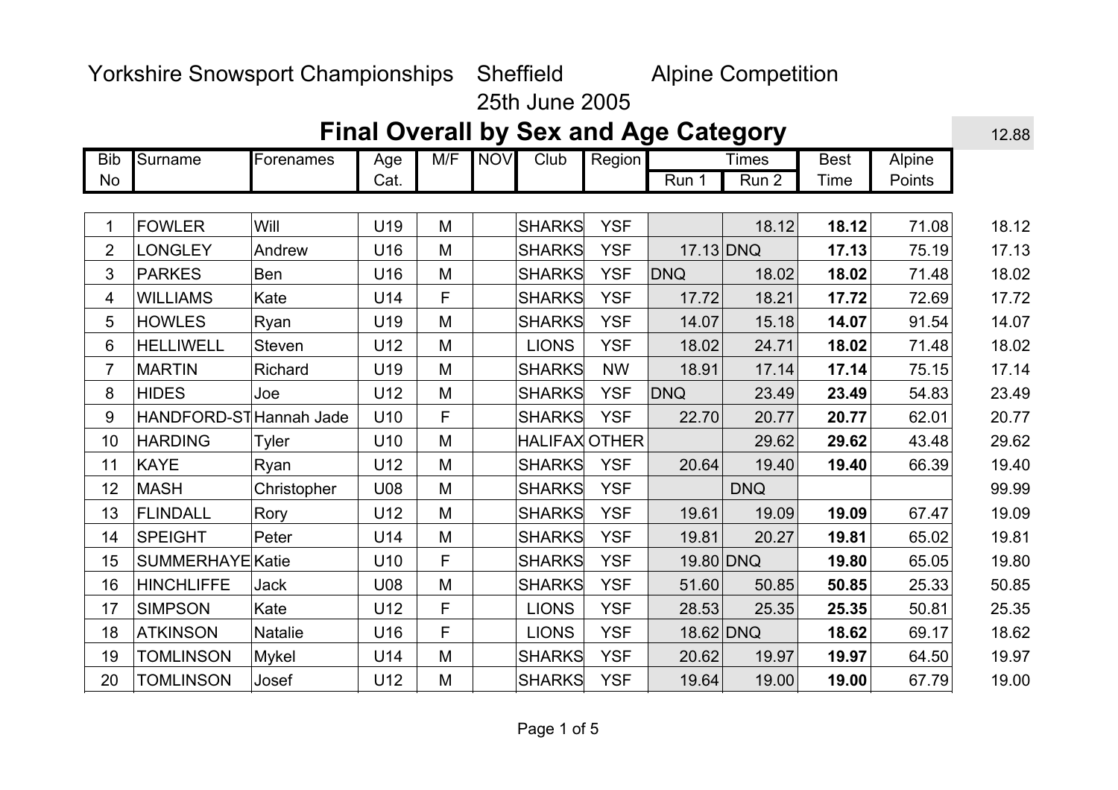25th June 2005

| <b>Bib</b>     | Surname                 | Forenames     | Age  | M/F | <b>NOV</b> | Club                 | Region     |            | <b>Times</b>     | <b>Best</b> | Alpine |       |
|----------------|-------------------------|---------------|------|-----|------------|----------------------|------------|------------|------------------|-------------|--------|-------|
| <b>No</b>      |                         |               | Cat. |     |            |                      |            | Run 1      | Run <sub>2</sub> | Time        | Points |       |
|                |                         |               |      |     |            |                      |            |            |                  |             |        |       |
| 1              | <b>FOWLER</b>           | Will          | U19  | M   |            | <b>SHARKS</b>        | <b>YSF</b> |            | 18.12            | 18.12       | 71.08  | 18.12 |
| $\overline{2}$ | <b>LONGLEY</b>          | Andrew        | U16  | M   |            | <b>SHARKS</b>        | <b>YSF</b> |            | 17.13 DNQ        | 17.13       | 75.19  | 17.13 |
| 3              | <b>PARKES</b>           | Ben           | U16  | M   |            | <b>SHARKS</b>        | <b>YSF</b> | <b>DNQ</b> | 18.02            | 18.02       | 71.48  | 18.02 |
| 4              | <b>WILLIAMS</b>         | Kate          | U14  | F   |            | <b>SHARKS</b>        | <b>YSF</b> | 17.72      | 18.21            | 17.72       | 72.69  | 17.72 |
| 5              | <b>HOWLES</b>           | Ryan          | U19  | M   |            | <b>SHARKS</b>        | <b>YSF</b> | 14.07      | 15.18            | 14.07       | 91.54  | 14.07 |
| 6              | <b>HELLIWELL</b>        | <b>Steven</b> | U12  | M   |            | <b>LIONS</b>         | <b>YSF</b> | 18.02      | 24.71            | 18.02       | 71.48  | 18.02 |
| $\overline{7}$ | <b>MARTIN</b>           | Richard       | U19  | M   |            | <b>SHARKS</b>        | <b>NW</b>  | 18.91      | 17.14            | 17.14       | 75.15  | 17.14 |
| 8              | <b>HIDES</b>            | Joe           | U12  | M   |            | <b>SHARKS</b>        | <b>YSF</b> | <b>DNQ</b> | 23.49            | 23.49       | 54.83  | 23.49 |
| 9              | HANDFORD-ST Hannah Jade |               | U10  | F   |            | <b>SHARKS</b>        | <b>YSF</b> | 22.70      | 20.77            | 20.77       | 62.01  | 20.77 |
| 10             | <b>HARDING</b>          | Tyler         | U10  | M   |            | <b>HALIFAX OTHER</b> |            |            | 29.62            | 29.62       | 43.48  | 29.62 |
| 11             | <b>KAYE</b>             | Ryan          | U12  | M   |            | <b>SHARKS</b>        | <b>YSF</b> | 20.64      | 19.40            | 19.40       | 66.39  | 19.40 |
| 12             | <b>MASH</b>             | Christopher   | U08  | M   |            | <b>SHARKS</b>        | <b>YSF</b> |            | <b>DNQ</b>       |             |        | 99.99 |
| 13             | <b>FLINDALL</b>         | Rory          | U12  | M   |            | <b>SHARKS</b>        | <b>YSF</b> | 19.61      | 19.09            | 19.09       | 67.47  | 19.09 |
| 14             | <b>SPEIGHT</b>          | Peter         | U14  | M   |            | <b>SHARKS</b>        | <b>YSF</b> | 19.81      | 20.27            | 19.81       | 65.02  | 19.81 |
| 15             | SUMMERHAYE Katie        |               | U10  | F   |            | <b>SHARKS</b>        | <b>YSF</b> |            | 19.80 DNQ        | 19.80       | 65.05  | 19.80 |
| 16             | <b>HINCHLIFFE</b>       | Jack          | U08  | M   |            | <b>SHARKS</b>        | <b>YSF</b> | 51.60      | 50.85            | 50.85       | 25.33  | 50.85 |
| 17             | <b>SIMPSON</b>          | Kate          | U12  | F   |            | <b>LIONS</b>         | <b>YSF</b> | 28.53      | 25.35            | 25.35       | 50.81  | 25.35 |
| 18             | <b>ATKINSON</b>         | Natalie       | U16  | F   |            | <b>LIONS</b>         | <b>YSF</b> |            | 18.62 DNQ        | 18.62       | 69.17  | 18.62 |
| 19             | <b>TOMLINSON</b>        | <b>Mykel</b>  | U14  | M   |            | <b>SHARKS</b>        | <b>YSF</b> | 20.62      | 19.97            | 19.97       | 64.50  | 19.97 |
| 20             | <b>TOMLINSON</b>        | Josef         | U12  | M   |            | <b>SHARKS</b>        | <b>YSF</b> | 19.64      | 19.00            | 19.00       | 67.79  | 19.00 |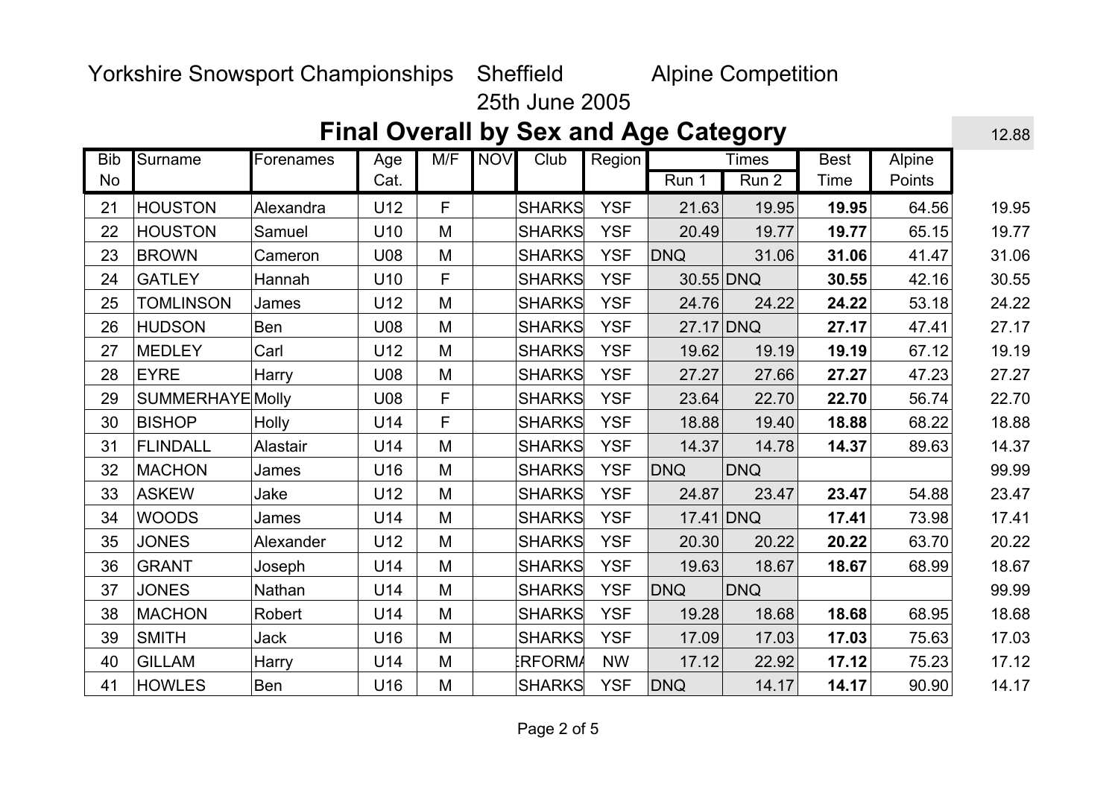### 25th June 2005

| <b>Bib</b> | Surname          | Forenames    | Age             | M/F | <b>NOV</b> | Club          | Region     |             | Times      | <b>Best</b> | <b>Alpine</b> |       |
|------------|------------------|--------------|-----------------|-----|------------|---------------|------------|-------------|------------|-------------|---------------|-------|
| <b>No</b>  |                  |              | Cat.            |     |            |               |            | Run 1       | Run 2      | Time        | Points        |       |
| 21         | <b>HOUSTON</b>   | Alexandra    | U12             | F   |            | <b>SHARKS</b> | <b>YSF</b> | 21.63       | 19.95      | 19.95       | 64.56         | 19.95 |
| 22         | <b>HOUSTON</b>   | Samuel       | U10             | M   |            | <b>SHARKS</b> | <b>YSF</b> | 20.49       | 19.77      | 19.77       | 65.15         | 19.77 |
| 23         | <b>BROWN</b>     | Cameron      | U08             | M   |            | <b>SHARKS</b> | <b>YSF</b> | <b>DNQ</b>  | 31.06      | 31.06       | 41.47         | 31.06 |
| 24         | <b>GATLEY</b>    | Hannah       | U <sub>10</sub> | F   |            | <b>SHARKS</b> | <b>YSF</b> | 30.55 DNQ   |            | 30.55       | 42.16         | 30.55 |
| 25         | <b>TOMLINSON</b> | James        | U12             | M   |            | <b>SHARKS</b> | <b>YSF</b> | 24.76       | 24.22      | 24.22       | 53.18         | 24.22 |
| 26         | <b>HUDSON</b>    | Ben          | U08             | M   |            | <b>SHARKS</b> | <b>YSF</b> | 27.17 DNQ   |            | 27.17       | 47.41         | 27.17 |
| 27         | <b>MEDLEY</b>    | Carl         | U12             | M   |            | <b>SHARKS</b> | <b>YSF</b> | 19.62       | 19.19      | 19.19       | 67.12         | 19.19 |
| 28         | <b>EYRE</b>      | Harry        | U08             | M   |            | <b>SHARKS</b> | <b>YSF</b> | 27.27       | 27.66      | 27.27       | 47.23         | 27.27 |
| 29         | SUMMERHAYE Molly |              | U08             | F   |            | <b>SHARKS</b> | <b>YSF</b> | 23.64       | 22.70      | 22.70       | 56.74         | 22.70 |
| 30         | <b>BISHOP</b>    | <b>Holly</b> | U14             | F   |            | <b>SHARKS</b> | <b>YSF</b> | 18.88       | 19.40      | 18.88       | 68.22         | 18.88 |
| 31         | <b>FLINDALL</b>  | Alastair     | U14             | M   |            | <b>SHARKS</b> | <b>YSF</b> | 14.37       | 14.78      | 14.37       | 89.63         | 14.37 |
| 32         | <b>MACHON</b>    | James        | U16             | M   |            | <b>SHARKS</b> | <b>YSF</b> | <b>DNQ</b>  | <b>DNQ</b> |             |               | 99.99 |
| 33         | <b>ASKEW</b>     | Jake         | U12             | M   |            | <b>SHARKS</b> | <b>YSF</b> | 24.87       | 23.47      | 23.47       | 54.88         | 23.47 |
| 34         | <b>WOODS</b>     | James        | U14             | M   |            | <b>SHARKS</b> | <b>YSF</b> | $17.41$ DNQ |            | 17.41       | 73.98         | 17.41 |
| 35         | <b>JONES</b>     | Alexander    | U12             | M   |            | <b>SHARKS</b> | <b>YSF</b> | 20.30       | 20.22      | 20.22       | 63.70         | 20.22 |
| 36         | <b>GRANT</b>     | Joseph       | U14             | M   |            | <b>SHARKS</b> | <b>YSF</b> | 19.63       | 18.67      | 18.67       | 68.99         | 18.67 |
| 37         | <b>JONES</b>     | Nathan       | U14             | M   |            | <b>SHARKS</b> | <b>YSF</b> | <b>DNQ</b>  | <b>DNQ</b> |             |               | 99.99 |
| 38         | <b>MACHON</b>    | Robert       | U14             | M   |            | <b>SHARKS</b> | <b>YSF</b> | 19.28       | 18.68      | 18.68       | 68.95         | 18.68 |
| 39         | <b>SMITH</b>     | Jack         | U16             | M   |            | <b>SHARKS</b> | <b>YSF</b> | 17.09       | 17.03      | 17.03       | 75.63         | 17.03 |
| 40         | <b>GILLAM</b>    | Harry        | U14             | M   |            | <b>RFORMA</b> | <b>NW</b>  | 17.12       | 22.92      | 17.12       | 75.23         | 17.12 |
| 41         | <b>HOWLES</b>    | Ben          | U16             | M   |            | <b>SHARKS</b> | <b>YSF</b> | <b>DNQ</b>  | 14.17      | 14.17       | 90.90         | 14.17 |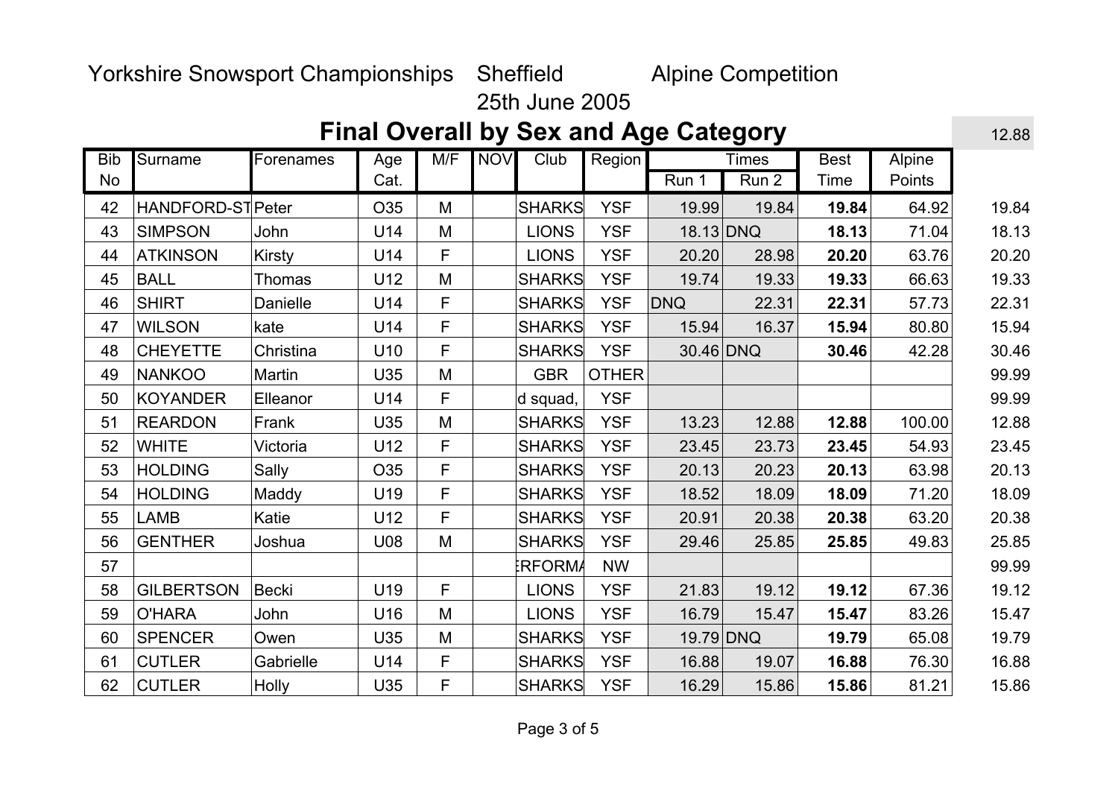#### 25th June 2005

| <b>Bib</b> | Surname           | Forenames | Age  | M/F | <b>NOV</b> | Club           | <b>Region</b> |            | <b>Times</b>     | <b>Best</b> | <b>Alpine</b> |       |
|------------|-------------------|-----------|------|-----|------------|----------------|---------------|------------|------------------|-------------|---------------|-------|
| <b>No</b>  |                   |           | Cat. |     |            |                |               | Run 1      | Run <sub>2</sub> | Time        | Points        |       |
| 42         | HANDFORD-ST Peter |           | O35  | M   |            | <b>SHARKS</b>  | <b>YSF</b>    | 19.99      | 19.84            | 19.84       | 64.92         | 19.84 |
| 43         | <b>SIMPSON</b>    | John      | U14  | M   |            | <b>LIONS</b>   | <b>YSF</b>    | 18.13 DNQ  |                  | 18.13       | 71.04         | 18.13 |
| 44         | <b>ATKINSON</b>   | Kirsty    | U14  | F   |            | <b>LIONS</b>   | <b>YSF</b>    | 20.20      | 28.98            | 20.20       | 63.76         | 20.20 |
| 45         | <b>BALL</b>       | Thomas    | U12  | M   |            | <b>SHARKS</b>  | <b>YSF</b>    | 19.74      | 19.33            | 19.33       | 66.63         | 19.33 |
| 46         | <b>SHIRT</b>      | Danielle  | U14  | F   |            | <b>SHARKS</b>  | <b>YSF</b>    | <b>DNQ</b> | 22.31            | 22.31       | 57.73         | 22.31 |
| 47         | <b>WILSON</b>     | kate      | U14  | F   |            | <b>SHARKS</b>  | <b>YSF</b>    | 15.94      | 16.37            | 15.94       | 80.80         | 15.94 |
| 48         | <b>CHEYETTE</b>   | Christina | U10  | F   |            | <b>SHARKS</b>  | <b>YSF</b>    | 30.46 DNQ  |                  | 30.46       | 42.28         | 30.46 |
| 49         | <b>NANKOO</b>     | Martin    | U35  | M   |            | <b>GBR</b>     | <b>OTHER</b>  |            |                  |             |               | 99.99 |
| 50         | <b>KOYANDER</b>   | Elleanor  | U14  | F   |            | d squad,       | <b>YSF</b>    |            |                  |             |               | 99.99 |
| 51         | <b>REARDON</b>    | Frank     | U35  | M   |            | <b>SHARKS</b>  | <b>YSF</b>    | 13.23      | 12.88            | 12.88       | 100.00        | 12.88 |
| 52         | <b>WHITE</b>      | Victoria  | U12  | F   |            | <b>SHARKS</b>  | <b>YSF</b>    | 23.45      | 23.73            | 23.45       | 54.93         | 23.45 |
| 53         | <b>HOLDING</b>    | Sally     | O35  | F   |            | <b>SHARKS</b>  | <b>YSF</b>    | 20.13      | 20.23            | 20.13       | 63.98         | 20.13 |
| 54         | <b>HOLDING</b>    | Maddy     | U19  | F   |            | <b>SHARKS</b>  | <b>YSF</b>    | 18.52      | 18.09            | 18.09       | 71.20         | 18.09 |
| 55         | <b>LAMB</b>       | Katie     | U12  | F   |            | <b>SHARKS</b>  | <b>YSF</b>    | 20.91      | 20.38            | 20.38       | 63.20         | 20.38 |
| 56         | <b>GENTHER</b>    | Joshua    | U08  | M   |            | <b>SHARKS</b>  | <b>YSF</b>    | 29.46      | 25.85            | 25.85       | 49.83         | 25.85 |
| 57         |                   |           |      |     |            | <b>ERFORMA</b> | <b>NW</b>     |            |                  |             |               | 99.99 |
| 58         | <b>GILBERTSON</b> | Becki     | U19  | F   |            | <b>LIONS</b>   | <b>YSF</b>    | 21.83      | 19.12            | 19.12       | 67.36         | 19.12 |
| 59         | <b>O'HARA</b>     | John      | U16  | M   |            | <b>LIONS</b>   | <b>YSF</b>    | 16.79      | 15.47            | 15.47       | 83.26         | 15.47 |
| 60         | <b>SPENCER</b>    | Owen      | U35  | M   |            | <b>SHARKS</b>  | <b>YSF</b>    | 19.79 DNQ  |                  | 19.79       | 65.08         | 19.79 |
| 61         | <b>CUTLER</b>     | Gabrielle | U14  | F   |            | <b>SHARKS</b>  | <b>YSF</b>    | 16.88      | 19.07            | 16.88       | 76.30         | 16.88 |
| 62         | <b>CUTLER</b>     | Holly     | U35  | F   |            | <b>SHARKS</b>  | <b>YSF</b>    | 16.29      | 15.86            | 15.86       | 81.21         | 15.86 |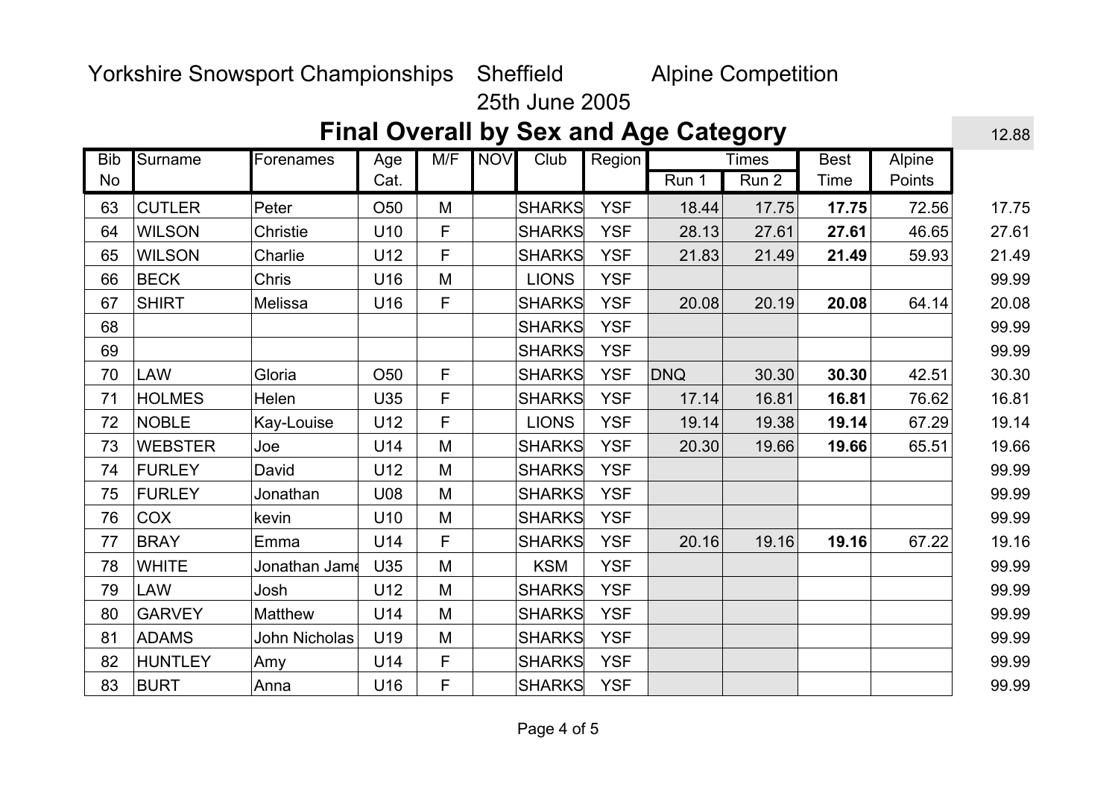### 25th June 2005

| <b>Bib</b> | Surname        | Forenames     | Age             | M/F         | <b>NOV</b> | Club          | Region     |            | Times            | <b>Best</b> | <b>Alpine</b> |       |
|------------|----------------|---------------|-----------------|-------------|------------|---------------|------------|------------|------------------|-------------|---------------|-------|
| No         |                |               | Cat.            |             |            |               |            | Run 1      | Run <sub>2</sub> | Time        | Points        |       |
| 63         | <b>CUTLER</b>  | Peter         | O <sub>50</sub> | M           |            | <b>SHARKS</b> | <b>YSF</b> | 18.44      | 17.75            | 17.75       | 72.56         | 17.75 |
| 64         | <b>WILSON</b>  | Christie      | U10             | F           |            | <b>SHARKS</b> | <b>YSF</b> | 28.13      | 27.61            | 27.61       | 46.65         | 27.61 |
| 65         | <b>WILSON</b>  | Charlie       | U12             | F           |            | <b>SHARKS</b> | <b>YSF</b> | 21.83      | 21.49            | 21.49       | 59.93         | 21.49 |
| 66         | <b>BECK</b>    | Chris         | U16             | M           |            | <b>LIONS</b>  | <b>YSF</b> |            |                  |             |               | 99.99 |
| 67         | <b>SHIRT</b>   | Melissa       | U16             | F           |            | <b>SHARKS</b> | <b>YSF</b> | 20.08      | 20.19            | 20.08       | 64.14         | 20.08 |
| 68         |                |               |                 |             |            | <b>SHARKS</b> | <b>YSF</b> |            |                  |             |               | 99.99 |
| 69         |                |               |                 |             |            | <b>SHARKS</b> | <b>YSF</b> |            |                  |             |               | 99.99 |
| 70         | <b>LAW</b>     | Gloria        | O <sub>50</sub> | $\mathsf F$ |            | <b>SHARKS</b> | <b>YSF</b> | <b>DNQ</b> | 30.30            | 30.30       | 42.51         | 30.30 |
| 71         | <b>HOLMES</b>  | Helen         | U35             | F           |            | <b>SHARKS</b> | <b>YSF</b> | 17.14      | 16.81            | 16.81       | 76.62         | 16.81 |
| 72         | <b>NOBLE</b>   | Kay-Louise    | U12             | F           |            | <b>LIONS</b>  | <b>YSF</b> | 19.14      | 19.38            | 19.14       | 67.29         | 19.14 |
| 73         | <b>WEBSTER</b> | Joe           | U14             | M           |            | <b>SHARKS</b> | <b>YSF</b> | 20.30      | 19.66            | 19.66       | 65.51         | 19.66 |
| 74         | <b>FURLEY</b>  | David         | U12             | M           |            | <b>SHARKS</b> | <b>YSF</b> |            |                  |             |               | 99.99 |
| 75         | <b>FURLEY</b>  | Jonathan      | U08             | M           |            | <b>SHARKS</b> | <b>YSF</b> |            |                  |             |               | 99.99 |
| 76         | <b>COX</b>     | kevin         | U10             | M           |            | <b>SHARKS</b> | <b>YSF</b> |            |                  |             |               | 99.99 |
| 77         | <b>BRAY</b>    | Emma          | U14             | E           |            | <b>SHARKS</b> | <b>YSF</b> | 20.16      | 19.16            | 19.16       | 67.22         | 19.16 |
| 78         | <b>WHITE</b>   | Jonathan Jam  | U35             | M           |            | <b>KSM</b>    | <b>YSF</b> |            |                  |             |               | 99.99 |
| 79         | <b>LAW</b>     | Josh          | U12             | M           |            | <b>SHARKS</b> | <b>YSF</b> |            |                  |             |               | 99.99 |
| 80         | <b>GARVEY</b>  | Matthew       | U14             | M           |            | <b>SHARKS</b> | <b>YSF</b> |            |                  |             |               | 99.99 |
| 81         | <b>ADAMS</b>   | John Nicholas | U19             | M           |            | <b>SHARKS</b> | <b>YSF</b> |            |                  |             |               | 99.99 |
| 82         | <b>HUNTLEY</b> | Amy           | U14             | F           |            | <b>SHARKS</b> | <b>YSF</b> |            |                  |             |               | 99.99 |
| 83         | <b>BURT</b>    | Anna          | U16             | F           |            | <b>SHARKS</b> | <b>YSF</b> |            |                  |             |               | 99.99 |